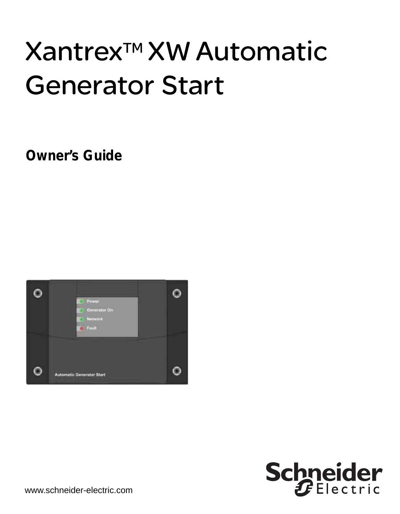# Xantrex<sup>™</sup> XW Automatic Generator Start

**Owner's Guide**



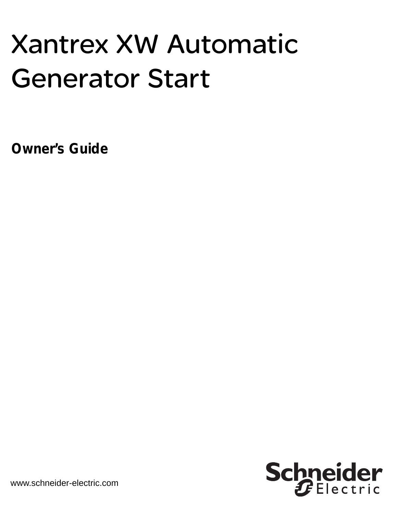# Xantrex XW Automatic Generator Start

**Owner's Guide**

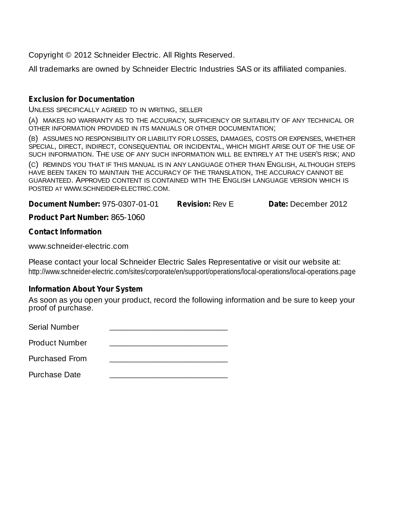Copyright © 2012 Schneider Electric. All Rights Reserved.

All trademarks are owned by Schneider Electric Industries SAS or its affiliated companies.

#### **Exclusion for Documentation**

UNLESS SPECIFICALLY AGREED TO IN WRITING, SELLER

(A) MAKES NO WARRANTY AS TO THE ACCURACY, SUFFICIENCY OR SUITABILITY OF ANY TECHNICAL OR OTHER INFORMATION PROVIDED IN ITS MANUALS OR OTHER DOCUMENTATION;

(B) ASSUMES NO RESPONSIBILITY OR LIABILITY FOR LOSSES, DAMAGES, COSTS OR EXPENSES, WHETHER SPECIAL, DIRECT, INDIRECT, CONSEQUENTIAL OR INCIDENTAL, WHICH MIGHT ARISE OUT OF THE USE OF SUCH INFORMATION. THE USE OF ANY SUCH INFORMATION WILL BE ENTIRELY AT THE USER'S RISK; AND

(C) REMINDS YOU THAT IF THIS MANUAL IS IN ANY LANGUAGE OTHER THAN ENGLISH, ALTHOUGH STEPS HAVE BEEN TAKEN TO MAINTAIN THE ACCURACY OF THE TRANSLATION, THE ACCURACY CANNOT BE GUARANTEED. APPROVED CONTENT IS CONTAINED WITH THE ENGLISH LANGUAGE VERSION WHICH IS POSTED AT WWW.SCHNEIDER-ELECTRIC.COM.

**Document Number:** 975-0307-01-01 **Revision:** Rev E **Date:** December 2012

**Product Part Number:** 865-1060

#### **Contact Information**

www.schneider-electric.com

Please contact your local Schneider Electric Sales Representative or visit our website at: http://www.schneider-electric.com/sites/corporate/en/support/operations/local-operations/local-operations.page

#### **Information About Your System**

As soon as you open your product, record the following information and be sure to keep your proof of purchase.

Serial Number

Product Number \_\_\_\_\_\_\_\_\_\_\_\_\_\_\_\_\_\_\_\_\_\_\_\_\_\_\_\_\_\_\_\_\_

Purchased From \_\_\_\_\_\_\_\_\_\_\_\_\_\_\_\_\_\_\_\_\_\_\_\_\_\_\_\_\_\_\_\_\_

Purchase Date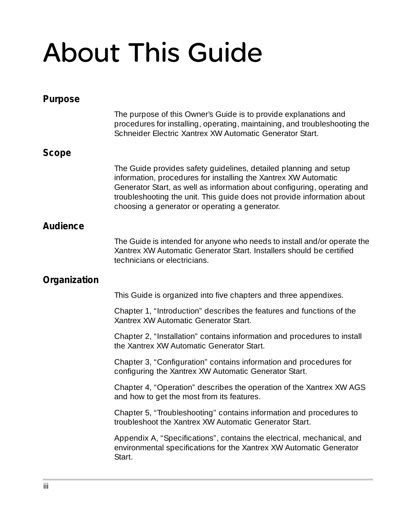# About This Guide

| Purpose      |                                                                                                                                                                                                                                                                                                                                               |
|--------------|-----------------------------------------------------------------------------------------------------------------------------------------------------------------------------------------------------------------------------------------------------------------------------------------------------------------------------------------------|
|              | The purpose of this Owner's Guide is to provide explanations and<br>procedures for installing, operating, maintaining, and troubleshooting the<br>Schneider Electric Xantrex XW Automatic Generator Start.                                                                                                                                    |
| Scope        |                                                                                                                                                                                                                                                                                                                                               |
|              | The Guide provides safety guidelines, detailed planning and setup<br>information, procedures for installing the Xantrex XW Automatic<br>Generator Start, as well as information about configuring, operating and<br>troubleshooting the unit. This guide does not provide information about<br>choosing a generator or operating a generator. |
| Audience     |                                                                                                                                                                                                                                                                                                                                               |
|              | The Guide is intended for anyone who needs to install and/or operate the<br>Xantrex XW Automatic Generator Start. Installers should be certified<br>technicians or electricians.                                                                                                                                                              |
| Organization |                                                                                                                                                                                                                                                                                                                                               |
|              | This Guide is organized into five chapters and three appendixes.                                                                                                                                                                                                                                                                              |
|              | Chapter 1, "Introduction" describes the features and functions of the<br>Xantrex XW Automatic Generator Start.                                                                                                                                                                                                                                |
|              | Chapter 2, "Installation" contains information and procedures to install<br>the Xantrex XW Automatic Generator Start.                                                                                                                                                                                                                         |
|              | Chapter 3, "Configuration" contains information and procedures for<br>configuring the Xantrex XW Automatic Generator Start.                                                                                                                                                                                                                   |
|              | Chapter 4, "Operation" describes the operation of the Xantrex XW AGS<br>and how to get the most from its features.                                                                                                                                                                                                                            |
|              | Chapter 5, "Troubleshooting" contains information and procedures to<br>troubleshoot the Xantrex XW Automatic Generator Start.                                                                                                                                                                                                                 |
|              | Appendix A, "Specifications", contains the electrical, mechanical, and<br>environmental specifications for the Xantrex XW Automatic Generator<br>Start.                                                                                                                                                                                       |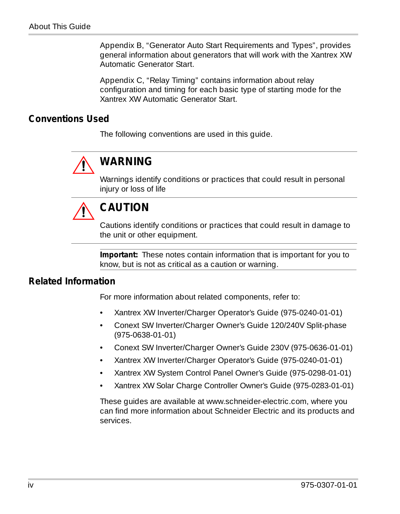[Appendix B, "Generator Auto Start Requirements and Types",](#page-104-0) provides general information about generators that will work with the Xantrex XW Automatic Generator Start.

[Appendix C, "Relay Timing"](#page-110-0) contains information about relay configuration and timing for each basic type of starting mode for the Xantrex XW Automatic Generator Start.

#### **Conventions Used**

The following conventions are used in this guide.



#### **WARNING**

Warnings identify conditions or practices that could result in personal injury or loss of life



#### **CAUTION**

Cautions identify conditions or practices that could result in damage to the unit or other equipment.

**Important:** These notes contain information that is important for you to know, but is not as critical as a caution or warning.

#### **Related Information**

For more information about related components, refer to:

- Xantrex XW Inverter/Charger Operator's Guide (975-0240-01-01)
- Conext SW Inverter/Charger Owner's Guide 120/240V Split-phase (975-0638-01-01)
- Conext SW Inverter/Charger Owner's Guide 230V (975-0636-01-01)
- Xantrex XW Inverter/Charger Operator's Guide (975-0240-01-01)
- Xantrex XW System Control Panel Owner's Guide (975-0298-01-01)
- Xantrex XW Solar Charge Controller Owner's Guide (975-0283-01-01)

These guides are available at [www.schneider-electric.com, where yo](www.schneider-electric.com)u can find more information about Schneider Electric and its products and services.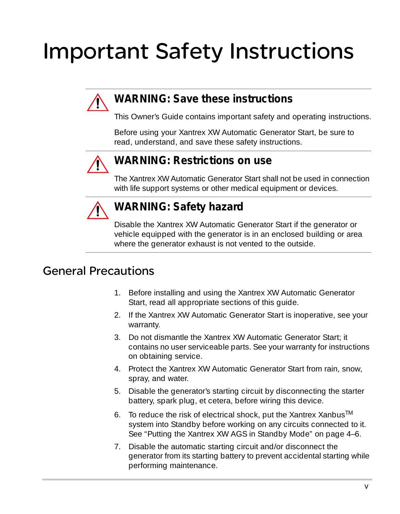## <span id="page-6-0"></span>Important Safety Instructions



#### **WARNING: Save these instructions**

This Owner's Guide contains important safety and operating instructions.

Before using your Xantrex XW Automatic Generator Start, be sure to read, understand, and save these safety instructions.



#### **WARNING: Restrictions on use**

The Xantrex XW Automatic Generator Start shall not be used in connection with life support systems or other medical equipment or devices.



#### **WARNING: Safety hazard**

Disable the Xantrex XW Automatic Generator Start if the generator or vehicle equipped with the generator is in an enclosed building or area where the generator exhaust is not vented to the outside.

#### General Precautions

- 1. Before installing and using the Xantrex XW Automatic Generator Start, read all appropriate sections of this guide.
- 2. If the Xantrex XW Automatic Generator Start is inoperative, see your warranty.
- 3. Do not dismantle the Xantrex XW Automatic Generator Start; it contains no user serviceable parts. See your warranty for instructions on obtaining service.
- 4. Protect the Xantrex XW Automatic Generator Start from rain, snow, spray, and water.
- 5. Disable the generator's starting circuit by disconnecting the starter battery, spark plug, et cetera, before wiring this device.
- 6. To reduce the risk of electrical shock, put the Xantrex Xanbus<sup>TM</sup> system into Standby before working on any circuits connected to it. See ["Putting the Xantrex XW AGS in Standby Mode" on page 4–6.](#page-91-0)
- 7. Disable the automatic starting circuit and/or disconnect the generator from its starting battery to prevent accidental starting while performing maintenance.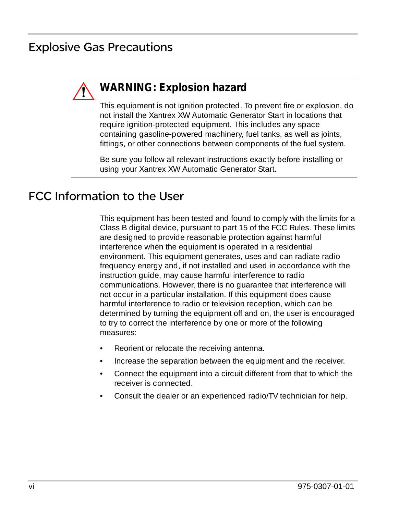#### Explosive Gas Precautions



#### **WARNING: Explosion hazard**

This equipment is not ignition protected. To prevent fire or explosion, do not install the Xantrex XW Automatic Generator Start in locations that require ignition-protected equipment. This includes any space containing gasoline-powered machinery, fuel tanks, as well as joints, fittings, or other connections between components of the fuel system.

Be sure you follow all relevant instructions exactly before installing or using your Xantrex XW Automatic Generator Start.

#### FCC Information to the User

This equipment has been tested and found to comply with the limits for a Class B digital device, pursuant to part 15 of the FCC Rules. These limits are designed to provide reasonable protection against harmful interference when the equipment is operated in a residential environment. This equipment generates, uses and can radiate radio frequency energy and, if not installed and used in accordance with the instruction guide, may cause harmful interference to radio communications. However, there is no guarantee that interference will not occur in a particular installation. If this equipment does cause harmful interference to radio or television reception, which can be determined by turning the equipment off and on, the user is encouraged to try to correct the interference by one or more of the following measures:

- Reorient or relocate the receiving antenna.
- Increase the separation between the equipment and the receiver.
- Connect the equipment into a circuit different from that to which the receiver is connected.
- Consult the dealer or an experienced radio/TV technician for help.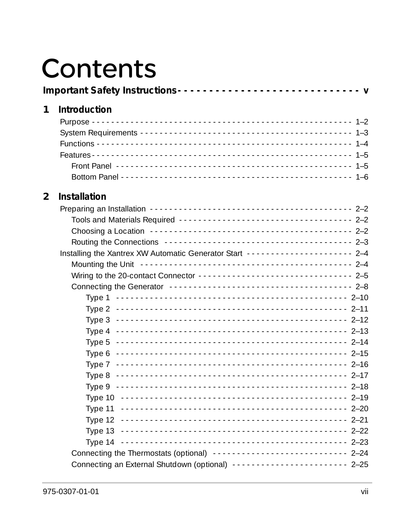## **Contents**

#### 1 Introduction

#### 2 Installation

| Installing the Xantrex XW Automatic Generator Start --------------------- 2-4                                                                                                                                                 |  |
|-------------------------------------------------------------------------------------------------------------------------------------------------------------------------------------------------------------------------------|--|
| Mounting the Unit <b>Face Access 2-4</b> Mounting the Unit Contract Contract Contract 2-4                                                                                                                                     |  |
| Wiring to the 20-contact Connector -------------------------------- 2-5                                                                                                                                                       |  |
| Connecting the Generator (Alterator Andrew School and Alternative Alternative Alternative Alternative Alternative Alternative Alternative Alternative Alternative Alternative Alternative Alternative Alternative Alternative |  |
| Type 1                                                                                                                                                                                                                        |  |
|                                                                                                                                                                                                                               |  |
|                                                                                                                                                                                                                               |  |
|                                                                                                                                                                                                                               |  |
|                                                                                                                                                                                                                               |  |
|                                                                                                                                                                                                                               |  |
|                                                                                                                                                                                                                               |  |
|                                                                                                                                                                                                                               |  |
|                                                                                                                                                                                                                               |  |
|                                                                                                                                                                                                                               |  |
|                                                                                                                                                                                                                               |  |
|                                                                                                                                                                                                                               |  |
|                                                                                                                                                                                                                               |  |
|                                                                                                                                                                                                                               |  |
| Connecting the Thermostats (optional) ---------------------------- 2-24                                                                                                                                                       |  |
|                                                                                                                                                                                                                               |  |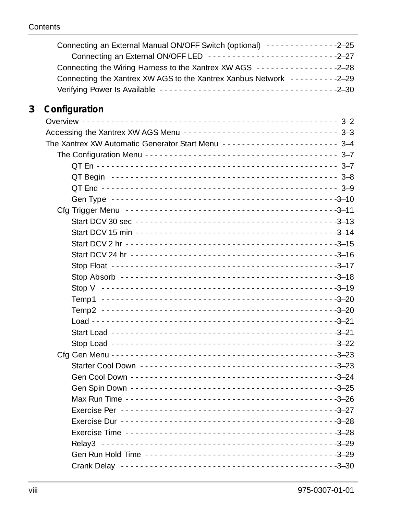|   | Connecting an External Manual ON/OFF Switch (optional) ---------------2-25 |  |
|---|----------------------------------------------------------------------------|--|
|   | Connecting an External ON/OFF LED ----------------------------2-27         |  |
|   |                                                                            |  |
|   | Connecting the Xantrex XW AGS to the Xantrex Xanbus Network ----------2-29 |  |
|   |                                                                            |  |
| 3 | Configuration                                                              |  |
|   |                                                                            |  |
|   | Accessing the Xantrex XW AGS Menu ------------------------------- 3-3      |  |
|   | The Xantrex XW Automatic Generator Start Menu ------------------------ 3-4 |  |
|   |                                                                            |  |
|   |                                                                            |  |
|   |                                                                            |  |
|   |                                                                            |  |
|   |                                                                            |  |
|   |                                                                            |  |
|   |                                                                            |  |
|   |                                                                            |  |
|   |                                                                            |  |
|   |                                                                            |  |
|   |                                                                            |  |
|   |                                                                            |  |
|   |                                                                            |  |
|   |                                                                            |  |
|   |                                                                            |  |
|   |                                                                            |  |
|   |                                                                            |  |
|   |                                                                            |  |
|   |                                                                            |  |
|   |                                                                            |  |
|   |                                                                            |  |
|   |                                                                            |  |
|   |                                                                            |  |
|   |                                                                            |  |
|   |                                                                            |  |
|   |                                                                            |  |
|   |                                                                            |  |
|   |                                                                            |  |
|   |                                                                            |  |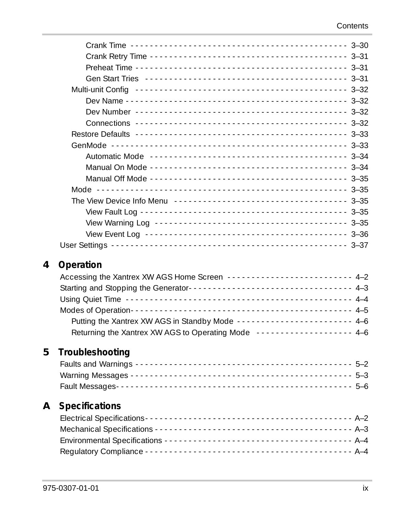| 4 | Operation                                                                                              |
|---|--------------------------------------------------------------------------------------------------------|
|   | Accessing the Xantrex XW AGS Home Screen -------------------------- 4-2                                |
|   |                                                                                                        |
|   | Using Quiet Time <b>contained</b> and contained a state of the contact the contact the contact the 4-4 |
|   |                                                                                                        |
|   | Putting the Xantrex XW AGS in Standby Mode ----------------------- 4-6                                 |
|   | Returning the Xantrex XW AGS to Operating Mode ------------------- 4-6                                 |
|   |                                                                                                        |
| 5 | Troubleshooting                                                                                        |
|   |                                                                                                        |
|   |                                                                                                        |
|   |                                                                                                        |
| Α | <b>Specifications</b>                                                                                  |
|   |                                                                                                        |
|   |                                                                                                        |
|   |                                                                                                        |
|   |                                                                                                        |
|   |                                                                                                        |

**[4](#page-86-1) [Operation](#page-86-2)**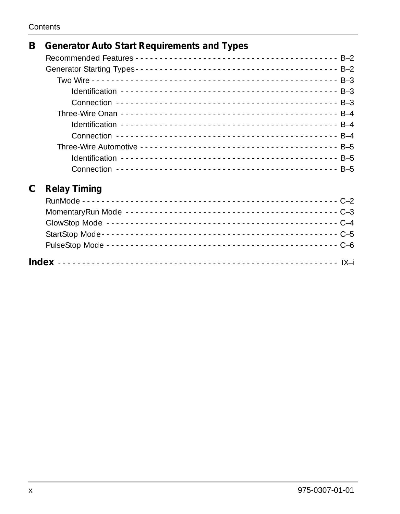| В | <b>Generator Auto Start Requirements and Types</b> |
|---|----------------------------------------------------|
|   |                                                    |
|   |                                                    |
|   |                                                    |
|   |                                                    |
|   |                                                    |
|   |                                                    |
|   |                                                    |
|   |                                                    |
|   |                                                    |
|   |                                                    |
|   |                                                    |
| С | <b>Relay Timing</b>                                |
|   |                                                    |
|   |                                                    |
|   |                                                    |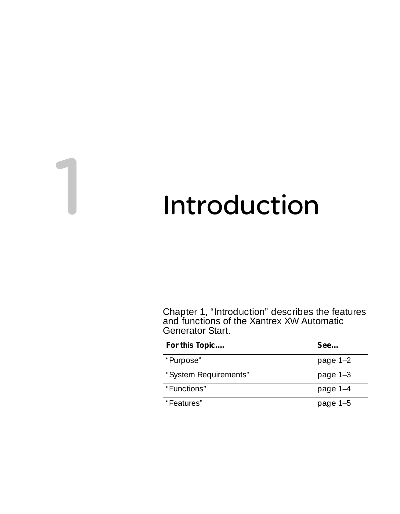## <span id="page-12-2"></span><span id="page-12-1"></span>**Introduction**

<span id="page-12-0"></span>[Chapter 1, "Introduction"](#page-12-2) describes the features and functions of the Xantrex XW Automatic Generator Start.

| For this Topic        | See        |
|-----------------------|------------|
| "Purpose"             | page $1-2$ |
| "System Requirements" | page 1-3   |
| "Functions"           | page 1-4   |
| "Features"            | page 1-5   |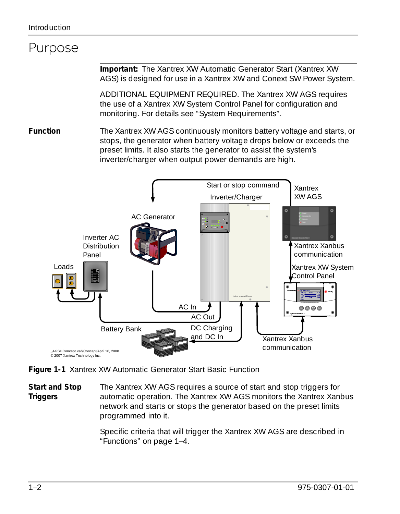#### <span id="page-13-0"></span>Purpose

**Important:** The Xantrex XW Automatic Generator Start (Xantrex XW AGS) is designed for use in a Xantrex XW and Conext SW Power System.

ADDITIONAL EQUIPMENT REQUIRED. The Xantrex XW AGS requires the use of a Xantrex XW System Control Panel for configuration and monitoring. For details see ["System Requirements"](#page-14-0).

**Function** The Xantrex XW AGS continuously monitors battery voltage and starts, or stops, the generator when battery voltage drops below or exceeds the preset limits. It also starts the generator to assist the system's inverter/charger when output power demands are high.



**Figure 1-1** Xantrex XW Automatic Generator Start Basic Function

**Start and Stop Triggers** The Xantrex XW AGS requires a source of start and stop triggers for automatic operation. The Xantrex XW AGS monitors the Xantrex Xanbus network and starts or stops the generator based on the preset limits programmed into it.

> Specific criteria that will trigger the Xantrex XW AGS are described in ["Functions" on page 1–4](#page-15-0).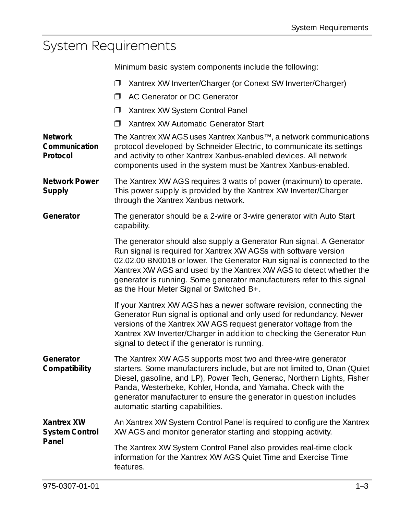## <span id="page-14-0"></span>System Requirements

Minimum basic system components include the following:

|                                             | Xantrex XW Inverter/Charger (or Conext SW Inverter/Charger)<br>Π.                                                                                                                                                                                                                                                                                                                                                |  |  |  |
|---------------------------------------------|------------------------------------------------------------------------------------------------------------------------------------------------------------------------------------------------------------------------------------------------------------------------------------------------------------------------------------------------------------------------------------------------------------------|--|--|--|
|                                             | AC Generator or DC Generator<br>⊓                                                                                                                                                                                                                                                                                                                                                                                |  |  |  |
|                                             | $\Box$<br>Xantrex XW System Control Panel                                                                                                                                                                                                                                                                                                                                                                        |  |  |  |
|                                             | Xantrex XW Automatic Generator Start<br>⊓                                                                                                                                                                                                                                                                                                                                                                        |  |  |  |
| <b>Network</b><br>Communication<br>Protocol | The Xantrex XW AGS uses Xantrex Xanbus™, a network communications<br>protocol developed by Schneider Electric, to communicate its settings<br>and activity to other Xantrex Xanbus-enabled devices. All network<br>components used in the system must be Xantrex Xanbus-enabled.                                                                                                                                 |  |  |  |
| <b>Network Power</b><br>Supply              | The Xantrex XW AGS requires 3 watts of power (maximum) to operate.<br>This power supply is provided by the Xantrex XW Inverter/Charger<br>through the Xantrex Xanbus network.                                                                                                                                                                                                                                    |  |  |  |
| Generator                                   | The generator should be a 2-wire or 3-wire generator with Auto Start<br>capability.                                                                                                                                                                                                                                                                                                                              |  |  |  |
|                                             | The generator should also supply a Generator Run signal. A Generator<br>Run signal is required for Xantrex XW AGSs with software version<br>02.02.00 BN0018 or lower. The Generator Run signal is connected to the<br>Xantrex XW AGS and used by the Xantrex XW AGS to detect whether the<br>generator is running. Some generator manufacturers refer to this signal<br>as the Hour Meter Signal or Switched B+. |  |  |  |
|                                             | If your Xantrex XW AGS has a newer software revision, connecting the<br>Generator Run signal is optional and only used for redundancy. Newer<br>versions of the Xantrex XW AGS request generator voltage from the<br>Xantrex XW Inverter/Charger in addition to checking the Generator Run<br>signal to detect if the generator is running.                                                                      |  |  |  |
| Generator<br>Compatibility                  | The Xantrex XW AGS supports most two and three-wire generator<br>starters. Some manufacturers include, but are not limited to, Onan (Quiet<br>Diesel, gasoline, and LP), Power Tech, Generac, Northern Lights, Fisher<br>Panda, Westerbeke, Kohler, Honda, and Yamaha. Check with the<br>generator manufacturer to ensure the generator in question includes<br>automatic starting capabilities.                 |  |  |  |
| Xantrex XW<br><b>System Control</b>         | An Xantrex XW System Control Panel is required to configure the Xantrex<br>XW AGS and monitor generator starting and stopping activity.                                                                                                                                                                                                                                                                          |  |  |  |
| Panel                                       | The Xantrex XW System Control Panel also provides real-time clock<br>information for the Xantrex XW AGS Quiet Time and Exercise Time<br>features.                                                                                                                                                                                                                                                                |  |  |  |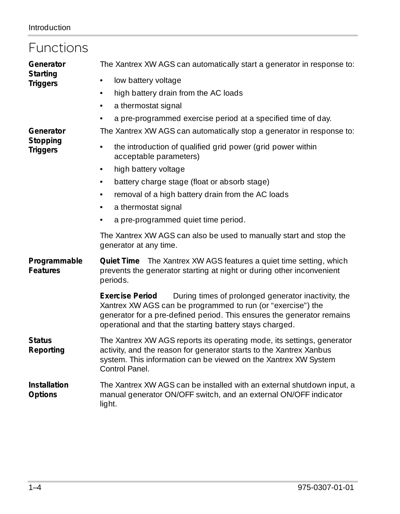<span id="page-15-0"></span>

| Functions                       |                                                                                                                                                                                                                                                                                    |  |  |  |  |
|---------------------------------|------------------------------------------------------------------------------------------------------------------------------------------------------------------------------------------------------------------------------------------------------------------------------------|--|--|--|--|
| Generator                       | The Xantrex XW AGS can automatically start a generator in response to:                                                                                                                                                                                                             |  |  |  |  |
| Starting<br><b>Triggers</b>     | low battery voltage<br>$\bullet$                                                                                                                                                                                                                                                   |  |  |  |  |
|                                 | high battery drain from the AC loads<br>$\bullet$                                                                                                                                                                                                                                  |  |  |  |  |
|                                 | a thermostat signal<br>$\bullet$                                                                                                                                                                                                                                                   |  |  |  |  |
|                                 | a pre-programmed exercise period at a specified time of day.<br>$\bullet$                                                                                                                                                                                                          |  |  |  |  |
| Generator                       | The Xantrex XW AGS can automatically stop a generator in response to:                                                                                                                                                                                                              |  |  |  |  |
| Stopping<br><b>Triggers</b>     | the introduction of qualified grid power (grid power within<br>acceptable parameters)                                                                                                                                                                                              |  |  |  |  |
|                                 | high battery voltage<br>$\bullet$                                                                                                                                                                                                                                                  |  |  |  |  |
|                                 | battery charge stage (float or absorb stage)<br>$\bullet$                                                                                                                                                                                                                          |  |  |  |  |
|                                 | removal of a high battery drain from the AC loads<br>$\bullet$                                                                                                                                                                                                                     |  |  |  |  |
|                                 | a thermostat signal<br>$\bullet$                                                                                                                                                                                                                                                   |  |  |  |  |
|                                 | a pre-programmed quiet time period.                                                                                                                                                                                                                                                |  |  |  |  |
|                                 | The Xantrex XW AGS can also be used to manually start and stop the<br>generator at any time.                                                                                                                                                                                       |  |  |  |  |
| Programmable<br><b>Features</b> | <b>Quiet Time</b> The Xantrex XW AGS features a quiet time setting, which<br>prevents the generator starting at night or during other inconvenient<br>periods.                                                                                                                     |  |  |  |  |
|                                 | During times of prolonged generator inactivity, the<br><b>Exercise Period</b><br>Xantrex XW AGS can be programmed to run (or "exercise") the<br>generator for a pre-defined period. This ensures the generator remains<br>operational and that the starting battery stays charged. |  |  |  |  |
| <b>Status</b><br>Reporting      | The Xantrex XW AGS reports its operating mode, its settings, generator<br>activity, and the reason for generator starts to the Xantrex Xanbus<br>system. This information can be viewed on the Xantrex XW System<br>Control Panel.                                                 |  |  |  |  |
| Installation<br>Options         | The Xantrex XW AGS can be installed with an external shutdown input, a<br>manual generator ON/OFF switch, and an external ON/OFF indicator<br>light.                                                                                                                               |  |  |  |  |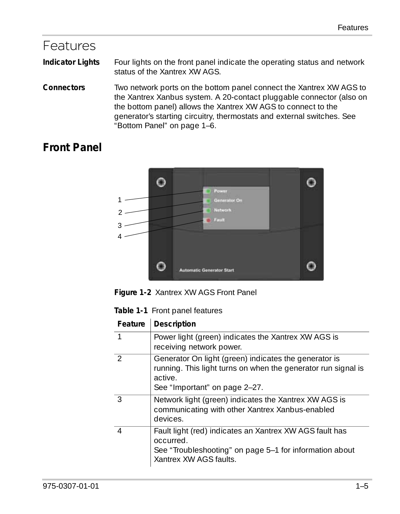#### <span id="page-16-0"></span>Features

**Indicator Lights** Four lights on the front panel indicate the operating status and network status of the Xantrex XW AGS.

**Connectors** Two network ports on the bottom panel connect the Xantrex XW AGS to the Xantrex Xanbus system. A 20-contact pluggable connector (also on the bottom panel) allows the Xantrex XW AGS to connect to the generator's starting circuitry, thermostats and external switches. See ["Bottom Panel" on page 1–6](#page-17-0).

#### <span id="page-16-1"></span>**Front Panel**



**Figure 1-2** Xantrex XW AGS Front Panel

| Table 1-1 Front panel features |  |  |
|--------------------------------|--|--|
|--------------------------------|--|--|

| Feature        | Description                                                                                                                                                        |
|----------------|--------------------------------------------------------------------------------------------------------------------------------------------------------------------|
|                | Power light (green) indicates the Xantrex XW AGS is<br>receiving network power.                                                                                    |
| $\mathcal{L}$  | Generator On light (green) indicates the generator is<br>running. This light turns on when the generator run signal is<br>active.<br>See "Important" on page 2-27. |
| 3              | Network light (green) indicates the Xantrex XW AGS is<br>communicating with other Xantrex Xanbus-enabled<br>devices.                                               |
| $\overline{4}$ | Fault light (red) indicates an Xantrex XW AGS fault has<br>occurred.<br>See "Troubleshooting" on page 5-1 for information about<br>Xantrex XW AGS faults.          |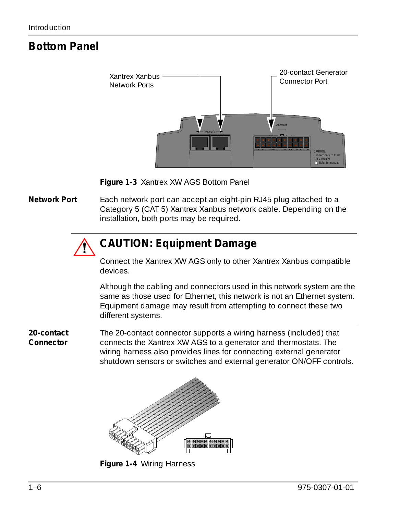#### <span id="page-17-0"></span>**Bottom Panel**



**Figure 1-3** Xantrex XW AGS Bottom Panel

**Network Port** Each network port can accept an eight-pin RJ45 plug attached to a Category 5 (CAT 5) Xantrex Xanbus network cable. Depending on the installation, both ports may be required.

### **CAUTION: Equipment Damage**

Connect the Xantrex XW AGS only to other Xantrex Xanbus compatible devices.

Although the cabling and connectors used in this network system are the same as those used for Ethernet, this network is not an Ethernet system. Equipment damage may result from attempting to connect these two different systems.

**20-contact Connector** The 20-contact connector supports a wiring harness (included) that connects the Xantrex XW AGS to a generator and thermostats. The wiring harness also provides lines for connecting external generator shutdown sensors or switches and external generator ON/OFF controls.



**Figure 1-4** Wiring Harness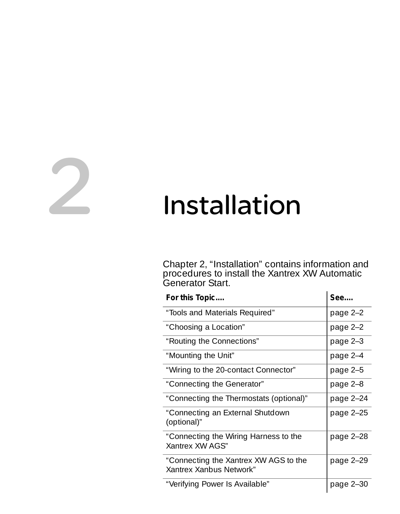# <span id="page-18-2"></span><span id="page-18-1"></span>2 Installation

<span id="page-18-0"></span>[Chapter 2, "Installation"](#page-18-2) contains information and procedures to install the Xantrex XW Automatic Generator Start.  $\ddot{\phantom{a}}$ 

| For this Topic                                                   | See       |
|------------------------------------------------------------------|-----------|
| "Tools and Materials Required"                                   | page 2-2  |
| "Choosing a Location"                                            | page 2-2  |
| "Routing the Connections"                                        | page 2-3  |
| "Mounting the Unit"                                              | page 2-4  |
| "Wiring to the 20-contact Connector"                             | page 2-5  |
| "Connecting the Generator"                                       | page 2-8  |
| "Connecting the Thermostats (optional)"                          | page 2-24 |
| "Connecting an External Shutdown<br>(optional)"                  | page 2-25 |
| "Connecting the Wiring Harness to the<br>Xantrex XW AGS"         | page 2-28 |
| "Connecting the Xantrex XW AGS to the<br>Xantrex Xanbus Network" | page 2-29 |
| "Verifying Power Is Available"                                   | page 2-30 |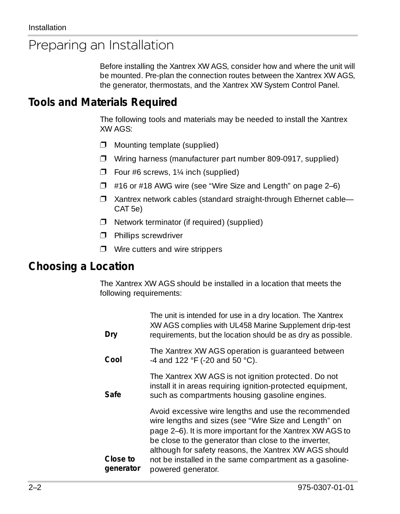## <span id="page-19-0"></span>Preparing an Installation

Before installing the Xantrex XW AGS, consider how and where the unit will be mounted. Pre-plan the connection routes between the Xantrex XW AGS, the generator, thermostats, and the Xantrex XW System Control Panel.

#### <span id="page-19-1"></span>**Tools and Materials Required**

The following tools and materials may be needed to install the Xantrex XW AGS:

- $\square$  Mounting template (supplied)
- ❐ Wiring harness (manufacturer part number 809-0917, supplied)
- $\square$  Four #6 screws, 1¼ inch (supplied)
- $\Box$  #16 or #18 AWG wire (see ["Wire Size and Length" on page 2–6](#page-23-0))
- □ Xantrex network cables (standard straight-through Ethernet cable– CAT 5e)
- ❐ Network terminator (if required) (supplied)
- **n** Phillips screwdriver
- $\square$  Wire cutters and wire strippers

#### <span id="page-19-2"></span>**Choosing a Location**

The Xantrex XW AGS should be installed in a location that meets the following requirements:

| The unit is intended for use in a dry location. The Xantrex<br>XW AGS complies with UL458 Marine Supplement drip-test<br>requirements, but the location should be as dry as possible.                                                                                                                                                                                          |
|--------------------------------------------------------------------------------------------------------------------------------------------------------------------------------------------------------------------------------------------------------------------------------------------------------------------------------------------------------------------------------|
| The Xantrex XW AGS operation is guaranteed between<br>-4 and 122 °F (-20 and 50 °C).                                                                                                                                                                                                                                                                                           |
| The Xantrex XW AGS is not ignition protected. Do not<br>install it in areas requiring ignition-protected equipment,<br>such as compartments housing gasoline engines.                                                                                                                                                                                                          |
| Avoid excessive wire lengths and use the recommended<br>wire lengths and sizes (see "Wire Size and Length" on<br>page 2–6). It is more important for the Xantrex XW AGS to<br>be close to the generator than close to the inverter,<br>although for safety reasons, the Xantrex XW AGS should<br>not be installed in the same compartment as a gasoline-<br>powered generator. |
|                                                                                                                                                                                                                                                                                                                                                                                |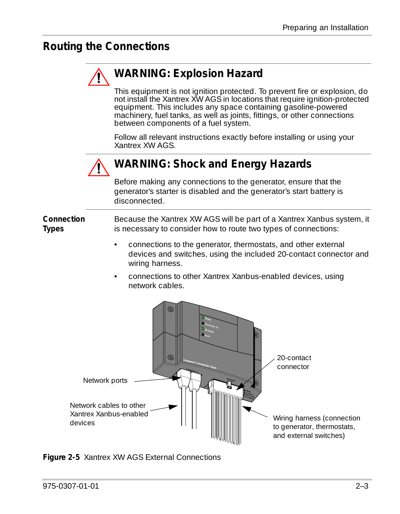#### <span id="page-20-0"></span>**Routing the Connections**

## **WARNING: Explosion Hazard**

This equipment is not ignition protected. To prevent fire or explosion, do not install the Xantrex XW AGS in locations that require ignition-protected equipment. This includes any space containing gasoline-powered machinery, fuel tanks, as well as joints, fittings, or other connections between components of a fuel system.

Follow all relevant instructions exactly before installing or using your Xantrex XW AGS.



#### **WARNING: Shock and Energy Hazards**

Before making any connections to the generator, ensure that the generator's starter is disabled and the generator's start battery is disconnected.

**Connection Types** Because the Xantrex XW AGS will be part of a Xantrex Xanbus system, it is necessary to consider how to route two types of connections:

- connections to the generator, thermostats, and other external devices and switches, using the included 20-contact connector and wiring harness.
- connections to other Xantrex Xanbus-enabled devices, using network cables.

<span id="page-20-1"></span>

**Figure 2-5** Xantrex XW AGS External Connections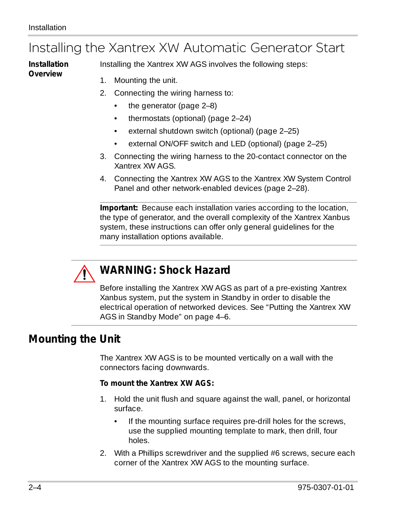#### <span id="page-21-0"></span>Installing the Xantrex XW Automatic Generator Start

**Installation Overview**

Installing the Xantrex XW AGS involves the following steps:

- 1. Mounting the unit.
- 2. Connecting the wiring harness to:
	- the generator [\(page 2–8](#page-25-0))
	- thermostats (optional) ([page 2–24](#page-41-0))
	- external shutdown switch (optional) [\(page 2–25\)](#page-42-0)
	- external ON/OFF switch and LED (optional) [\(page 2–25\)](#page-42-1)
- 3. Connecting the wiring harness to the 20-contact connector on the Xantrex XW AGS.
- 4. Connecting the Xantrex XW AGS to the Xantrex XW System Control Panel and other network-enabled devices (page 2–28).

**Important:** Because each installation varies according to the location, the type of generator, and the overall complexity of the Xantrex Xanbus system, these instructions can offer only general guidelines for the many installation options available.



#### **WARNING: Shock Hazard**

Before installing the Xantrex XW AGS as part of a pre-existing Xantrex Xanbus system, put the system in Standby in order to disable the electrical operation of networked devices. See ["Putting the Xantrex XW](#page-91-0)  [AGS in Standby Mode" on page 4–6](#page-91-0).

#### <span id="page-21-1"></span>**Mounting the Unit**

The Xantrex XW AGS is to be mounted vertically on a wall with the connectors facing downwards.

#### **To mount the Xantrex XW AGS:**

- 1. Hold the unit flush and square against the wall, panel, or horizontal surface.
	- If the mounting surface requires pre-drill holes for the screws, use the supplied mounting template to mark, then drill, four holes.
- 2. With a Phillips screwdriver and the supplied #6 screws, secure each corner of the Xantrex XW AGS to the mounting surface.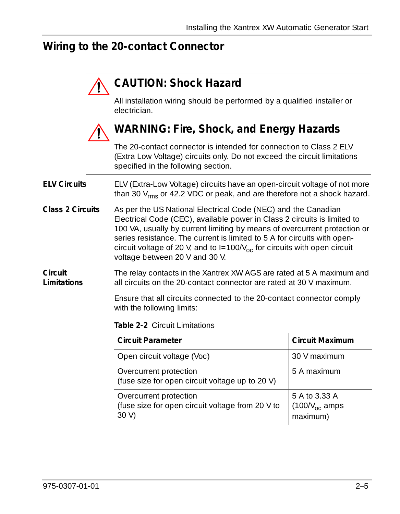#### <span id="page-22-0"></span>**Wiring to the 20-contact Connector**

#### **CAUTION: Shock Hazard**

All installation wiring should be performed by a qualified installer or electrician.



#### **WARNING: Fire, Shock, and Energy Hazards**

The 20-contact connector is intended for connection to Class 2 ELV (Extra Low Voltage) circuits only. Do not exceed the circuit limitations specified in the following section.

**ELV Circuits** ELV (Extra-Low Voltage) circuits have an open-circuit voltage of not more than 30  $V_{rms}$  or 42.2 VDC or peak, and are therefore not a shock hazard.

**Class 2 Circuits** As per the US National Electrical Code (NEC) and the Canadian Electrical Code (CEC), available power in Class 2 circuits is limited to 100 VA, usually by current limiting by means of overcurrent protection or series resistance. The current is limited to 5 A for circuits with opencircuit voltage of 20 V, and to  $I=100/V_{\text{oc}}$  for circuits with open circuit voltage between 20 V and 30 V.

<span id="page-22-1"></span>**Circuit Limitations** The relay contacts in the Xantrex XW AGS are rated at 5 A maximum and all circuits on the 20-contact connector are rated at 30 V maximum.

> Ensure that all circuits connected to the 20-contact connector comply with the following limits:

**Table 2-2** Circuit Limitations

| <b>Circuit Parameter</b>                                                           | <b>Circuit Maximum</b>                           |
|------------------------------------------------------------------------------------|--------------------------------------------------|
| Open circuit voltage (Voc)                                                         | 30 V maximum                                     |
| Overcurrent protection<br>(fuse size for open circuit voltage up to 20 V)          | 5 A maximum                                      |
| Overcurrent protection<br>(fuse size for open circuit voltage from 20 V to<br>30 V | 5 A to 3.33 A<br>(100/ $V_{oc}$ amps<br>maximum) |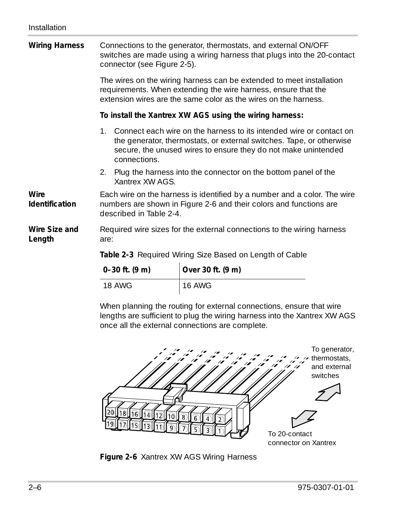| <b>Wiring Harness</b>   | Connections to the generator, thermostats, and external ON/OFF<br>switches are made using a wiring harness that plugs into the 20-contact<br>connector (see Figure 2-5).  |                 |                                                                                                                                                                                                               |
|-------------------------|---------------------------------------------------------------------------------------------------------------------------------------------------------------------------|-----------------|---------------------------------------------------------------------------------------------------------------------------------------------------------------------------------------------------------------|
|                         |                                                                                                                                                                           |                 | The wires on the wiring harness can be extended to meet installation<br>requirements. When extending the wire harness, ensure that the<br>extension wires are the same color as the wires on the harness.     |
|                         |                                                                                                                                                                           |                 | To install the Xantrex XW AGS using the wiring harness:                                                                                                                                                       |
|                         | $1_{-}$                                                                                                                                                                   | connections.    | Connect each wire on the harness to its intended wire or contact on<br>the generator, thermostats, or external switches. Tape, or otherwise<br>secure, the unused wires to ensure they do not make unintended |
|                         |                                                                                                                                                                           | Xantrex XW AGS. | 2. Plug the harness into the connector on the bottom panel of the                                                                                                                                             |
| Wire<br>Identification  | Each wire on the harness is identified by a number and a color. The wire<br>numbers are shown in Figure 2-6 and their colors and functions are<br>described in Table 2-4. |                 |                                                                                                                                                                                                               |
| Wire Size and<br>Length | are:                                                                                                                                                                      |                 | Required wire sizes for the external connections to the wiring harness                                                                                                                                        |
|                         |                                                                                                                                                                           |                 | Table 2-3 Required Wiring Size Based on Length of Cable                                                                                                                                                       |
|                         |                                                                                                                                                                           | 0–30 ft. (9 m)  | Over 30 ft. (9 m)                                                                                                                                                                                             |

<span id="page-23-0"></span>

| $0 - 30$ ft. $(9 \text{ m})$ | Over 30 ft. (9 m) |
|------------------------------|-------------------|
| 18 AWG                       | <b>16 AWG</b>     |

When planning the routing for external connections, ensure that wire lengths are sufficient to plug the wiring harness into the Xantrex XW AGS once all the external connections are complete.

<span id="page-23-1"></span>

**Figure 2-6** Xantrex XW AGS Wiring Harness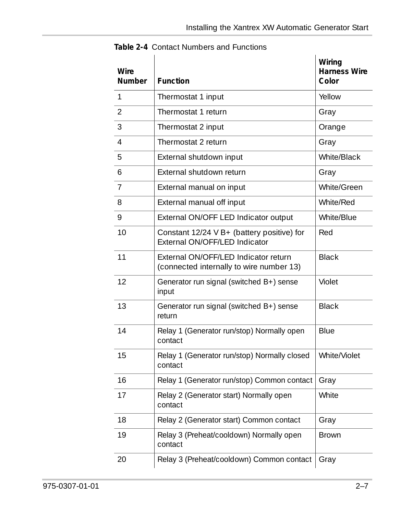| Wire<br>Number | <b>Function</b>                                                                  | Wiring<br><b>Harness Wire</b><br>Color |
|----------------|----------------------------------------------------------------------------------|----------------------------------------|
| 1              | Thermostat 1 input                                                               | Yellow                                 |
| 2              | Thermostat 1 return                                                              | Gray                                   |
| 3              | Thermostat 2 input                                                               | Orange                                 |
| 4              | Thermostat 2 return                                                              | Gray                                   |
| 5              | External shutdown input                                                          | White/Black                            |
| 6              | External shutdown return                                                         | Gray                                   |
| 7              | External manual on input                                                         | White/Green                            |
| 8              | External manual off input                                                        | White/Red                              |
| 9              | External ON/OFF LED Indicator output                                             | White/Blue                             |
| 10             | Constant 12/24 V B+ (battery positive) for<br>External ON/OFF/LED Indicator      | Red                                    |
| 11             | External ON/OFF/LED Indicator return<br>(connected internally to wire number 13) | <b>Black</b>                           |
| 12             | Generator run signal (switched B+) sense<br>input                                | Violet                                 |
| 13             | Generator run signal (switched B+) sense<br>return                               | <b>Black</b>                           |
| 14             | Relay 1 (Generator run/stop) Normally open<br>contact                            | Blue                                   |
| 15             | Relay 1 (Generator run/stop) Normally closed<br>contact                          | White/Violet                           |
| 16             | Relay 1 (Generator run/stop) Common contact                                      | Gray                                   |
| 17             | Relay 2 (Generator start) Normally open<br>contact                               | White                                  |
| 18             | Relay 2 (Generator start) Common contact                                         | Gray                                   |
| 19             | Relay 3 (Preheat/cooldown) Normally open<br>contact                              | <b>Brown</b>                           |
| 20             | Relay 3 (Preheat/cooldown) Common contact                                        | Gray                                   |

<span id="page-24-0"></span>**Table 2-4** Contact Numbers and Functions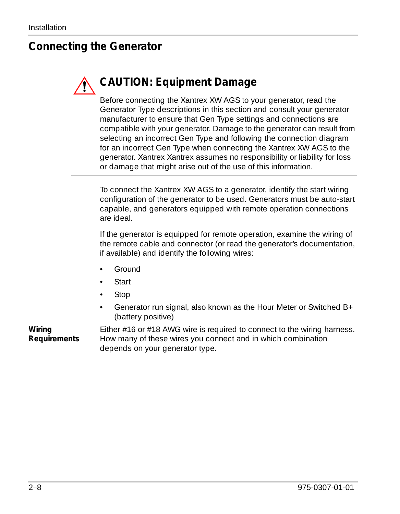#### <span id="page-25-0"></span>**Connecting the Generator**

## **CAUTION: Equipment Damage**

Before connecting the Xantrex XW AGS to your generator, read the Generator Type descriptions in this section and consult your generator manufacturer to ensure that Gen Type settings and connections are compatible with your generator. Damage to the generator can result from selecting an incorrect Gen Type and following the connection diagram for an incorrect Gen Type when connecting the Xantrex XW AGS to the generator. Xantrex Xantrex assumes no responsibility or liability for loss or damage that might arise out of the use of this information.

To connect the Xantrex XW AGS to a generator, identify the start wiring configuration of the generator to be used. Generators must be auto-start capable, and generators equipped with remote operation connections are ideal.

If the generator is equipped for remote operation, examine the wiring of the remote cable and connector (or read the generator's documentation, if available) and identify the following wires:

- Ground
- **Start**
- Stop
- Generator run signal, also known as the Hour Meter or Switched B+ (battery positive)

**Wiring Requirements** Either #16 or #18 AWG wire is required to connect to the wiring harness. How many of these wires you connect and in which combination depends on your generator type.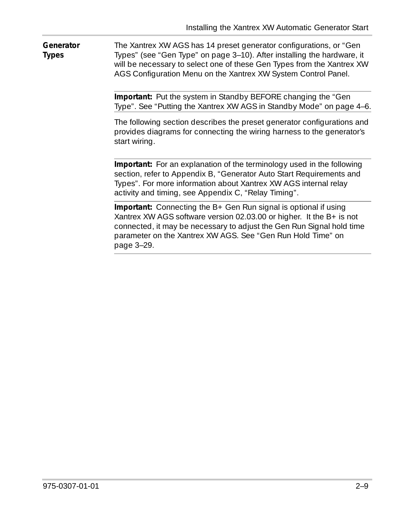**Generator Types** The Xantrex XW AGS has 14 preset generator configurations, or "Gen Types" (see ["Gen Type" on page 3–10\)](#page-57-1). After installing the hardware, it will be necessary to select one of these Gen Types from the Xantrex XW AGS Configuration Menu on the Xantrex XW System Control Panel.

> **Important:** Put the system in Standby BEFORE changing the ["Gen](#page-57-1)  [Type"](#page-57-1). See ["Putting the Xantrex XW AGS in Standby Mode" on page 4–6](#page-91-0).

> The following section describes the preset generator configurations and provides diagrams for connecting the wiring harness to the generator's start wiring.

**Important:** For an explanation of the terminology used in the following section, refer to [Appendix B, "Generator Auto Start Requirements and](#page-104-0)  [Types"](#page-104-0). For more information about Xantrex XW AGS internal relay activity and timing, see [Appendix C, "Relay Timing".](#page-110-0)

**Important:** Connecting the B+ Gen Run signal is optional if using Xantrex XW AGS software version 02.03.00 or higher. It the B+ is not connected, it may be necessary to adjust the Gen Run Signal hold time parameter on the Xantrex XW AGS. See ["Gen Run Hold Time" on](#page-76-2)  [page 3–29.](#page-76-2)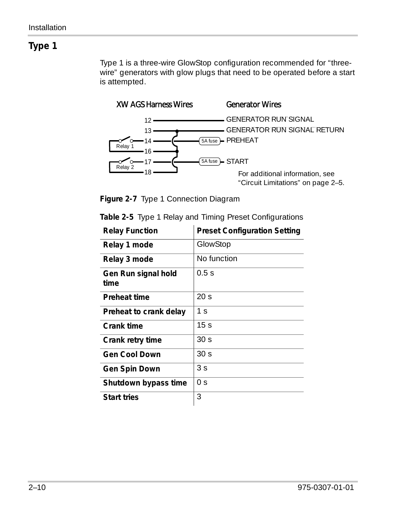<span id="page-27-0"></span>Type 1 is a three-wire GlowStop configuration recommended for "threewire" generators with glow plugs that need to be operated before a start is attempted.



**Figure 2-7** Type 1 Connection Diagram

| <b>Relay Function</b>       | <b>Preset Configuration Setting</b> |
|-----------------------------|-------------------------------------|
| Relay 1 mode                | GlowStop                            |
| Relay 3 mode                | No function                         |
| Gen Run signal hold<br>time | 0.5s                                |
| Preheat time                | 20 <sub>s</sub>                     |
| Preheat to crank delay      | 1 <sub>S</sub>                      |
| Crank time                  | 15 <sub>s</sub>                     |
| Crank retry time            | 30 <sub>s</sub>                     |
| <b>Gen Cool Down</b>        | 30 <sub>s</sub>                     |
| Gen Spin Down               | 3 <sub>S</sub>                      |
| Shutdown bypass time        | 0 <sup>5</sup>                      |
| <b>Start tries</b>          | 3                                   |

| Table 2-5 Type 1 Relay and Timing Preset Configurations |  |  |  |  |
|---------------------------------------------------------|--|--|--|--|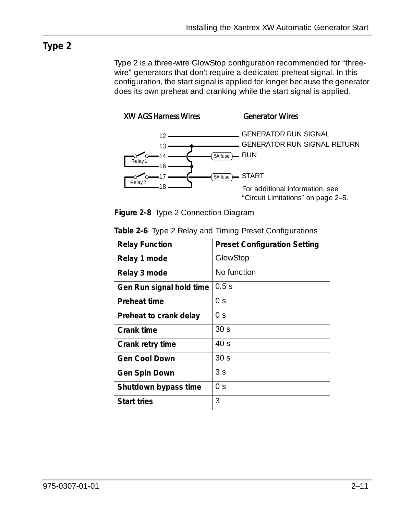<span id="page-28-0"></span>Type 2 is a three-wire GlowStop configuration recommended for "threewire" generators that don't require a dedicated preheat signal. In this configuration, the start signal is applied for longer because the generator does its own preheat and cranking while the start signal is applied.





|  | Figure 2-8 Type 2 Connection Diagram |  |
|--|--------------------------------------|--|
|  |                                      |  |

| <b>Relay Function</b>    | <b>Preset Configuration Setting</b> |
|--------------------------|-------------------------------------|
| Relay 1 mode             | GlowStop                            |
| Relay 3 mode             | No function                         |
| Gen Run signal hold time | 0.5s                                |
| <b>Preheat time</b>      | 0 s                                 |
| Preheat to crank delay   | 0 s                                 |
| Crank time               | 30 <sub>s</sub>                     |
| Crank retry time         | 40s                                 |
| <b>Gen Cool Down</b>     | 30 <sub>s</sub>                     |
| Gen Spin Down            | 3 <sub>S</sub>                      |
| Shutdown bypass time     | 0 <sub>S</sub>                      |
| <b>Start tries</b>       | 3                                   |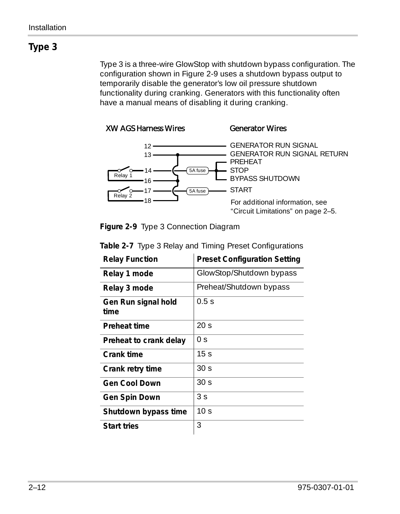<span id="page-29-0"></span>Type 3 is a three-wire GlowStop with shutdown bypass configuration. The configuration shown in [Figure 2-9](#page-29-1) uses a shutdown bypass output to temporarily disable the generator's low oil pressure shutdown functionality during cranking. Generators with this functionality often have a manual means of disabling it during cranking.



<span id="page-29-1"></span>**Figure 2-9** Type 3 Connection Diagram

| <b>Relay Function</b>       | <b>Preset Configuration Setting</b> |
|-----------------------------|-------------------------------------|
| Relay 1 mode                | GlowStop/Shutdown bypass            |
| Relay 3 mode                | Preheat/Shutdown bypass             |
| Gen Run signal hold<br>time | 0.5s                                |
| Preheat time                | 20 <sub>s</sub>                     |
| Preheat to crank delay      | 0 s                                 |
| Crank time                  | 15 <sub>s</sub>                     |
| Crank retry time            | 30 <sub>s</sub>                     |
| Gen Cool Down               | 30 <sub>s</sub>                     |
| Gen Spin Down               | 3s                                  |
| Shutdown bypass time        | 10 <sub>s</sub>                     |
| <b>Start tries</b>          | 3                                   |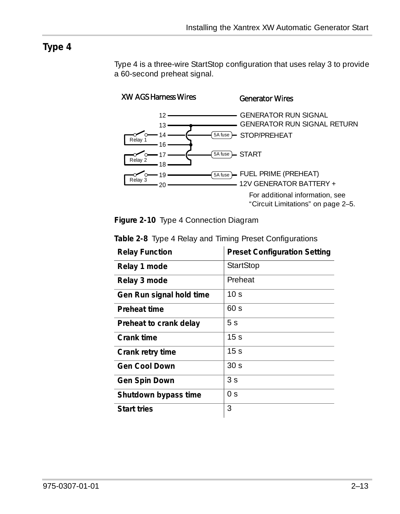<span id="page-30-0"></span>Type 4 is a three-wire StartStop configuration that uses relay 3 to provide a 60-second preheat signal.



**Figure 2-10** Type 4 Connection Diagram

| <b>Relay Function</b>    | <b>Preset Configuration Setting</b> |
|--------------------------|-------------------------------------|
| Relay 1 mode             | <b>StartStop</b>                    |
| Relay 3 mode             | Preheat                             |
| Gen Run signal hold time | 10 <sub>s</sub>                     |
| Preheat time             | 60 s                                |
| Preheat to crank delay   | 5 <sub>S</sub>                      |
| Crank time               | 15 <sub>s</sub>                     |
| Crank retry time         | 15 <sub>s</sub>                     |
| <b>Gen Cool Down</b>     | 30 <sub>s</sub>                     |
| Gen Spin Down            | 3 <sub>S</sub>                      |
| Shutdown bypass time     | 0 <sup>5</sup>                      |
| <b>Start tries</b>       | 3                                   |

**Table 2-8** Type 4 Relay and Timing Preset Configurations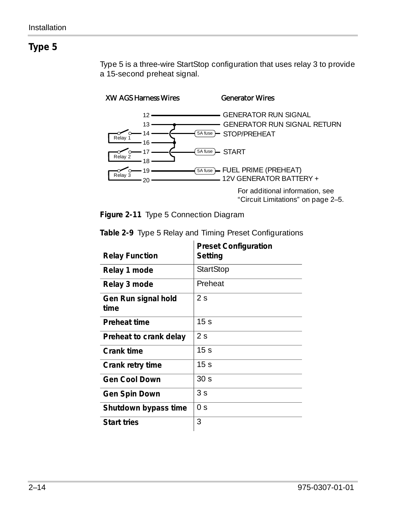<span id="page-31-0"></span>Type 5 is a three-wire StartStop configuration that uses relay 3 to provide a 15-second preheat signal.



**Figure 2-11** Type 5 Connection Diagram

|                             | <b>Preset Configuration</b> |
|-----------------------------|-----------------------------|
| <b>Relay Function</b>       | Setting                     |
| Relay 1 mode                | StartStop                   |
| Relay 3 mode                | Preheat                     |
| Gen Run signal hold<br>time | 2 s                         |
| Preheat time                | 15 <sub>s</sub>             |
| Preheat to crank delay      | 2s                          |
| Crank time                  | 15 <sub>s</sub>             |
| Crank retry time            | 15 <sub>s</sub>             |
| <b>Gen Cool Down</b>        | 30 <sub>s</sub>             |
| Gen Spin Down               | 3 <sup>5</sup>              |
| Shutdown bypass time        | 0 <sub>S</sub>              |
| <b>Start tries</b>          | 3                           |

**Table 2-9** Type 5 Relay and Timing Preset Configurations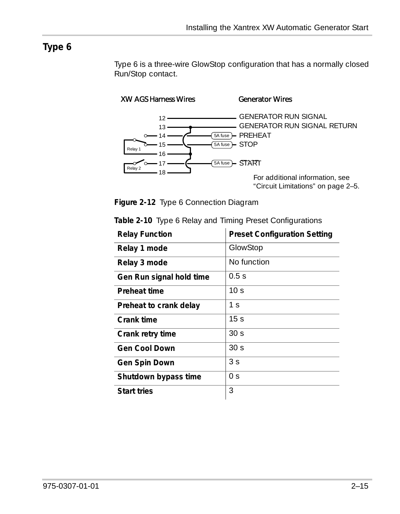<span id="page-32-0"></span>Type 6 is a three-wire GlowStop configuration that has a normally closed Run/Stop contact.

XW AGS Harness Wires Generator Wires



["Circuit Limitations" on page 2–5.](#page-22-1)

**Figure 2-12** Type 6 Connection Diagram

| <b>Relay Function</b>    | <b>Preset Configuration Setting</b> |
|--------------------------|-------------------------------------|
| Relay 1 mode             | GlowStop                            |
| Relay 3 mode             | No function                         |
| Gen Run signal hold time | 0.5s                                |
| Preheat time             | 10 <sub>s</sub>                     |
| Preheat to crank delay   | 1 s                                 |
| Crank time               | 15 <sub>s</sub>                     |
| Crank retry time         | 30 <sub>s</sub>                     |
| <b>Gen Cool Down</b>     | 30 <sub>s</sub>                     |
| Gen Spin Down            | 3 <sub>S</sub>                      |
| Shutdown bypass time     | 0 s                                 |
| <b>Start tries</b>       | 3                                   |

**Table 2-10** Type 6 Relay and Timing Preset Configurations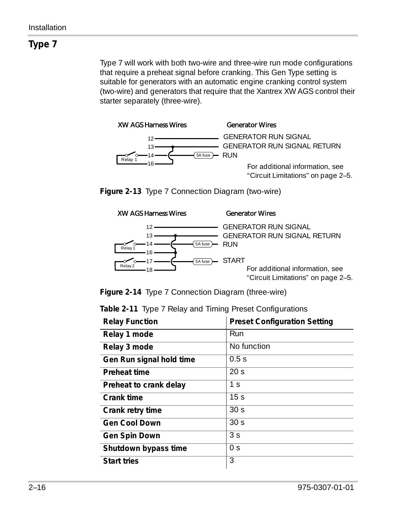<span id="page-33-0"></span>Type 7 will work with both two-wire and three-wire run mode configurations that require a preheat signal before cranking. This Gen Type setting is suitable for generators with an automatic engine cranking control system (two-wire) and generators that require that the Xantrex XW AGS control their starter separately (three-wire).



GENERATOR RUN SIGNAL GENERATOR RUN SIGNAL GENERATOR RUN SIGNAL RETURN For additional information, see ["Circuit Limitations" on page 2–5.](#page-22-1)

**Figure 2-13** Type 7 Connection Diagram (two-wire)



**Figure 2-14** Type 7 Connection Diagram (three-wire)

|  |  |  |  | Table 2-11 Type 7 Relay and Timing Preset Configurations |
|--|--|--|--|----------------------------------------------------------|
|--|--|--|--|----------------------------------------------------------|

| <b>Relay Function</b>    | <b>Preset Configuration Setting</b> |
|--------------------------|-------------------------------------|
| Relay 1 mode             | Run                                 |
| Relay 3 mode             | No function                         |
| Gen Run signal hold time | 0.5s                                |
| Preheat time             | 20 <sub>s</sub>                     |
| Preheat to crank delay   | 1 <sub>s</sub>                      |
| Crank time               | 15 <sub>s</sub>                     |
| Crank retry time         | 30 <sub>s</sub>                     |
| Gen Cool Down            | 30 <sub>s</sub>                     |
| Gen Spin Down            | 3 <sub>S</sub>                      |
| Shutdown bypass time     | 0 <sub>S</sub>                      |
| <b>Start tries</b>       | 3                                   |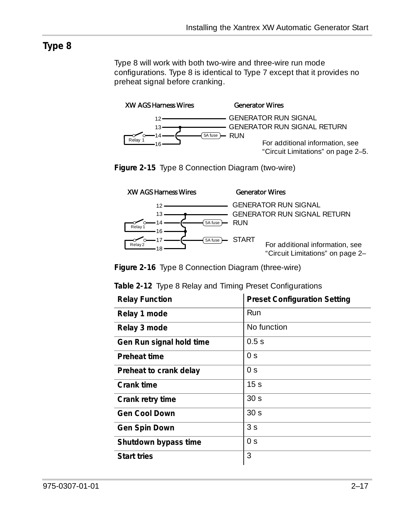<span id="page-34-0"></span>Type 8 will work with both two-wire and three-wire run mode configurations. Type 8 is identical to Type 7 except that it provides no preheat signal before cranking.



GENERATOR RUN SIGNAL GENERATOR RUN SIGNAL GENERATOR RUN SIGNAL RETURN For additional information, see ["Circuit Limitations" on page 2–5.](#page-22-1)

**Figure 2-15** Type 8 Connection Diagram (two-wire)



GENERATOR RUN SIGNAL GENERATOR RUN SIGNAL GENERATOR RUN SIGNAL RETURN RUN RUN

> For additional information, see ["Circuit Limitations" on page 2–](#page-22-1)

**Figure 2-16** Type 8 Connection Diagram (t[h](#page-22-1)ree-wire)

| <b>Relay Function</b>    | <b>Preset Configuration Setting</b> |
|--------------------------|-------------------------------------|
| Relay 1 mode             | Run                                 |
| Relay 3 mode             | No function                         |
| Gen Run signal hold time | 0.5s                                |
| Preheat time             | 0 s                                 |
| Preheat to crank delay   | 0 <sup>5</sup>                      |
| Crank time               | 15 <sub>s</sub>                     |
| Crank retry time         | 30 <sub>s</sub>                     |
| <b>Gen Cool Down</b>     | 30 <sub>s</sub>                     |
| Gen Spin Down            | 3 <sub>S</sub>                      |
| Shutdown bypass time     | 0 <sub>S</sub>                      |
| <b>Start tries</b>       | 3                                   |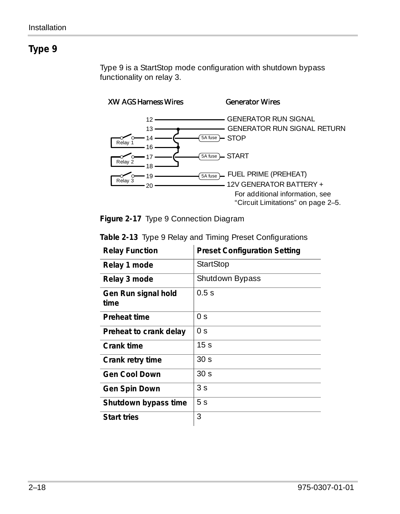<span id="page-35-0"></span>Type 9 is a StartStop mode configuration with shutdown bypass functionality on relay 3.



**Figure 2-17** Type 9 Connection Diagram

| <b>Relay Function</b>       | <b>Preset Configuration Setting</b> |
|-----------------------------|-------------------------------------|
| Relay 1 mode                | StartStop                           |
| Relay 3 mode                | Shutdown Bypass                     |
| Gen Run signal hold<br>time | 0.5s                                |
| Preheat time                | 0 <sub>S</sub>                      |
| Preheat to crank delay      | 0 <sup>5</sup>                      |
| Crank time                  | 15 <sub>s</sub>                     |
| Crank retry time            | 30 <sub>s</sub>                     |
| Gen Cool Down               | 30 <sub>s</sub>                     |
| Gen Spin Down               | 3 <sub>S</sub>                      |
| Shutdown bypass time        | 5 <sub>S</sub>                      |
| <b>Start tries</b>          | 3                                   |

**Table 2-13** Type 9 Relay and Timing Preset Configurations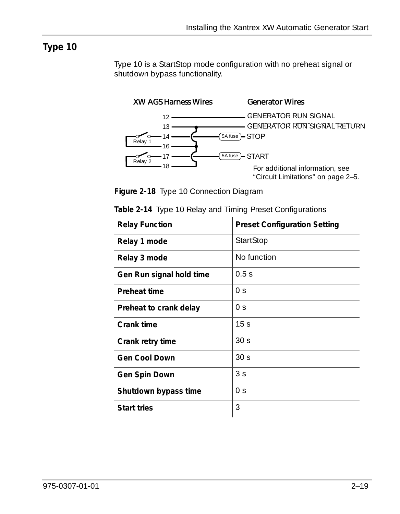<span id="page-36-0"></span>Type 10 is a StartStop mode configuration with no preheat signal or shutdown bypass functionality.



**Figure 2-18** Type 10 Connection Diagram

| <b>Relay Function</b>    | <b>Preset Configuration Setting</b> |
|--------------------------|-------------------------------------|
| Relay 1 mode             | StartStop                           |
| Relay 3 mode             | No function                         |
| Gen Run signal hold time | 0.5s                                |
| Preheat time             | 0 <sup>5</sup>                      |
| Preheat to crank delay   | 0 <sub>S</sub>                      |
| Crank time               | 15 <sub>s</sub>                     |
| Crank retry time         | 30 <sub>s</sub>                     |
| <b>Gen Cool Down</b>     | 30 <sub>s</sub>                     |
| Gen Spin Down            | 3 <sub>S</sub>                      |
| Shutdown bypass time     | 0 <sub>S</sub>                      |
| <b>Start tries</b>       | 3                                   |

|  |  | Table 2-14 Type 10 Relay and Timing Preset Configurations |
|--|--|-----------------------------------------------------------|
|  |  |                                                           |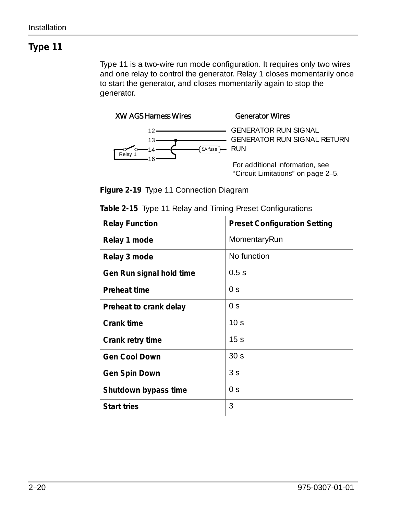<span id="page-37-0"></span>Type 11 is a two-wire run mode configuration. It requires only two wires and one relay to control the generator. Relay 1 closes momentarily once to start the generator, and closes momentarily again to stop the generator.



GENERATOR RUN SIGNAL GENERATOR RUN SIGNAL GENERATOR RUN SIGNAL RETURN RUN RUN

For additional information, see ["Circuit Limitations" on page 2–5.](#page-22-0)

**Figure 2-19** Type 11 Connection Diagram

| <b>Relay Function</b>    | <b>Preset Configuration Setting</b> |
|--------------------------|-------------------------------------|
| Relay 1 mode             | MomentaryRun                        |
| Relay 3 mode             | No function                         |
| Gen Run signal hold time | 0.5s                                |
| Preheat time             | 0 <sub>S</sub>                      |
| Preheat to crank delay   | 0 <sub>S</sub>                      |
| Crank time               | 10 <sub>s</sub>                     |
| Crank retry time         | 15 <sub>s</sub>                     |
| <b>Gen Cool Down</b>     | 30 <sub>s</sub>                     |
| Gen Spin Down            | 3 <sup>5</sup>                      |
| Shutdown bypass time     | 0 <sup>5</sup>                      |
| <b>Start tries</b>       | 3                                   |

**Table 2-15** Type 11 Relay and Timing Preset Configurations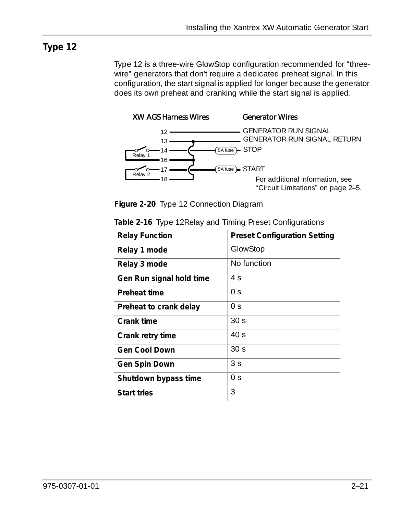<span id="page-38-0"></span>Type 12 is a three-wire GlowStop configuration recommended for "threewire" generators that don't require a dedicated preheat signal. In this configuration, the start signal is applied for longer because the generator does its own preheat and cranking while the start signal is applied.



**Figure 2-20** Type 12 Connection Diagram

| <b>Relay Function</b>    | <b>Preset Configuration Setting</b> |
|--------------------------|-------------------------------------|
| Relay 1 mode             | GlowStop                            |
| Relay 3 mode             | No function                         |
| Gen Run signal hold time | 4 s                                 |
| Preheat time             | 0 <sup>5</sup>                      |
| Preheat to crank delay   | 0 <sup>5</sup>                      |
| Crank time               | 30 <sub>s</sub>                     |
| Crank retry time         | 40 <sub>s</sub>                     |
| <b>Gen Cool Down</b>     | 30 <sub>s</sub>                     |
| Gen Spin Down            | 3 <sub>S</sub>                      |
| Shutdown bypass time     | 0 s                                 |
| <b>Start tries</b>       | 3                                   |

|  |  | Table 2-16 Type 12Relay and Timing Preset Configurations |
|--|--|----------------------------------------------------------|
|  |  |                                                          |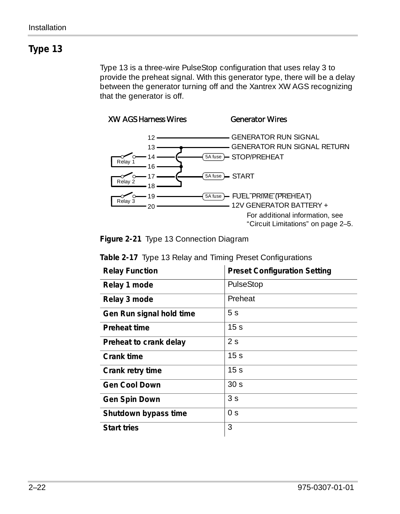<span id="page-39-0"></span>Type 13 is a three-wire PulseStop configuration that uses relay 3 to provide the preheat signal. With this generator type, there will be a delay between the generator turning off and the Xantrex XW AGS recognizing that the generator is off.



**Figure 2-21** Type 13 Connection Diagram

| <b>Relay Function</b>    | <b>Preset Configuration Setting</b> |
|--------------------------|-------------------------------------|
| Relay 1 mode             | PulseStop                           |
| Relay 3 mode             | Preheat                             |
| Gen Run signal hold time | 5 <sub>S</sub>                      |
| Preheat time             | 15 <sub>s</sub>                     |
| Preheat to crank delay   | 2s                                  |
| Crank time               | 15 <sub>s</sub>                     |
| Crank retry time         | 15 <sub>s</sub>                     |
| <b>Gen Cool Down</b>     | 30 <sub>s</sub>                     |
| Gen Spin Down            | 3 <sub>S</sub>                      |
| Shutdown bypass time     | 0 <sup>5</sup>                      |
| <b>Start tries</b>       | 3                                   |

**Table 2-17** Type 13 Relay and Timing Preset Configurations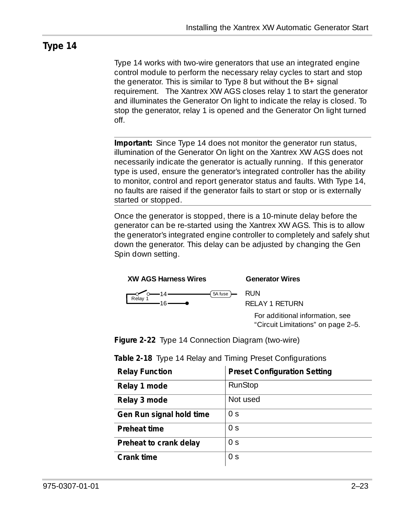<span id="page-40-0"></span>Type 14 works with two-wire generators that use an integrated engine control module to perform the necessary relay cycles to start and stop the generator. This is similar to Type 8 but without the B+ signal requirement. The Xantrex XW AGS closes relay 1 to start the generator and illuminates the Generator On light to indicate the relay is closed. To stop the generator, relay 1 is opened and the Generator On light turned off.

**Important:** Since Type 14 does not monitor the generator run status, illumination of the Generator On light on the Xantrex XW AGS does not necessarily indicate the generator is actually running. If this generator type is used, ensure the generator's integrated controller has the ability to monitor, control and report generator status and faults. With Type 14, no faults are raised if the generator fails to start or stop or is externally started or stopped.

Once the generator is stopped, there is a 10-minute delay before the generator can be re-started using the Xantrex XW AGS. This is to allow the generator's integrated engine controller to completely and safely shut down the generator. This delay can be adjusted by changing the Gen Spin down setting.



RELAY 1 RETURN RELAY 1 RETURN

For additional information, see ["Circuit Limitations" on page 2–5.](#page-22-0)

**Figure 2-22** Type 14 Connection Diagram (two-wire)

| <b>Relay Function</b>    | <b>Preset Configuration Setting</b> |
|--------------------------|-------------------------------------|
| Relay 1 mode             | RunStop                             |
| Relay 3 mode             | Not used                            |
| Gen Run signal hold time | 0 <sub>S</sub>                      |
| Preheat time             | 0 s                                 |
| Preheat to crank delay   | 0 <sub>S</sub>                      |
| Crank time               | 0 s                                 |

|  |  |  |  | Table 2-18 Type 14 Relay and Timing Preset Configurations |
|--|--|--|--|-----------------------------------------------------------|
|--|--|--|--|-----------------------------------------------------------|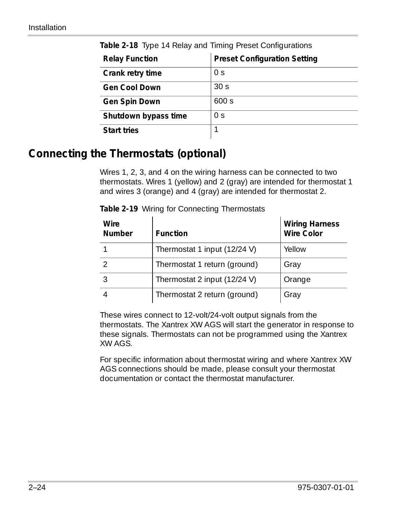| <b>Relay Function</b> | <b>Preset Configuration Setting</b> |
|-----------------------|-------------------------------------|
| Crank retry time      | 0 <sup>5</sup>                      |
| <b>Gen Cool Down</b>  | 30 <sub>s</sub>                     |
| Gen Spin Down         | 600 s                               |
| Shutdown bypass time  | 0 <sub>S</sub>                      |
| <b>Start tries</b>    |                                     |

Table 2-18 Type 14 Relay and Timing Preset Configurations

## **Connecting the Thermostats (optional)**

Wires 1, 2, 3, and 4 on the wiring harness can be connected to two thermostats. Wires 1 (yellow) and 2 (gray) are intended for thermostat 1 and wires 3 (orange) and 4 (gray) are intended for thermostat 2.

| Wire<br><b>Number</b> | <b>Function</b>              | <b>Wiring Harness</b><br><b>Wire Color</b> |
|-----------------------|------------------------------|--------------------------------------------|
|                       | Thermostat 1 input (12/24 V) | Yellow                                     |
|                       | Thermostat 1 return (ground) | Gray                                       |
|                       | Thermostat 2 input (12/24 V) | Orange                                     |
|                       | Thermostat 2 return (ground) | Gray                                       |

**Table 2-19** Wiring for Connecting Thermostats

These wires connect to 12-volt/24-volt output signals from the thermostats. The Xantrex XW AGS will start the generator in response to these signals. Thermostats can not be programmed using the Xantrex XW AGS.

For specific information about thermostat wiring and where Xantrex XW AGS connections should be made, please consult your thermostat documentation or contact the thermostat manufacturer.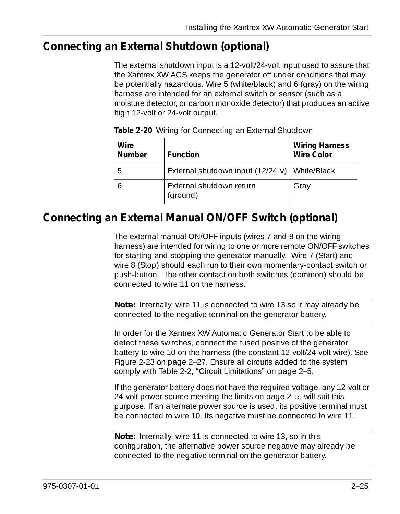## **Connecting an External Shutdown (optional)**

The external shutdown input is a 12-volt/24-volt input used to assure that the Xantrex XW AGS keeps the generator off under conditions that may be potentially hazardous. Wire 5 (white/black) and 6 (gray) on the wiring harness are intended for an external switch or sensor (such as a moisture detector, or carbon monoxide detector) that produces an active high 12-volt or 24-volt output.

| Wire<br>Number | Function                                        | <b>Wiring Harness</b><br>Wire Color |
|----------------|-------------------------------------------------|-------------------------------------|
| 5              | External shutdown input (12/24 V)   White/Black |                                     |
|                | External shutdown return<br>(ground)            | Gray                                |

**Table 2-20** Wiring for Connecting an External Shutdown

## **Connecting an External Manual ON/OFF Switch (optional)**

The external manual ON/OFF inputs (wires 7 and 8 on the wiring harness) are intended for wiring to one or more remote ON/OFF switches for starting and stopping the generator manually. Wire 7 (Start) and wire 8 (Stop) should each run to their own momentary-contact switch or push-button. The other contact on both switches (common) should be connected to wire 11 on the harness.

**Note:** Internally, wire 11 is connected to wire 13 so it may already be connected to the negative terminal on the generator battery.

In order for the Xantrex XW Automatic Generator Start to be able to detect these switches, connect the fused positive of the generator battery to wire 10 on the harness (the constant 12-volt/24-volt wire). See [Figure 2-23 on page 2–27](#page-44-0). Ensure all circuits added to the system comply with [Table 2-2, "Circuit Limitations" on page 2–5.](#page-22-1)

If the generator battery does not have the required voltage, any 12-volt or 24-volt power source meeting the limits on [page 2–5,](#page-22-1) will suit this purpose. If an alternate power source is used, its positive terminal must be connected to wire 10. Its negative must be connected to wire 11.

**Note:** Internally, wire 11 is connected to wire 13, so in this configuration, the alternative power source negative may already be connected to the negative terminal on the generator battery.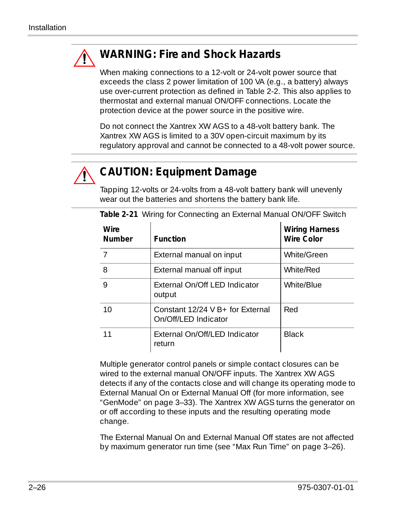

## **WARNING: Fire and Shock Hazards**

When making connections to a 12-volt or 24-volt power source that exceeds the class 2 power limitation of 100 VA (e.g., a battery) always use over-current protection as defined in [Table 2-2.](#page-22-1) This also applies to thermostat and external manual ON/OFF connections. Locate the protection device at the power source in the positive wire.

Do not connect the Xantrex XW AGS to a 48-volt battery bank. The Xantrex XW AGS is limited to a 30V open-circuit maximum by its regulatory approval and cannot be connected to a 48-volt power source.



## **CAUTION: Equipment Damage**

Tapping 12-volts or 24-volts from a 48-volt battery bank will unevenly wear out the batteries and shortens the battery bank life.

| Wire<br><b>Number</b> | <b>Function</b>                                          | <b>Wiring Harness</b><br>Wire Color |
|-----------------------|----------------------------------------------------------|-------------------------------------|
| 7                     | External manual on input                                 | White/Green                         |
| 8                     | External manual off input                                | White/Red                           |
| 9                     | External On/Off LED Indicator<br>output                  | White/Blue                          |
| 10                    | Constant 12/24 V B+ for External<br>On/Off/LED Indicator | Red                                 |
|                       | External On/Off/LED Indicator<br>return                  | <b>Black</b>                        |

**Table 2-21** Wiring for Connecting an External Manual ON/OFF Switch

Multiple generator control panels or simple contact closures can be wired to the external manual ON/OFF inputs. The Xantrex XW AGS detects if any of the contacts close and will change its operating mode to External Manual On or External Manual Off (for more information, see ["GenMode" on page 3–33\)](#page-80-0). The Xantrex XW AGS turns the generator on or off according to these inputs and the resulting operating mode change.

The External Manual On and External Manual Off states are not affected by maximum generator run time (see ["Max Run Time" on page 3–26](#page-73-0)).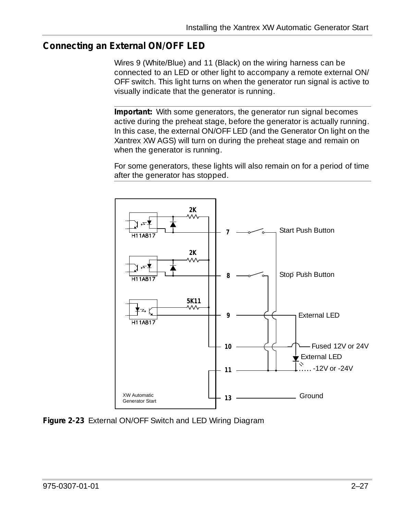## **Connecting an External ON/OFF LED**

Wires 9 (White/Blue) and 11 (Black) on the wiring harness can be connected to an LED or other light to accompany a remote external ON/ OFF switch. This light turns on when the generator run signal is active to visually indicate that the generator is running.

**Important:** With some generators, the generator run signal becomes active during the preheat stage, before the generator is actually running. In this case, the external ON/OFF LED (and the Generator On light on the Xantrex XW AGS) will turn on during the preheat stage and remain on when the generator is running.

For some generators, these lights will also remain on for a period of time after the generator has stopped.



<span id="page-44-0"></span>**Figure 2-23** External ON/OFF Switch and LED Wiring Diagram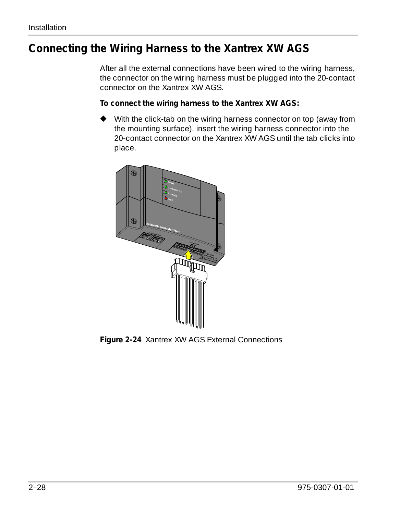## **Connecting the Wiring Harness to the Xantrex XW AGS**

After all the external connections have been wired to the wiring harness, the connector on the wiring harness must be plugged into the 20-contact connector on the Xantrex XW AGS.

#### **To connect the wiring harness to the Xantrex XW AGS:**

◆ With the click-tab on the wiring harness connector on top (away from the mounting surface), insert the wiring harness connector into the 20-contact connector on the Xantrex XW AGS until the tab clicks into place.



**Figure 2-24** Xantrex XW AGS External Connections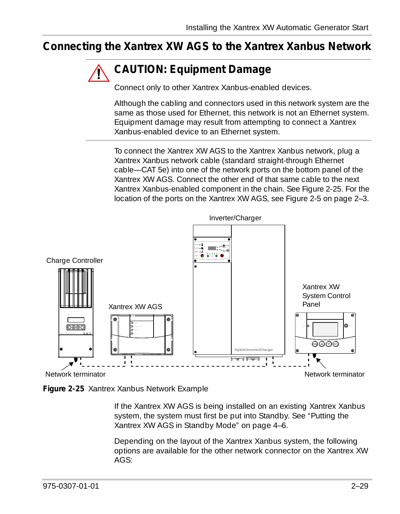## **Connecting the Xantrex XW AGS to the Xantrex Xanbus Network**

## **CAUTION: Equipment Damage**

Connect only to other Xantrex Xanbus-enabled devices.

Although the cabling and connectors used in this network system are the same as those used for Ethernet, this network is not an Ethernet system. Equipment damage may result from attempting to connect a Xantrex Xanbus-enabled device to an Ethernet system.

To connect the Xantrex XW AGS to the Xantrex Xanbus network, plug a Xantrex Xanbus network cable (standard straight-through Ethernet cable—CAT 5e) into one of the network ports on the bottom panel of the Xantrex XW AGS. Connect the other end of that same cable to the next Xantrex Xanbus-enabled component in the chain. See [Figure 2-25](#page-46-0). For the location of the ports on the Xantrex XW AGS, see [Figure 2-5 on page 2–3](#page-20-0).



<span id="page-46-0"></span>**Figure 2-25** Xantrex Xanbus Network Example

If the Xantrex XW AGS is being installed on an existing Xantrex Xanbus system, the system must first be put into Standby. See ["Putting the](#page-91-0)  [Xantrex XW AGS in Standby Mode" on page 4–6](#page-91-0).

Depending on the layout of the Xantrex Xanbus system, the following options are available for the other network connector on the Xantrex XW AGS: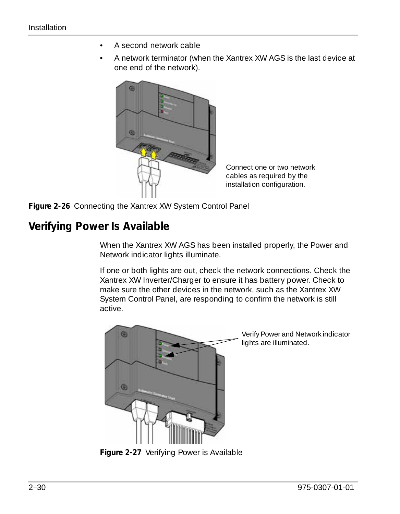- A second network cable
- A network terminator (when the Xantrex XW AGS is the last device at one end of the network).



Connect one or two network cables as required by the installation configuration.

**Figure 2-26** Connecting the Xantrex XW System Control Panel

## **Verifying Power Is Available**

When the Xantrex XW AGS has been installed properly, the Power and Network indicator lights illuminate.

If one or both lights are out, check the network connections. Check the Xantrex XW Inverter/Charger to ensure it has battery power. Check to make sure the other devices in the network, such as the Xantrex XW System Control Panel, are responding to confirm the network is still active.



Verify Power and Network indicator lights are illuminated.

**Figure 2-27** Verifying Power is Available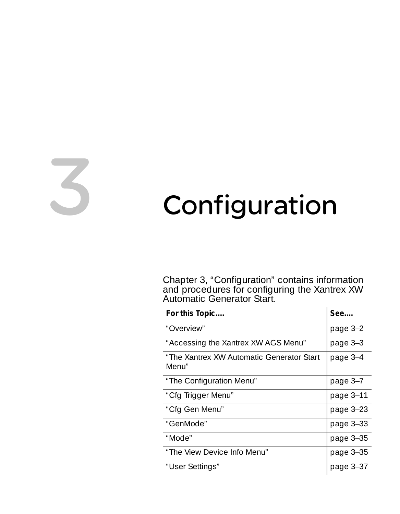# <span id="page-48-0"></span>3 Configuration

[Chapter 3, "Configuration"](#page-48-0) contains information and procedures for configuring the Xantrex XW Automatic Generator Start.

| For this Topic                                     | See         |
|----------------------------------------------------|-------------|
| "Overview"                                         | page 3-2    |
| "Accessing the Xantrex XW AGS Menu"                | page 3-3    |
| "The Xantrex XW Automatic Generator Start<br>Menu" | page 3-4    |
| "The Configuration Menu"                           | page 3-7    |
| "Cfg Trigger Menu"                                 | page 3-11   |
| "Cfg Gen Menu"                                     | page 3-23   |
| "GenMode"                                          | page $3-33$ |
| "Mode"                                             | page 3-35   |
| "The View Device Info Menu"                        | page 3-35   |
| "User Settings"                                    | page $3-37$ |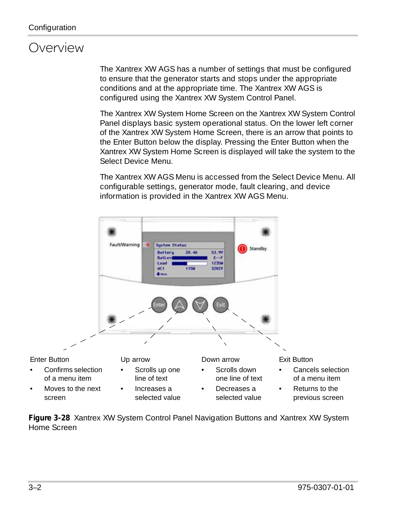## <span id="page-49-0"></span>**Overview**

The Xantrex XW AGS has a number of settings that must be configured to ensure that the generator starts and stops under the appropriate conditions and at the appropriate time. The Xantrex XW AGS is configured using the Xantrex XW System Control Panel.

The Xantrex XW System Home Screen on the Xantrex XW System Control Panel displays basic system operational status. On the lower left corner of the Xantrex XW System Home Screen, there is an arrow that points to the Enter Button below the display. Pressing the Enter Button when the Xantrex XW System Home Screen is displayed will take the system to the Select Device Menu.

The Xantrex XW AGS Menu is accessed from the Select Device Menu. All configurable settings, generator mode, fault clearing, and device information is provided in the Xantrex XW AGS Menu.



**Figure 3-28** Xantrex XW System Control Panel Navigation Buttons and Xantrex XW System Home Screen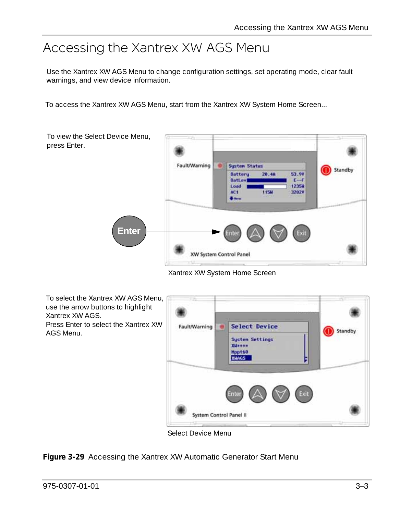## <span id="page-50-0"></span>Accessing the Xantrex XW AGS Menu

Use the Xantrex XW AGS Menu to change configuration settings, set operating mode, clear fault warnings, and view device information.

To access the Xantrex XW AGS Menu, start from the Xantrex XW System Home Screen...



Xantrex XW System Home Screen



**Figure 3-29** Accessing the Xantrex XW Automatic Generator Start Menu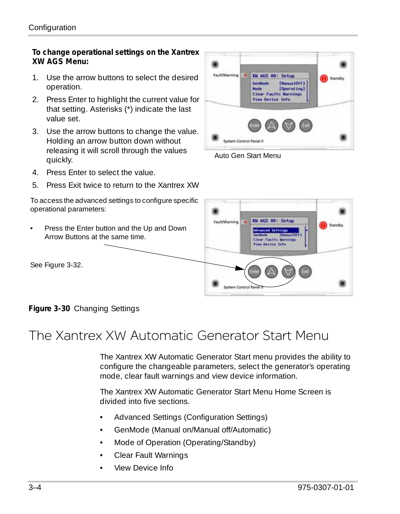#### **To change operational settings on the Xantrex XW AGS Menu:**

- 1. Use the arrow buttons to select the desired operation.
- 2. Press Enter to highlight the current value for that setting. Asterisks (\*) indicate the last value set.
- 3. Use the arrow buttons to change the value. Holding an arrow button down without releasing it will scroll through the values quickly.
- 4. Press Enter to select the value.
- 5. Press Exit twice to return to the Xantrex XW

To access the advanced settings to configure specific operational parameters:

• Press the Enter button and the Up and Down Arrow Buttons at the same time.

See [Figure 3-32](#page-53-0).



Auto Gen Start Menu



**Figure 3-30** Changing Settings

# <span id="page-51-0"></span>The Xantrex XW Automatic Generator Start Menu

The Xantrex XW Automatic Generator Start menu provides the ability to configure the changeable parameters, select the generator's operating mode, clear fault warnings and view device information.

The Xantrex XW Automatic Generator Start Menu Home Screen is divided into five sections.

- Advanced Settings (Configuration Settings)
- GenMode (Manual on/Manual off/Automatic)
- Mode of Operation (Operating/Standby)
- Clear Fault Warnings
- View Device Info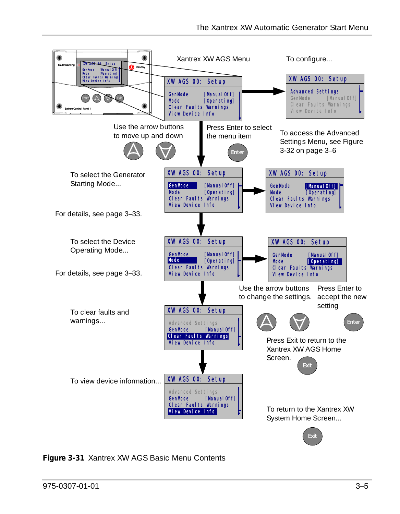

**Figure 3-31** Xantrex XW AGS Basic Menu Contents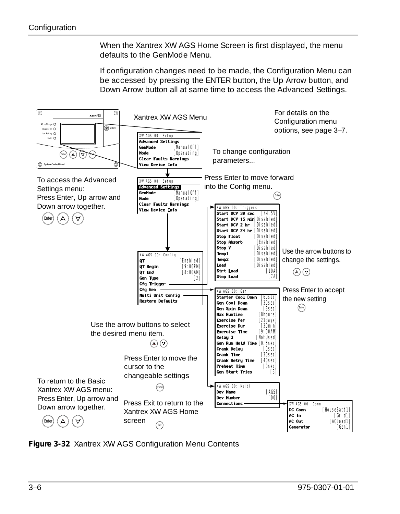When the Xantrex XW AGS Home Screen is first displayed, the menu defaults to the GenMode Menu.

If configuration changes need to be made, the Configuration Menu can be accessed by pressing the ENTER button, the Up Arrow button, and Down Arrow button all at same time to access the Advanced Settings.



<span id="page-53-0"></span>**Figure 3-32** Xantrex XW AGS Configuration Menu Contents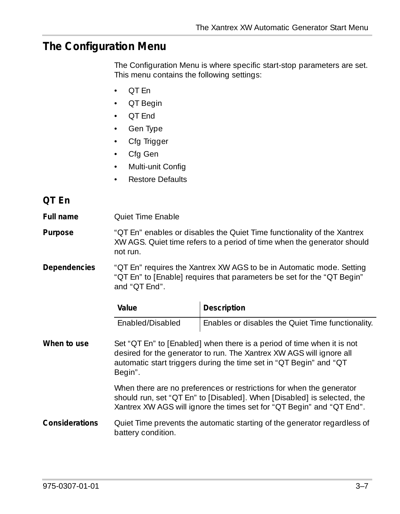## <span id="page-54-0"></span>**The Configuration Menu**

The Configuration Menu is where specific start-stop parameters are set. This menu contains the following settings:

- QT En
- QT Begin
- QT End
- Gen Type
- Cfg Trigger
- Cfg Gen
- Multi-unit Config
- Restore Defaults

## <span id="page-54-1"></span>**QT En**

**Full name Quiet Time Enable** 

**Purpose** ["QT En"](#page-54-1) enables or disables the Quiet Time functionality of the Xantrex XW AGS. Quiet time refers to a period of time when the generator should not run.

**Dependencies** ["QT En"](#page-54-1) requires the Xantrex XW AGS to be in Automatic mode. Setting ["QT En"](#page-54-1) to [Enable] requires that parameters be set for the ["QT Begin"](#page-55-0)  and ["QT End".](#page-56-0)

| Value            | Description                                       |
|------------------|---------------------------------------------------|
| Enabled/Disabled | Enables or disables the Quiet Time functionality. |

**When to use** Set ["QT En"](#page-54-1) to [Enabled] when there is a period of time when it is not desired for the generator to run. The Xantrex XW AGS will ignore all automatic start triggers during the time set in ["QT Begin"](#page-55-0) and ["QT](#page-55-0)  [Begin".](#page-55-0)

> When there are no preferences or restrictions for when the generator should run, set ["QT En"](#page-54-1) to [Disabled]. When [Disabled] is selected, the Xantrex XW AGS will ignore the times set for ["QT Begin"](#page-55-0) and ["QT End"](#page-56-0).

#### **Considerations** Quiet Time prevents the automatic starting of the generator regardless of battery condition.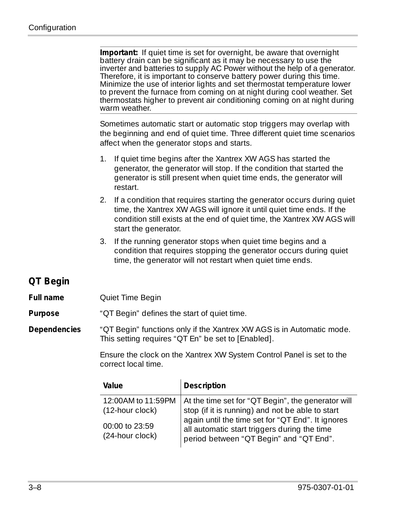<span id="page-55-0"></span>

|                  | Important: If quiet time is set for overnight, be aware that overnight<br>battery drain can be significant as it may be necessary to use the<br>inverter and batteries to supply AC Power without the help of a generator.<br>Therefore, it is important to conserve battery power during this time.<br>Minimize the use of interior lights and set thermostat temperature lower<br>to prevent the furnace from coming on at night during cool weather. Set<br>thermostats higher to prevent air conditioning coming on at night during<br>warm weather. |                                                                                                                                                                                                 |  |
|------------------|----------------------------------------------------------------------------------------------------------------------------------------------------------------------------------------------------------------------------------------------------------------------------------------------------------------------------------------------------------------------------------------------------------------------------------------------------------------------------------------------------------------------------------------------------------|-------------------------------------------------------------------------------------------------------------------------------------------------------------------------------------------------|--|
|                  | Sometimes automatic start or automatic stop triggers may overlap with<br>the beginning and end of quiet time. Three different quiet time scenarios<br>affect when the generator stops and starts.                                                                                                                                                                                                                                                                                                                                                        |                                                                                                                                                                                                 |  |
|                  | If quiet time begins after the Xantrex XW AGS has started the<br>1.<br>generator, the generator will stop. If the condition that started the<br>generator is still present when quiet time ends, the generator will<br>restart.                                                                                                                                                                                                                                                                                                                          |                                                                                                                                                                                                 |  |
|                  | If a condition that requires starting the generator occurs during quiet<br>2.<br>time, the Xantrex XW AGS will ignore it until quiet time ends. If the<br>condition still exists at the end of quiet time, the Xantrex XW AGS will<br>start the generator.                                                                                                                                                                                                                                                                                               |                                                                                                                                                                                                 |  |
|                  | 3.                                                                                                                                                                                                                                                                                                                                                                                                                                                                                                                                                       | If the running generator stops when quiet time begins and a<br>condition that requires stopping the generator occurs during quiet<br>time, the generator will not restart when quiet time ends. |  |
| QT Begin         |                                                                                                                                                                                                                                                                                                                                                                                                                                                                                                                                                          |                                                                                                                                                                                                 |  |
| <b>Full name</b> | Quiet Time Begin                                                                                                                                                                                                                                                                                                                                                                                                                                                                                                                                         |                                                                                                                                                                                                 |  |
| Purpose          | "OT Begin" defines the start of quiet time.                                                                                                                                                                                                                                                                                                                                                                                                                                                                                                              |                                                                                                                                                                                                 |  |
| Dependencies     | "OT Begin" functions only if the Xantrex XW AGS is in Automatic mode.<br>This setting requires "QT En" be set to [Enabled].                                                                                                                                                                                                                                                                                                                                                                                                                              |                                                                                                                                                                                                 |  |
|                  | Ensure the clock on the Xantrex XW System Control Panel is set to the<br>correct local time.                                                                                                                                                                                                                                                                                                                                                                                                                                                             |                                                                                                                                                                                                 |  |
|                  | Value                                                                                                                                                                                                                                                                                                                                                                                                                                                                                                                                                    | Description                                                                                                                                                                                     |  |
|                  | 12:00AM to 11:59PM<br>(12-hour clock)                                                                                                                                                                                                                                                                                                                                                                                                                                                                                                                    | At the time set for "QT Begin", the generator will<br>stop (if it is running) and not be able to start                                                                                          |  |
|                  | 00:00 to 23:59<br>(24-hour clock)                                                                                                                                                                                                                                                                                                                                                                                                                                                                                                                        | again until the time set for "QT End". It ignores<br>all automatic start triggers during the time<br>period between "QT Begin" and "QT End".                                                    |  |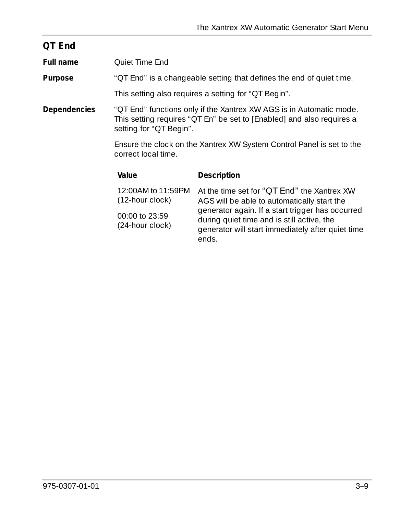<span id="page-56-0"></span>

| QT End              |                                                                                                                                                                         |
|---------------------|-------------------------------------------------------------------------------------------------------------------------------------------------------------------------|
| Full name           | <b>Oujet Time End</b>                                                                                                                                                   |
| Purpose             | "QT End" is a changeable setting that defines the end of quiet time.                                                                                                    |
|                     | This setting also requires a setting for "QT Begin".                                                                                                                    |
| <b>Dependencies</b> | "OT End" functions only if the Xantrex XW AGS is in Automatic mode.<br>This setting requires "QT En" be set to [Enabled] and also requires a<br>setting for "QT Begin". |
|                     | Ensure the clock on the Xantrex XW System Control Panel is set to the<br>correct local time.                                                                            |
|                     |                                                                                                                                                                         |

| Value                                   | Description                                                                                                                                                  |
|-----------------------------------------|--------------------------------------------------------------------------------------------------------------------------------------------------------------|
| 12:00 AM to 11:59 PM<br>(12-hour clock) | At the time set for "QT End" the Xantrex XW<br>AGS will be able to automatically start the                                                                   |
| 00:00 to 23:59<br>(24-hour clock)       | generator again. If a start trigger has occurred<br>during quiet time and is still active, the<br>generator will start immediately after quiet time<br>ends. |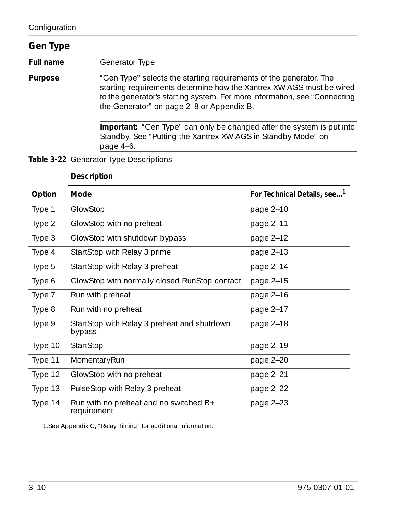### <span id="page-57-0"></span>**Gen Type**

**Full name** Generator Type

**Purpose** ["Gen Type"](#page-57-0) selects the starting requirements of the generator. The starting requirements determine how the Xantrex XW AGS must be wired to the generator's starting system. For more information, see ["Connecting](#page-25-0)  [the Generator" on page 2–8](#page-25-0) or Appendix B.

> **Important:** ["Gen Type"](#page-57-0) can only be changed after the system is put into Standby. See ["Putting the Xantrex XW AGS in Standby Mode" on](#page-91-0)  [page 4–6](#page-91-0).

**Table 3-22** Generator Type Descriptions

|         | Description                                           |                                         |
|---------|-------------------------------------------------------|-----------------------------------------|
| Option  | Mode                                                  | For Technical Details, see <sup>1</sup> |
| Type 1  | GlowStop                                              | page 2-10                               |
| Type 2  | GlowStop with no preheat                              | page 2-11                               |
| Type 3  | GlowStop with shutdown bypass                         | page 2-12                               |
| Type 4  | StartStop with Relay 3 prime                          | page 2-13                               |
| Type 5  | StartStop with Relay 3 preheat                        | page $2-14$                             |
| Type 6  | GlowStop with normally closed RunStop contact         | page 2-15                               |
| Type 7  | Run with preheat                                      | page 2-16                               |
| Type 8  | Run with no preheat                                   | page 2-17                               |
| Type 9  | StartStop with Relay 3 preheat and shutdown<br>bypass | page $2-18$                             |
| Type 10 | StartStop                                             | page 2-19                               |
| Type 11 | MomentaryRun                                          | page 2-20                               |
| Type 12 | GlowStop with no preheat                              | page 2-21                               |
| Type 13 | PulseStop with Relay 3 preheat                        | page 2-22                               |
| Type 14 | Run with no preheat and no switched B+<br>requirement | page $2-23$                             |

#### 1.See [Appendix C, "Relay Timing"](#page-110-0) for additional information.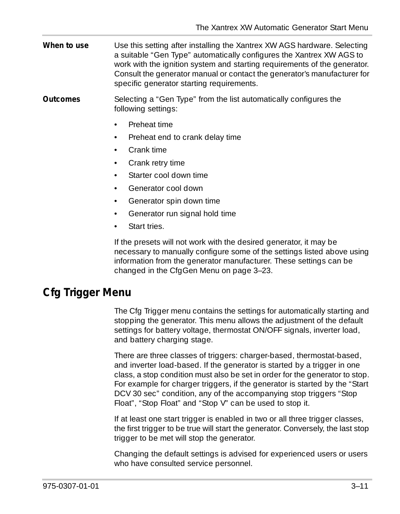- **When to use** Use this setting after installing the Xantrex XW AGS hardware. Selecting a suitable ["Gen Type"](#page-57-0) automatically configures the Xantrex XW AGS to work with the ignition system and starting requirements of the generator. Consult the generator manual or contact the generator's manufacturer for specific generator starting requirements.
- **Outcomes** Selecting a ["Gen Type"](#page-57-0) from the list automatically configures the following settings:
	- Preheat time
	- Preheat end to crank delay time
	- Crank time
	- Crank retry time
	- Starter cool down time
	- Generator cool down
	- Generator spin down time
	- Generator run signal hold time
	- Start tries.

If the presets will not work with the desired generator, it may be necessary to manually configure some of the settings listed above using information from the generator manufacturer. These settings can be changed in the CfgGen Menu on [page 3–23](#page-70-0).

## <span id="page-58-0"></span>**Cfg Trigger Menu**

The Cfg Trigger menu contains the settings for automatically starting and stopping the generator. This menu allows the adjustment of the default settings for battery voltage, thermostat ON/OFF signals, inverter load, and battery charging stage.

There are three classes of triggers: charger-based, thermostat-based, and inverter load-based. If the generator is started by a trigger in one class, a stop condition must also be set in order for the generator to stop. For example for charger triggers, if the generator is started by the ["Start](#page-60-0)  [DCV 30 sec"](#page-60-0) condition, any of the accompanying stop triggers ["Stop](#page-64-0)  [Float", "Stop Float"](#page-64-0) and ["Stop V"](#page-66-0) can be used to stop it.

If at least one start trigger is enabled in two or all three trigger classes, the first trigger to be true will start the generator. Conversely, the last stop trigger to be met will stop the generator.

Changing the default settings is advised for experienced users or users who have consulted service personnel.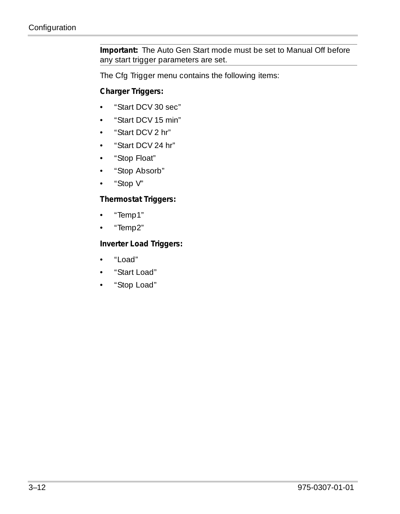**Important:** The Auto Gen Start mode must be set to Manual Off before any start trigger parameters are set.

The Cfg Trigger menu contains the following items:

#### **Charger Triggers:**

- • ["Start DCV 30 sec"](#page-60-0)
- • ["Start DCV 15 min"](#page-61-0)
- • ["Start DCV 2 hr"](#page-62-0)
- • ["Start DCV 24 hr"](#page-63-0)
- • ["Stop Float"](#page-64-0)
- • ["Stop Absorb"](#page-65-0)
- • ["Stop V"](#page-66-0)

#### **Thermostat Triggers:**

- • ["Temp1"](#page-67-0)
- • ["Temp2"](#page-67-1)

#### **Inverter Load Triggers:**

- • ["Load"](#page-68-0)
- • ["Start Load"](#page-68-1)
- • ["Stop Load"](#page-69-0)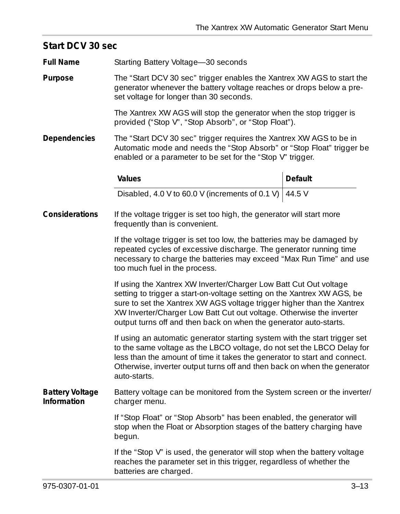<span id="page-60-0"></span>

| Start DCV 30 sec                                                                                                          |                                                                                                                                                                                                                                                                                                                                                                     |         |  |
|---------------------------------------------------------------------------------------------------------------------------|---------------------------------------------------------------------------------------------------------------------------------------------------------------------------------------------------------------------------------------------------------------------------------------------------------------------------------------------------------------------|---------|--|
| <b>Full Name</b>                                                                                                          | Starting Battery Voltage-30 seconds                                                                                                                                                                                                                                                                                                                                 |         |  |
| Purpose                                                                                                                   | The "Start DCV 30 sec" trigger enables the Xantrex XW AGS to start the<br>generator whenever the battery voltage reaches or drops below a pre-<br>set voltage for longer than 30 seconds.                                                                                                                                                                           |         |  |
|                                                                                                                           | The Xantrex XW AGS will stop the generator when the stop trigger is<br>provided ("Stop V", "Stop Absorb", or "Stop Float").                                                                                                                                                                                                                                         |         |  |
| Dependencies                                                                                                              | The "Start DCV 30 sec" trigger requires the Xantrex XW AGS to be in<br>Automatic mode and needs the "Stop Absorb" or "Stop Float" trigger be<br>enabled or a parameter to be set for the "Stop V" trigger.                                                                                                                                                          |         |  |
|                                                                                                                           | Values                                                                                                                                                                                                                                                                                                                                                              | Default |  |
|                                                                                                                           | Disabled, 4.0 V to 60.0 V (increments of 0.1 V) $\left[44.5\right)$                                                                                                                                                                                                                                                                                                 |         |  |
| Considerations<br>If the voltage trigger is set too high, the generator will start more<br>frequently than is convenient. |                                                                                                                                                                                                                                                                                                                                                                     |         |  |
|                                                                                                                           | If the voltage trigger is set too low, the batteries may be damaged by<br>repeated cycles of excessive discharge. The generator running time<br>necessary to charge the batteries may exceed "Max Run Time" and use<br>too much fuel in the process.                                                                                                                |         |  |
|                                                                                                                           | If using the Xantrex XW Inverter/Charger Low Batt Cut Out voltage<br>setting to trigger a start-on-voltage setting on the Xantrex XW AGS, be<br>sure to set the Xantrex XW AGS voltage trigger higher than the Xantrex<br>XW Inverter/Charger Low Batt Cut out voltage. Otherwise the inverter<br>output turns off and then back on when the generator auto-starts. |         |  |
|                                                                                                                           | If using an automatic generator starting system with the start trigger set<br>to the same voltage as the LBCO voltage, do not set the LBCO Delay for<br>less than the amount of time it takes the generator to start and connect.<br>Otherwise, inverter output turns off and then back on when the generator<br>auto-starts.                                       |         |  |
| <b>Battery Voltage</b><br>Information                                                                                     | Battery voltage can be monitored from the System screen or the inverter/<br>charger menu.                                                                                                                                                                                                                                                                           |         |  |
|                                                                                                                           | If "Stop Float" or "Stop Absorb" has been enabled, the generator will<br>stop when the Float or Absorption stages of the battery charging have<br>begun.                                                                                                                                                                                                            |         |  |
|                                                                                                                           | If the "Stop V" is used, the generator will stop when the battery voltage<br>reaches the parameter set in this trigger, regardless of whether the<br>batteries are charged.                                                                                                                                                                                         |         |  |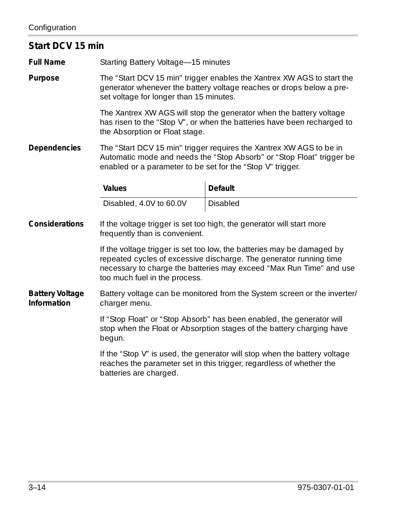#### <span id="page-61-0"></span>**Start DCV 15 min**

**Full Name** Starting Battery Voltage—15 minutes

**Purpose** The ["Start DCV 15 min"](#page-61-0) trigger enables the Xantrex XW AGS to start the generator whenever the battery voltage reaches or drops below a preset voltage for longer than 15 minutes.

> The Xantrex XW AGS will stop the generator when the battery voltage has risen to the ["Stop V"](#page-66-0), or when the batteries have been recharged to the Absorption or Float stage.

**Dependencies** The ["Start DCV 15 min"](#page-61-0) trigger requires the Xantrex XW AGS to be in Automatic mode and needs the ["Stop Absorb"](#page-65-0) or ["Stop Float"](#page-64-0) trigger be enabled or a parameter to be set for the ["Stop V"](#page-66-0) trigger.

| Values                  | <b>Default</b> |
|-------------------------|----------------|
| Disabled, 4.0V to 60.0V | Disabled       |

**Considerations** If the voltage trigger is set too high, the generator will start more frequently than is convenient.

> If the voltage trigger is set too low, the batteries may be damaged by repeated cycles of excessive discharge. The generator running time necessary to charge the batteries may exceed ["Max Run Time"](#page-73-1) and use too much fuel in the process.

#### **Battery Voltage Information** Battery voltage can be monitored from the System screen or the inverter/ charger menu.

If ["Stop Float"](#page-64-0) or ["Stop Absorb"](#page-65-0) has been enabled, the generator will stop when the Float or Absorption stages of the battery charging have begun.

If the ["Stop V"](#page-66-0) is used, the generator will stop when the battery voltage reaches the parameter set in this trigger, regardless of whether the batteries are charged.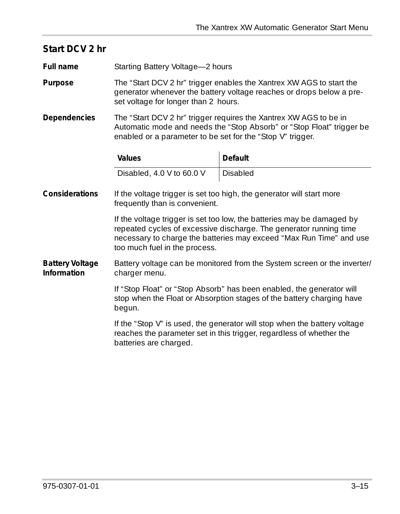<span id="page-62-0"></span>

| Start DCV 2 hr                        |                                                                                                                                                                                                                                                       |                                                                                                                                                                                                                     |
|---------------------------------------|-------------------------------------------------------------------------------------------------------------------------------------------------------------------------------------------------------------------------------------------------------|---------------------------------------------------------------------------------------------------------------------------------------------------------------------------------------------------------------------|
| Full name                             | Starting Battery Voltage-2 hours                                                                                                                                                                                                                      |                                                                                                                                                                                                                     |
| Purpose                               | set voltage for longer than 2 hours.                                                                                                                                                                                                                  | The "Start DCV 2 hr" trigger enables the Xantrex XW AGS to start the<br>generator whenever the battery voltage reaches or drops below a pre-                                                                        |
| Dependencies                          | The "Start DCV 2 hr" trigger requires the Xantrex XW AGS to be in<br>Automatic mode and needs the "Stop Absorb" or "Stop Float" trigger be<br>enabled or a parameter to be set for the "Stop V" trigger.                                              |                                                                                                                                                                                                                     |
|                                       | Values                                                                                                                                                                                                                                                | Default                                                                                                                                                                                                             |
|                                       | Disabled, 4.0 V to 60.0 V                                                                                                                                                                                                                             | Disabled                                                                                                                                                                                                            |
| Considerations                        | If the voltage trigger is set too high, the generator will start more<br>frequently than is convenient.                                                                                                                                               |                                                                                                                                                                                                                     |
|                                       | too much fuel in the process.                                                                                                                                                                                                                         | If the voltage trigger is set too low, the batteries may be damaged by<br>repeated cycles of excessive discharge. The generator running time<br>necessary to charge the batteries may exceed "Max Run Time" and use |
| <b>Battery Voltage</b><br>Information | Battery voltage can be monitored from the System screen or the inverter/<br>charger menu.<br>If "Stop Float" or "Stop Absorb" has been enabled, the generator will<br>stop when the Float or Absorption stages of the battery charging have<br>begun. |                                                                                                                                                                                                                     |
|                                       |                                                                                                                                                                                                                                                       |                                                                                                                                                                                                                     |
|                                       | batteries are charged.                                                                                                                                                                                                                                | If the "Stop V" is used, the generator will stop when the battery voltage<br>reaches the parameter set in this trigger, regardless of whether the                                                                   |
|                                       |                                                                                                                                                                                                                                                       |                                                                                                                                                                                                                     |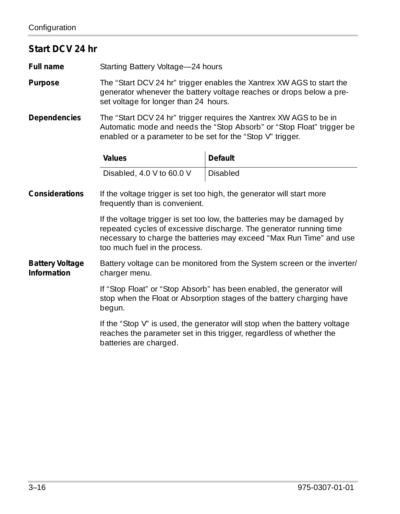<span id="page-63-0"></span>

| Start DCV 24 hr                       |                                                                                                                                                                                                           |                                                                                                                                                                                                                     |
|---------------------------------------|-----------------------------------------------------------------------------------------------------------------------------------------------------------------------------------------------------------|---------------------------------------------------------------------------------------------------------------------------------------------------------------------------------------------------------------------|
| Full name                             | Starting Battery Voltage-24 hours                                                                                                                                                                         |                                                                                                                                                                                                                     |
| Purpose                               | The "Start DCV 24 hr" trigger enables the Xantrex XW AGS to start the<br>generator whenever the battery voltage reaches or drops below a pre-<br>set voltage for longer than 24 hours.                    |                                                                                                                                                                                                                     |
| Dependencies                          | The "Start DCV 24 hr" trigger requires the Xantrex XW AGS to be in<br>Automatic mode and needs the "Stop Absorb" or "Stop Float" trigger be<br>enabled or a parameter to be set for the "Stop V" trigger. |                                                                                                                                                                                                                     |
|                                       | Values                                                                                                                                                                                                    | <b>Default</b>                                                                                                                                                                                                      |
|                                       | Disabled, 4.0 V to 60.0 V                                                                                                                                                                                 | <b>Disabled</b>                                                                                                                                                                                                     |
| Considerations                        | If the voltage trigger is set too high, the generator will start more<br>frequently than is convenient.                                                                                                   |                                                                                                                                                                                                                     |
|                                       | too much fuel in the process.                                                                                                                                                                             | If the voltage trigger is set too low, the batteries may be damaged by<br>repeated cycles of excessive discharge. The generator running time<br>necessary to charge the batteries may exceed "Max Run Time" and use |
| <b>Battery Voltage</b><br>Information | Battery voltage can be monitored from the System screen or the inverter/<br>charger menu.                                                                                                                 |                                                                                                                                                                                                                     |
|                                       | begun.                                                                                                                                                                                                    | If "Stop Float" or "Stop Absorb" has been enabled, the generator will<br>stop when the Float or Absorption stages of the battery charging have                                                                      |
|                                       | batteries are charged.                                                                                                                                                                                    | If the "Stop V" is used, the generator will stop when the battery voltage<br>reaches the parameter set in this trigger, regardless of whether the                                                                   |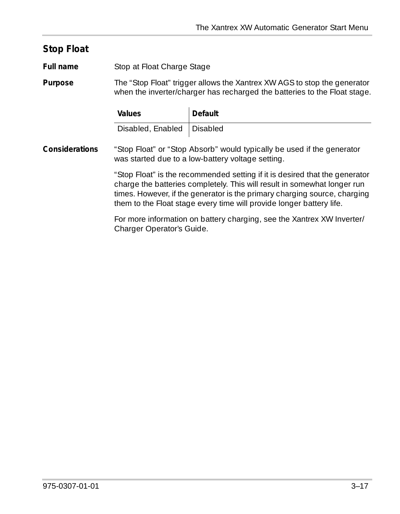#### <span id="page-64-0"></span>**Stop Float**

**Full name** Stop at Float Charge Stage

**Purpose** The ["Stop Float"](#page-64-0) trigger allows the Xantrex XW AGS to stop the generator when the inverter/charger has recharged the batteries to the Float stage.

| Values                       | Default |
|------------------------------|---------|
| Disabled, Enabled   Disabled |         |

**Considerations** ["Stop Float"](#page-64-0) or ["Stop Absorb"](#page-65-0) would typically be used if the generator was started due to a low-battery voltage setting.

> ["Stop Float"](#page-64-0) is the recommended setting if it is desired that the generator charge the batteries completely. This will result in somewhat longer run times. However, if the generator is the primary charging source, charging them to the Float stage every time will provide longer battery life.

For more information on battery charging, see the Xantrex XW Inverter/ Charger Operator's Guide.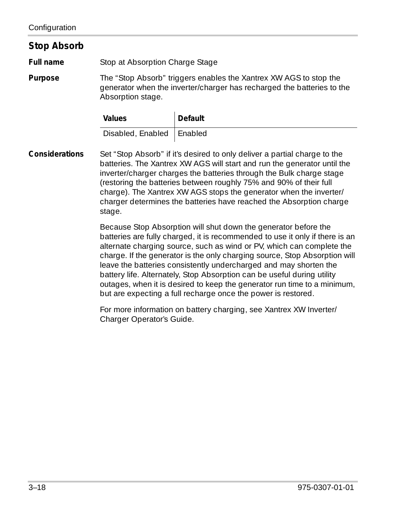#### <span id="page-65-0"></span>**Stop Absorb**

**Full name** Stop at Absorption Charge Stage

**Purpose** The ["Stop Absorb"](#page-65-0) triggers enables the Xantrex XW AGS to stop the generator when the inverter/charger has recharged the batteries to the Absorption stage.

| Values                      | Default |
|-----------------------------|---------|
| Disabled, Enabled   Enabled |         |

**Considerations** Set ["Stop Absorb"](#page-65-0) if it's desired to only deliver a partial charge to the batteries. The Xantrex XW AGS will start and run the generator until the inverter/charger charges the batteries through the Bulk charge stage (restoring the batteries between roughly 75% and 90% of their full charge). The Xantrex XW AGS stops the generator when the inverter/ charger determines the batteries have reached the Absorption charge stage.

> Because Stop Absorption will shut down the generator before the batteries are fully charged, it is recommended to use it only if there is an alternate charging source, such as wind or PV, which can complete the charge. If the generator is the only charging source, Stop Absorption will leave the batteries consistently undercharged and may shorten the battery life. Alternately, Stop Absorption can be useful during utility outages, when it is desired to keep the generator run time to a minimum, but are expecting a full recharge once the power is restored.

For more information on battery charging, see Xantrex XW Inverter/ Charger Operator's Guide.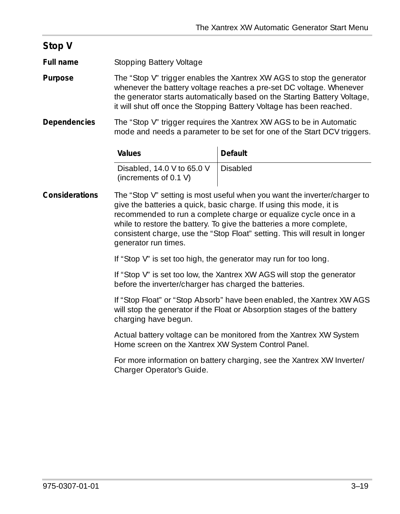<span id="page-66-0"></span>

| Stop V         |                                                                                                                                                                                                                                                                                                                                                                                                                                                                                                                 |                |  |
|----------------|-----------------------------------------------------------------------------------------------------------------------------------------------------------------------------------------------------------------------------------------------------------------------------------------------------------------------------------------------------------------------------------------------------------------------------------------------------------------------------------------------------------------|----------------|--|
| Full name      | Stopping Battery Voltage                                                                                                                                                                                                                                                                                                                                                                                                                                                                                        |                |  |
| Purpose        | The "Stop V" trigger enables the Xantrex XW AGS to stop the generator<br>whenever the battery voltage reaches a pre-set DC voltage. Whenever<br>the generator starts automatically based on the Starting Battery Voltage,<br>it will shut off once the Stopping Battery Voltage has been reached.                                                                                                                                                                                                               |                |  |
| Dependencies   | The "Stop V" trigger requires the Xantrex XW AGS to be in Automatic<br>mode and needs a parameter to be set for one of the Start DCV triggers.                                                                                                                                                                                                                                                                                                                                                                  |                |  |
|                | Values                                                                                                                                                                                                                                                                                                                                                                                                                                                                                                          | <b>Default</b> |  |
|                | Disabled, 14.0 V to 65.0 V<br>(increments of 0.1 V)                                                                                                                                                                                                                                                                                                                                                                                                                                                             | Disabled       |  |
| Considerations | The "Stop V" setting is most useful when you want the inverter/charger to<br>give the batteries a quick, basic charge. If using this mode, it is<br>recommended to run a complete charge or equalize cycle once in a<br>while to restore the battery. To give the batteries a more complete,<br>consistent charge, use the "Stop Float" setting. This will result in longer<br>generator run times.                                                                                                             |                |  |
|                | If "Stop V" is set too high, the generator may run for too long.<br>If "Stop V" is set too low, the Xantrex XW AGS will stop the generator<br>before the inverter/charger has charged the batteries.<br>If "Stop Float" or "Stop Absorb" have been enabled, the Xantrex XW AGS<br>will stop the generator if the Float or Absorption stages of the battery<br>charging have begun.<br>Actual battery voltage can be monitored from the Xantrex XW System<br>Home screen on the Xantrex XW System Control Panel. |                |  |
|                |                                                                                                                                                                                                                                                                                                                                                                                                                                                                                                                 |                |  |
|                |                                                                                                                                                                                                                                                                                                                                                                                                                                                                                                                 |                |  |
|                |                                                                                                                                                                                                                                                                                                                                                                                                                                                                                                                 |                |  |
|                | For more information on battery charging, see the Xantrex XW Inverter/<br>Charger Operator's Guide.                                                                                                                                                                                                                                                                                                                                                                                                             |                |  |
|                |                                                                                                                                                                                                                                                                                                                                                                                                                                                                                                                 |                |  |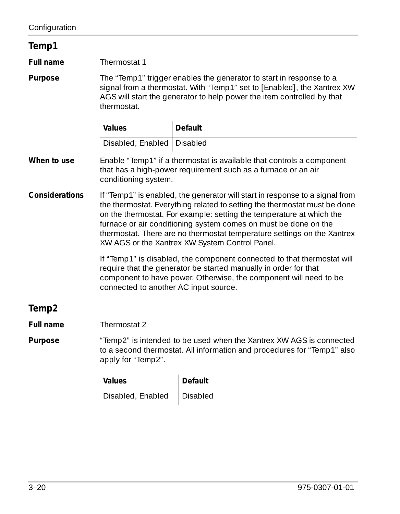<span id="page-67-1"></span><span id="page-67-0"></span>

| Temp1             |                                                                                                                                                                                                                                                                                                                                                                                                                                   |                |  |
|-------------------|-----------------------------------------------------------------------------------------------------------------------------------------------------------------------------------------------------------------------------------------------------------------------------------------------------------------------------------------------------------------------------------------------------------------------------------|----------------|--|
| Full name         | Thermostat 1                                                                                                                                                                                                                                                                                                                                                                                                                      |                |  |
| Purpose           | The "Temp1" trigger enables the generator to start in response to a<br>signal from a thermostat. With "Temp1" set to [Enabled], the Xantrex XW<br>AGS will start the generator to help power the item controlled by that<br>thermostat.                                                                                                                                                                                           |                |  |
|                   | Values                                                                                                                                                                                                                                                                                                                                                                                                                            | Default        |  |
|                   | Disabled, Enabled   Disabled                                                                                                                                                                                                                                                                                                                                                                                                      |                |  |
| When to use       | Enable "Temp1" if a thermostat is available that controls a component<br>that has a high-power requirement such as a furnace or an air<br>conditioning system.                                                                                                                                                                                                                                                                    |                |  |
| Considerations    | If "Temp1" is enabled, the generator will start in response to a signal from<br>the thermostat. Everything related to setting the thermostat must be done<br>on the thermostat. For example: setting the temperature at which the<br>furnace or air conditioning system comes on must be done on the<br>thermostat. There are no thermostat temperature settings on the Xantrex<br>XW AGS or the Xantrex XW System Control Panel. |                |  |
|                   | If "Temp1" is disabled, the component connected to that thermostat will<br>require that the generator be started manually in order for that<br>component to have power. Otherwise, the component will need to be<br>connected to another AC input source.                                                                                                                                                                         |                |  |
| Temp <sub>2</sub> |                                                                                                                                                                                                                                                                                                                                                                                                                                   |                |  |
| <b>Full name</b>  | Thermostat 2                                                                                                                                                                                                                                                                                                                                                                                                                      |                |  |
| Purpose           | "Temp2" is intended to be used when the Xantrex XW AGS is connected<br>to a second thermostat. All information and procedures for "Temp1" also<br>apply for "Temp2".                                                                                                                                                                                                                                                              |                |  |
|                   | Values                                                                                                                                                                                                                                                                                                                                                                                                                            | <b>Default</b> |  |
|                   | Disabled, Enabled                                                                                                                                                                                                                                                                                                                                                                                                                 | Disabled       |  |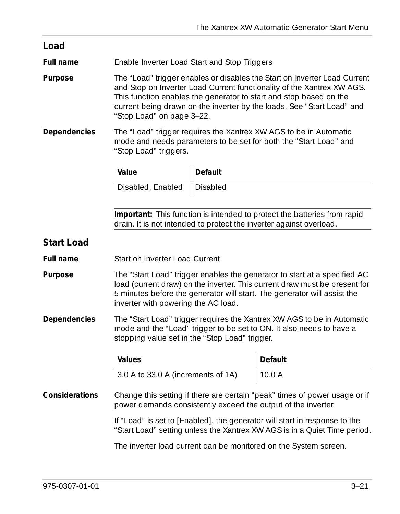<span id="page-68-1"></span><span id="page-68-0"></span>

| Load                                                                                                                                                    |                                                                                                                                                                                                                                                                                                                                  |                |                |
|---------------------------------------------------------------------------------------------------------------------------------------------------------|----------------------------------------------------------------------------------------------------------------------------------------------------------------------------------------------------------------------------------------------------------------------------------------------------------------------------------|----------------|----------------|
| Full name                                                                                                                                               | Enable Inverter Load Start and Stop Triggers                                                                                                                                                                                                                                                                                     |                |                |
| Purpose                                                                                                                                                 | The "Load" trigger enables or disables the Start on Inverter Load Current<br>and Stop on Inverter Load Current functionality of the Xantrex XW AGS.<br>This function enables the generator to start and stop based on the<br>current being drawn on the inverter by the loads. See "Start Load" and<br>"Stop Load" on page 3-22. |                |                |
| Dependencies                                                                                                                                            | The "Load" trigger requires the Xantrex XW AGS to be in Automatic<br>mode and needs parameters to be set for both the "Start Load" and<br>"Stop Load" triggers.                                                                                                                                                                  |                |                |
|                                                                                                                                                         | Value                                                                                                                                                                                                                                                                                                                            | <b>Default</b> |                |
|                                                                                                                                                         | Disabled, Enabled                                                                                                                                                                                                                                                                                                                | Disabled       |                |
|                                                                                                                                                         |                                                                                                                                                                                                                                                                                                                                  |                |                |
|                                                                                                                                                         | Important: This function is intended to protect the batteries from rapid<br>drain. It is not intended to protect the inverter against overload.                                                                                                                                                                                  |                |                |
| <b>Start Load</b>                                                                                                                                       |                                                                                                                                                                                                                                                                                                                                  |                |                |
| Full name                                                                                                                                               | Start on Inverter Load Current                                                                                                                                                                                                                                                                                                   |                |                |
| Purpose                                                                                                                                                 | The "Start Load" trigger enables the generator to start at a specified AC<br>load (current draw) on the inverter. This current draw must be present for<br>5 minutes before the generator will start. The generator will assist the<br>inverter with powering the AC load.                                                       |                |                |
| Dependencies                                                                                                                                            | The "Start Load" trigger requires the Xantrex XW AGS to be in Automatic<br>mode and the "Load" trigger to be set to ON. It also needs to have a<br>stopping value set in the "Stop Load" trigger.                                                                                                                                |                |                |
|                                                                                                                                                         | Values                                                                                                                                                                                                                                                                                                                           |                | <b>Default</b> |
|                                                                                                                                                         | 3.0 A to 33.0 A (increments of 1A)                                                                                                                                                                                                                                                                                               |                | 10.0A          |
| Considerations                                                                                                                                          | Change this setting if there are certain "peak" times of power usage or if<br>power demands consistently exceed the output of the inverter.                                                                                                                                                                                      |                |                |
| If "Load" is set to [Enabled], the generator will start in response to the<br>"Start Load" setting unless the Xantrex XW AGS is in a Quiet Time period. |                                                                                                                                                                                                                                                                                                                                  |                |                |
|                                                                                                                                                         | The inverter load current can be monitored on the System screen.                                                                                                                                                                                                                                                                 |                |                |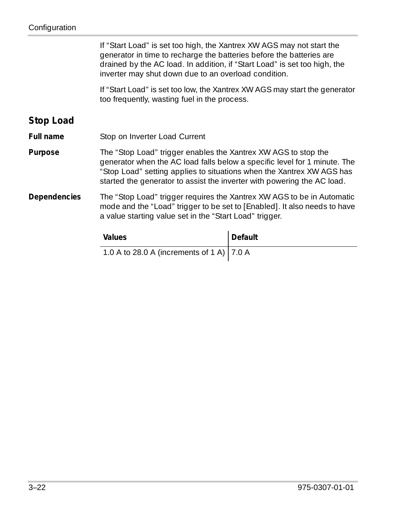<span id="page-69-0"></span>

|                  | If "Start Load" is set too high, the Xantrex XW AGS may not start the<br>generator in time to recharge the batteries before the batteries are<br>drained by the AC load. In addition, if "Start Load" is set too high, the<br>inverter may shut down due to an overload condition.              |         |  |
|------------------|-------------------------------------------------------------------------------------------------------------------------------------------------------------------------------------------------------------------------------------------------------------------------------------------------|---------|--|
|                  | If "Start Load" is set too low, the Xantrex XW AGS may start the generator<br>too frequently, wasting fuel in the process.                                                                                                                                                                      |         |  |
| Stop Load        |                                                                                                                                                                                                                                                                                                 |         |  |
| <b>Full name</b> | Stop on Inverter Load Current                                                                                                                                                                                                                                                                   |         |  |
| Purpose          | The "Stop Load" trigger enables the Xantrex XW AGS to stop the<br>generator when the AC load falls below a specific level for 1 minute. The<br>"Stop Load" setting applies to situations when the Xantrex XW AGS has<br>started the generator to assist the inverter with powering the AC load. |         |  |
| Dependencies     | The "Stop Load" trigger requires the Xantrex XW AGS to be in Automatic<br>mode and the "Load" trigger to be set to [Enabled]. It also needs to have<br>a value starting value set in the "Start Load" trigger.                                                                                  |         |  |
|                  | Values                                                                                                                                                                                                                                                                                          | Default |  |
|                  | 1.0 A to 28.0 A (increments of 1 A)                                                                                                                                                                                                                                                             | 7.0 A   |  |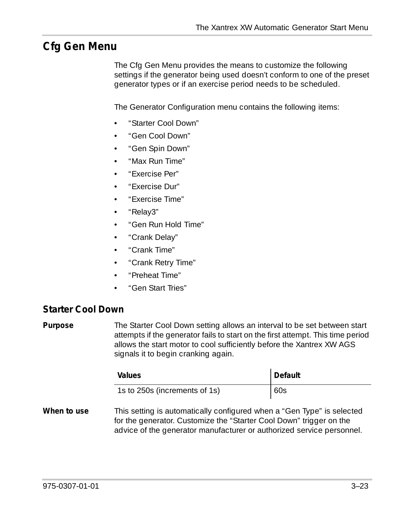## <span id="page-70-0"></span>**Cfg Gen Menu**

The Cfg Gen Menu provides the means to customize the following settings if the generator being used doesn't conform to one of the preset generator types or if an exercise period needs to be scheduled.

The Generator Configuration menu contains the following items:

- • ["Starter Cool Down"](#page-70-1)
- • ["Gen Cool Down"](#page-71-0)
- • ["Gen Spin Down"](#page-72-0)
- • ["Max Run Time"](#page-73-1)
- • ["Exercise Per"](#page-74-0)
- • ["Exercise Dur"](#page-75-0)
- • ["Exercise Time"](#page-75-1)
- • ["Relay3"](#page-76-0)
- • ["Gen Run Hold Time"](#page-76-1)
- • ["Crank Delay"](#page-77-1)
- • ["Crank Time"](#page-77-0)
- • ["Crank Retry Time"](#page-78-0)
- • ["Preheat Time"](#page-78-1)
- • ["Gen Start Tries"](#page-78-2)

#### <span id="page-70-1"></span>**Starter Cool Down**

**Purpose** The Starter Cool Down setting allows an interval to be set between start attempts if the generator fails to start on the first attempt. This time period allows the start motor to cool sufficiently before the Xantrex XW AGS signals it to begin cranking again.

|                                                                                                                 | Values                             | Default |
|-----------------------------------------------------------------------------------------------------------------|------------------------------------|---------|
|                                                                                                                 | 1s to 250s (increments of 1s)      | 60s     |
| the contract of the contract of the contract of the contract of the contract of the contract of the contract of | ┯ <b>╷╷</b> ╷╷╷╷╷╷╷╷╷╷╷╷╷╷╷╷╷╷╷╷╷╷ |         |

**When to use** This setting is automatically configured when a ["Gen Type"](#page-57-0) is selected for the generator. Customize the ["Starter Cool Down"](#page-70-1) trigger on the advice of the generator manufacturer or authorized service personnel.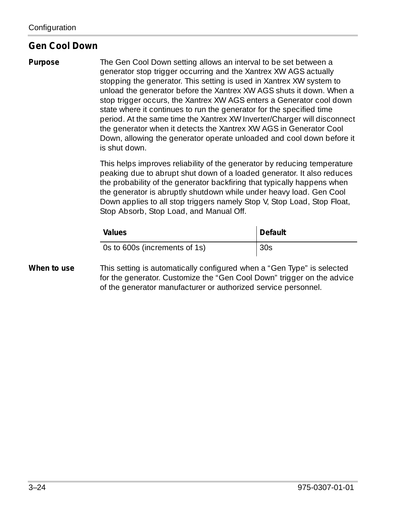#### <span id="page-71-0"></span>**Gen Cool Down**

**Purpose** The Gen Cool Down setting allows an interval to be set between a generator stop trigger occurring and the Xantrex XW AGS actually stopping the generator. This setting is used in Xantrex XW system to unload the generator before the Xantrex XW AGS shuts it down. When a stop trigger occurs, the Xantrex XW AGS enters a Generator cool down state where it continues to run the generator for the specified time period. At the same time the Xantrex XW Inverter/Charger will disconnect the generator when it detects the Xantrex XW AGS in Generator Cool Down, allowing the generator operate unloaded and cool down before it is shut down.

> This helps improves reliability of the generator by reducing temperature peaking due to abrupt shut down of a loaded generator. It also reduces the probability of the generator backfiring that typically happens when the generator is abruptly shutdown while under heavy load. Gen Cool Down applies to all stop triggers namely Stop V, Stop Load, Stop Float, Stop Absorb, Stop Load, and Manual Off.

| <b>Values</b>                 | Default |
|-------------------------------|---------|
| Os to 600s (increments of 1s) | 30s     |

**When to use** This setting is automatically configured when a "Gen Type" is selected for the generator. Customize the "Gen Cool Down" trigger on the advice of the generator manufacturer or authorized service personnel.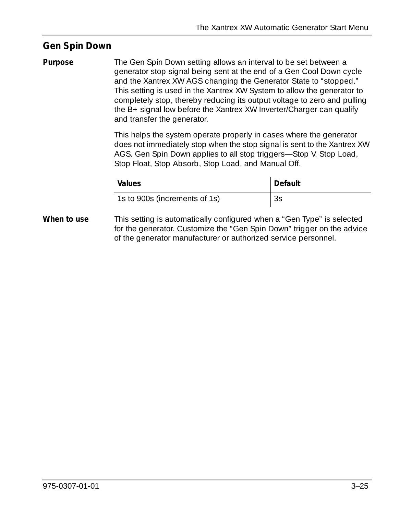#### <span id="page-72-0"></span>**Gen Spin Down**

**Purpose** The Gen Spin Down setting allows an interval to be set between a generator stop signal being sent at the end of a Gen Cool Down cycle and the Xantrex XW AGS changing the Generator State to "stopped." This setting is used in the Xantrex XW System to allow the generator to completely stop, thereby reducing its output voltage to zero and pulling the B+ signal low before the Xantrex XW Inverter/Charger can qualify and transfer the generator.

> This helps the system operate properly in cases where the generator does not immediately stop when the stop signal is sent to the Xantrex XW AGS. Gen Spin Down applies to all stop triggers—Stop V, Stop Load, Stop Float, Stop Absorb, Stop Load, and Manual Off.

|            | Values                                                                 | Default |
|------------|------------------------------------------------------------------------|---------|
|            | 1s to 900s (increments of 1s)                                          | 3s      |
| An to use! | This setting is automatically configured when a "Gen Type" is selected |         |

**When to use** This setting is automatically configured when a "Gen Type" is selected for the generator. Customize the "Gen Spin Down" trigger on the advice of the generator manufacturer or authorized service personnel.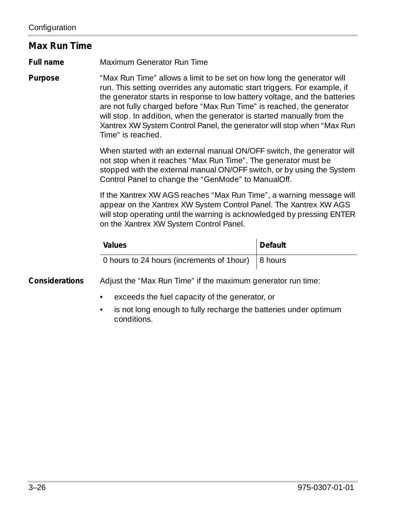#### <span id="page-73-1"></span><span id="page-73-0"></span>**Max Run Time**

**Full name** Maximum Generator Run Time

**Purpose** ["Max Run Time"](#page-73-0) allows a limit to be set on how long the generator will run. This setting overrides any automatic start triggers. For example, if the generator starts in response to low battery voltage, and the batteries are not fully charged before ["Max Run Time"](#page-73-0) is reached, the generator will stop. In addition, when the generator is started manually from the Xantrex XW System Control Panel, the generator will stop when ["Max Run](#page-73-0)  [Time"](#page-73-0) is reached.

> When started with an external manual ON/OFF switch, the generator will not stop when it reaches ["Max Run Time".](#page-73-0) The generator must be stopped with the external manual ON/OFF switch, or by using the System Control Panel to change the ["GenMode"](#page-80-0) to ManualOff.

> If the Xantrex XW AGS reaches ["Max Run Time",](#page-73-0) a warning message will appear on the Xantrex XW System Control Panel. The Xantrex XW AGS will stop operating until the warning is acknowledged by pressing ENTER on the Xantrex XW System Control Panel.

| <b>Values</b>                                      | Default |
|----------------------------------------------------|---------|
| 0 hours to 24 hours (increments of 1 hour) 8 hours |         |

**Considerations** Adjust the ["Max Run Time"](#page-73-0) if the maximum generator run time:

- exceeds the fuel capacity of the generator, or
- is not long enough to fully recharge the batteries under optimum conditions.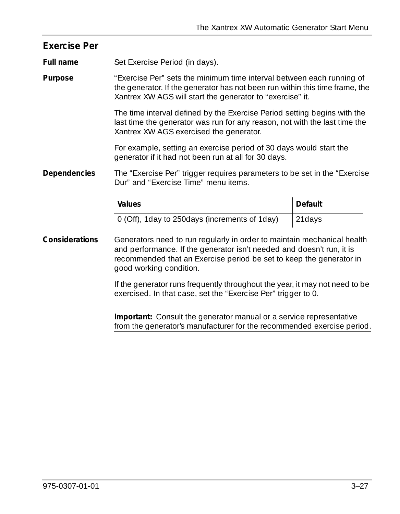<span id="page-74-0"></span>

| <b>Exercise Per</b> |                                                                                                                                                                                                                                                    |                |
|---------------------|----------------------------------------------------------------------------------------------------------------------------------------------------------------------------------------------------------------------------------------------------|----------------|
| Full name           | Set Exercise Period (in days).                                                                                                                                                                                                                     |                |
| Purpose             | "Exercise Per" sets the minimum time interval between each running of<br>the generator. If the generator has not been run within this time frame, the<br>Xantrex XW AGS will start the generator to "exercise" it.                                 |                |
|                     | The time interval defined by the Exercise Period setting begins with the<br>last time the generator was run for any reason, not with the last time the<br>Xantrex XW AGS exercised the generator.                                                  |                |
|                     | For example, setting an exercise period of 30 days would start the<br>generator if it had not been run at all for 30 days.                                                                                                                         |                |
| Dependencies        | The "Exercise Per" trigger requires parameters to be set in the "Exercise"<br>Dur" and "Exercise Time" menu items.                                                                                                                                 |                |
|                     | Values                                                                                                                                                                                                                                             | <b>Default</b> |
|                     | 0 (Off), 1day to 250days (increments of 1day)                                                                                                                                                                                                      | 21days         |
| Considerations      | Generators need to run regularly in order to maintain mechanical health<br>and performance. If the generator isn't needed and doesn't run, it is<br>recommended that an Exercise period be set to keep the generator in<br>good working condition. |                |
|                     | If the generator runs frequently throughout the year, it may not need to be<br>exercised. In that case, set the "Exercise Per" trigger to 0.                                                                                                       |                |
|                     | <b>Important:</b> Consult the generator manual or a service representative<br>from the generator's manufacturer for the recommended exercise period.                                                                                               |                |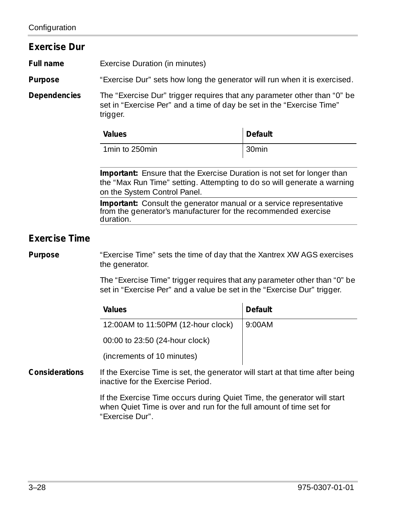<span id="page-75-1"></span><span id="page-75-0"></span>

| <b>Exercise Dur</b>  |                                                                                                                                                                                    |                |
|----------------------|------------------------------------------------------------------------------------------------------------------------------------------------------------------------------------|----------------|
| <b>Full name</b>     | Exercise Duration (in minutes)                                                                                                                                                     |                |
| Purpose              | "Exercise Dur" sets how long the generator will run when it is exercised.                                                                                                          |                |
| Dependencies         | The "Exercise Dur" trigger requires that any parameter other than "0" be<br>set in "Exercise Per" and a time of day be set in the "Exercise Time"<br>trigger.                      |                |
|                      | Values                                                                                                                                                                             | <b>Default</b> |
|                      | 1min to 250min                                                                                                                                                                     | 30min          |
|                      | Important: Ensure that the Exercise Duration is not set for longer than<br>the "Max Run Time" setting. Attempting to do so will generate a warning<br>on the System Control Panel. |                |
|                      | Important: Consult the generator manual or a service representative<br>from the generator's manufacturer for the recommended exercise<br>duration.                                 |                |
| <b>Exercise Time</b> |                                                                                                                                                                                    |                |
| Purpose              | "Exercise Time" sets the time of day that the Xantrex XW AGS exercises<br>the generator.                                                                                           |                |
|                      | The "Exercise Time" trigger requires that any parameter other than "0" be<br>set in "Exercise Per" and a value be set in the "Exercise Dur" trigger.                               |                |
|                      | Values                                                                                                                                                                             | <b>Default</b> |
|                      | 12:00AM to 11:50PM (12-hour clock)                                                                                                                                                 | 9:00AM         |
|                      | 00:00 to 23:50 (24-hour clock)                                                                                                                                                     |                |
|                      | (increments of 10 minutes)                                                                                                                                                         |                |
| Considerations       | If the Exercise Time is set, the generator will start at that time after being<br>inactive for the Exercise Period.                                                                |                |
|                      | If the Exercise Time occurs during Quiet Time, the generator will start<br>when Quiet Time is over and run for the full amount of time set for<br>"Exercise Dur".                  |                |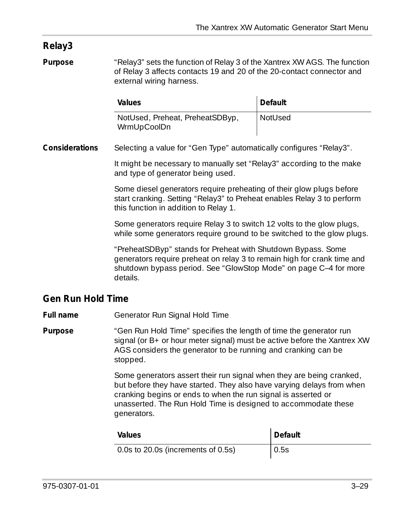#### <span id="page-76-0"></span>**Relay3**

**Purpose** ["Relay3"](#page-76-0) sets the function of Relay 3 of the Xantrex XW AGS. The function of Relay 3 affects contacts 19 and 20 of the 20-contact connector and external wiring harness.

| Values                                         | Default        |
|------------------------------------------------|----------------|
| NotUsed, Preheat, PreheatSDByp,<br>WrmUpCoolDn | <b>NotUsed</b> |

**Considerations** Selecting a value for ["Gen Type"](#page-57-0) automatically configures ["Relay3"](#page-76-0).

It might be necessary to manually set ["Relay3"](#page-76-0) according to the make and type of generator being used.

Some diesel generators require preheating of their glow plugs before start cranking. Setting ["Relay3"](#page-76-0) to Preheat enables Relay 3 to perform this function in addition to Relay 1.

Some generators require Relay 3 to switch 12 volts to the glow plugs, while some generators require ground to be switched to the glow plugs.

"PreheatSDByp" stands for Preheat with Shutdown Bypass. Some generators require preheat on relay 3 to remain high for crank time and shutdown bypass period. See ["GlowStop Mode" on page C–4](#page-113-0) for more details.

#### <span id="page-76-1"></span>**Gen Run Hold Time**

**Full name** Generator Run Signal Hold Time

**Purpose** ["Gen Run Hold Time"](#page-76-1) specifies the length of time the generator run signal (or B+ or hour meter signal) must be active before the Xantrex XW AGS considers the generator to be running and cranking can be stopped.

> Some generators assert their run signal when they are being cranked, but before they have started. They also have varying delays from when cranking begins or ends to when the run signal is asserted or unasserted. The Run Hold Time is designed to accommodate these generators.

| Values                             | Default |
|------------------------------------|---------|
| 0.0s to 20.0s (increments of 0.5s) | 0.5s    |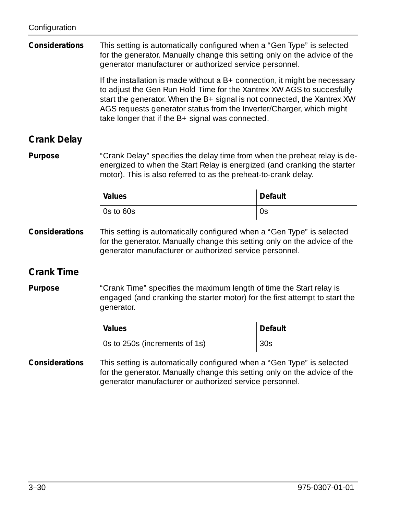<span id="page-77-1"></span><span id="page-77-0"></span>

| Considerations     | This setting is automatically configured when a "Gen Type" is selected<br>for the generator. Manually change this setting only on the advice of the<br>generator manufacturer or authorized service personnel.                                                                                                                                                |                |
|--------------------|---------------------------------------------------------------------------------------------------------------------------------------------------------------------------------------------------------------------------------------------------------------------------------------------------------------------------------------------------------------|----------------|
|                    | If the installation is made without a $B+$ connection, it might be necessary<br>to adjust the Gen Run Hold Time for the Xantrex XW AGS to succesfully<br>start the generator. When the B+ signal is not connected, the Xantrex XW<br>AGS requests generator status from the Inverter/Charger, which might<br>take longer that if the B+ signal was connected. |                |
| <b>Crank Delay</b> |                                                                                                                                                                                                                                                                                                                                                               |                |
| Purpose            | "Crank Delay" specifies the delay time from when the preheat relay is de-<br>energized to when the Start Relay is energized (and cranking the starter<br>motor). This is also referred to as the preheat-to-crank delay.                                                                                                                                      |                |
|                    | Values                                                                                                                                                                                                                                                                                                                                                        | Default        |
|                    | Os to 60s                                                                                                                                                                                                                                                                                                                                                     | 0s             |
| Considerations     | This setting is automatically configured when a "Gen Type" is selected<br>for the generator. Manually change this setting only on the advice of the<br>generator manufacturer or authorized service personnel.                                                                                                                                                |                |
| <b>Crank Time</b>  |                                                                                                                                                                                                                                                                                                                                                               |                |
| Purpose            | "Crank Time" specifies the maximum length of time the Start relay is<br>engaged (and cranking the starter motor) for the first attempt to start the<br>generator.                                                                                                                                                                                             |                |
|                    | Values                                                                                                                                                                                                                                                                                                                                                        | <b>Default</b> |
|                    | Os to 250s (increments of 1s)                                                                                                                                                                                                                                                                                                                                 | 30s            |
| Considerations     | This setting is automatically configured when a "Gen Type" is selected<br>for the generator. Manually change this setting only on the advice of the<br>generator manufacturer or authorized service personnel.                                                                                                                                                |                |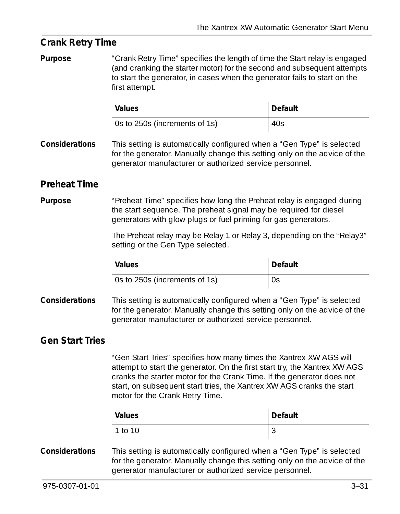<span id="page-78-2"></span><span id="page-78-1"></span><span id="page-78-0"></span>

| <b>Crank Retry Time</b> |                                                                                                                                                                                                                                                                                                                                        |         |
|-------------------------|----------------------------------------------------------------------------------------------------------------------------------------------------------------------------------------------------------------------------------------------------------------------------------------------------------------------------------------|---------|
| Purpose                 | "Crank Retry Time" specifies the length of time the Start relay is engaged<br>(and cranking the starter motor) for the second and subsequent attempts<br>to start the generator, in cases when the generator fails to start on the<br>first attempt.                                                                                   |         |
|                         | Values                                                                                                                                                                                                                                                                                                                                 | Default |
|                         | Os to 250s (increments of 1s)                                                                                                                                                                                                                                                                                                          | 40s     |
| Considerations          | This setting is automatically configured when a "Gen Type" is selected<br>for the generator. Manually change this setting only on the advice of the<br>generator manufacturer or authorized service personnel.                                                                                                                         |         |
| <b>Preheat Time</b>     |                                                                                                                                                                                                                                                                                                                                        |         |
| Purpose                 | "Preheat Time" specifies how long the Preheat relay is engaged during<br>the start sequence. The preheat signal may be required for diesel<br>generators with glow plugs or fuel priming for gas generators.                                                                                                                           |         |
|                         | The Preheat relay may be Relay 1 or Relay 3, depending on the "Relay3"<br>setting or the Gen Type selected.                                                                                                                                                                                                                            |         |
|                         | Values                                                                                                                                                                                                                                                                                                                                 | Default |
|                         | Os to 250s (increments of 1s)                                                                                                                                                                                                                                                                                                          | 0s      |
| Considerations          | This setting is automatically configured when a "Gen Type" is selected<br>for the generator. Manually change this setting only on the advice of the<br>generator manufacturer or authorized service personnel.                                                                                                                         |         |
| <b>Gen Start Tries</b>  |                                                                                                                                                                                                                                                                                                                                        |         |
|                         | "Gen Start Tries" specifies how many times the Xantrex XW AGS will<br>attempt to start the generator. On the first start try, the Xantrex XW AGS<br>cranks the starter motor for the Crank Time. If the generator does not<br>start, on subsequent start tries, the Xantrex XW AGS cranks the start<br>motor for the Crank Retry Time. |         |
|                         | Values                                                                                                                                                                                                                                                                                                                                 | Default |
|                         | 1 to 10                                                                                                                                                                                                                                                                                                                                | 3       |
| Considerations          | This setting is automatically configured when a "Gen Type" is selected<br>for the generator. Manually change this setting only on the advice of the<br>generator manufacturer or authorized service personnel.                                                                                                                         |         |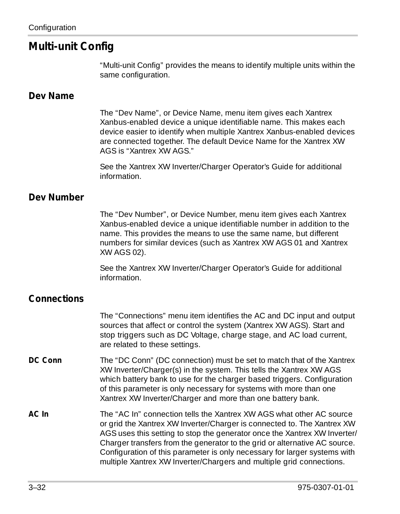#### <span id="page-79-3"></span>**Multi-unit Config**

["Multi-unit Config"](#page-79-3) provides the means to identify multiple units within the same configuration.

#### <span id="page-79-0"></span>**Dev Name**

The ["Dev Name"](#page-79-0), or Device Name, menu item gives each Xantrex Xanbus-enabled device a unique identifiable name. This makes each device easier to identify when multiple Xantrex Xanbus-enabled devices are connected together. The default Device Name for the Xantrex XW AGS is "Xantrex XW AGS."

See the Xantrex XW Inverter/Charger Operator's Guide for additional information.

#### <span id="page-79-1"></span>**Dev Number**

The ["Dev Number",](#page-79-1) or Device Number, menu item gives each Xantrex Xanbus-enabled device a unique identifiable number in addition to the name. This provides the means to use the same name, but different numbers for similar devices (such as Xantrex XW AGS 01 and Xantrex XW AGS 02).

See the Xantrex XW Inverter/Charger Operator's Guide for additional information.

#### <span id="page-79-2"></span>**Connections**

The ["Connections"](#page-79-2) menu item identifies the AC and DC input and output sources that affect or control the system (Xantrex XW AGS). Start and stop triggers such as DC Voltage, charge stage, and AC load current, are related to these settings.

- <span id="page-79-4"></span>**DC Conn** The "DC Conn" (DC connection) must be set to match that of the Xantrex XW Inverter/Charger(s) in the system. This tells the Xantrex XW AGS which battery bank to use for the charger based triggers. Configuration of this parameter is only necessary for systems with more than one Xantrex XW Inverter/Charger and more than one battery bank.
- <span id="page-79-5"></span>**AC In** The "AC In" connection tells the Xantrex XW AGS what other AC source or grid the Xantrex XW Inverter/Charger is connected to. The Xantrex XW AGS uses this setting to stop the generator once the Xantrex XW Inverter/ Charger transfers from the generator to the grid or alternative AC source. Configuration of this parameter is only necessary for larger systems with multiple Xantrex XW Inverter/Chargers and multiple grid connections.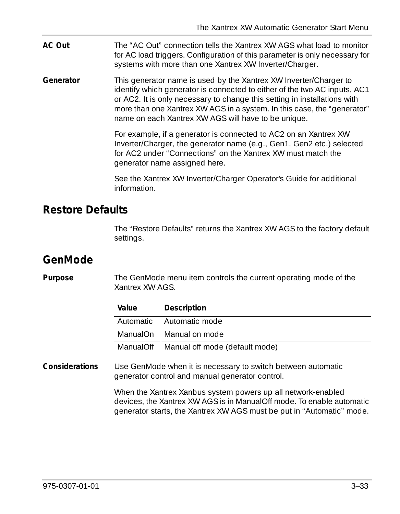<span id="page-80-2"></span>**AC Out** The "AC Out" connection tells the Xantrex XW AGS what load to monitor for AC load triggers. Configuration of this parameter is only necessary for systems with more than one Xantrex XW Inverter/Charger.

<span id="page-80-3"></span>**Generator** This generator name is used by the Xantrex XW Inverter/Charger to identify which generator is connected to either of the two AC inputs, AC1 or AC2. It is only necessary to change this setting in installations with more than one Xantrex XW AGS in a system. In this case, the "generator" name on each Xantrex XW AGS will have to be unique.

> For example, if a generator is connected to AC2 on an Xantrex XW Inverter/Charger, the generator name (e.g., Gen1, Gen2 etc.) selected for AC2 under "Connections" on the Xantrex XW must match the generator name assigned here.

See the Xantrex XW Inverter/Charger Operator's Guide for additional information.

#### <span id="page-80-1"></span>**Restore Defaults**

The ["Restore Defaults"](#page-80-1) returns the Xantrex XW AGS to the factory default settings.

## <span id="page-80-0"></span>**GenMode**

**Purpose** The GenMode menu item controls the current operating mode of the Xantrex XW AGS.

| Value | <b>Description</b>                         |
|-------|--------------------------------------------|
|       | Automatic   Automatic mode                 |
|       | ManualOn   Manual on mode                  |
|       | ManualOff   Manual off mode (default mode) |

**Considerations** Use GenMode when it is necessary to switch between automatic generator control and manual generator control.

> When the Xantrex Xanbus system powers up all network-enabled devices, the Xantrex XW AGS is in ManualOff mode. To enable automatic generator starts, the Xantrex XW AGS must be put in "Automatic" mode.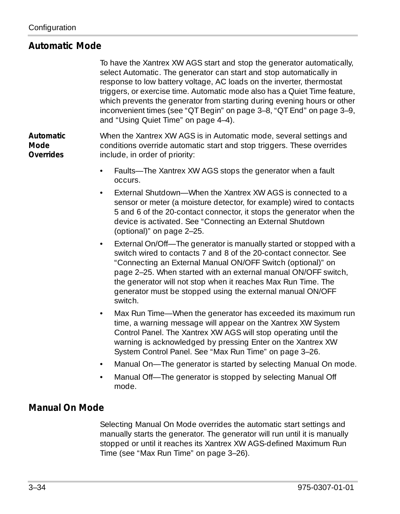#### **Automatic Mode**

To have the Xantrex XW AGS start and stop the generator automatically, select Automatic. The generator can start and stop automatically in response to low battery voltage, AC loads on the inverter, thermostat triggers, or exercise time. Automatic mode also has a Quiet Time feature, which prevents the generator from starting during evening hours or other inconvenient times (see ["QT Begin" on page 3–8,](#page-55-0) ["QT End" on page 3–9,](#page-56-0) and ["Using Quiet Time" on page 4–4\)](#page-89-0).

**Automatic Mode Overrides** When the Xantrex XW AGS is in Automatic mode, several settings and conditions override automatic start and stop triggers. These overrides include, in order of priority:

- Faults—The Xantrex XW AGS stops the generator when a fault occurs.
- External Shutdown—When the Xantrex XW AGS is connected to a sensor or meter (a moisture detector, for example) wired to contacts 5 and 6 of the 20-contact connector, it stops the generator when the device is activated. See ["Connecting an External Shutdown](#page-42-0)  [\(optional\)" on page 2–25.](#page-42-0)
- External On/Off—The generator is manually started or stopped with a switch wired to contacts 7 and 8 of the 20-contact connector. See ["Connecting an External Manual ON/OFF Switch \(optional\)" on](#page-42-1)  [page 2–25.](#page-42-1) When started with an external manual ON/OFF switch, the generator will not stop when it reaches Max Run Time. The generator must be stopped using the external manual ON/OFF switch.
- Max Run Time—When the generator has exceeded its maximum run time, a warning message will appear on the Xantrex XW System Control Panel. The Xantrex XW AGS will stop operating until the warning is acknowledged by pressing Enter on the Xantrex XW System Control Panel. See ["Max Run Time" on page 3–26](#page-73-0).
- Manual On—The generator is started by selecting Manual On mode.
- Manual Off—The generator is stopped by selecting Manual Off mode.

#### **Manual On Mode**

Selecting Manual On Mode overrides the automatic start settings and manually starts the generator. The generator will run until it is manually stopped or until it reaches its Xantrex XW AGS-defined Maximum Run Time (see ["Max Run Time" on page 3–26\)](#page-73-0).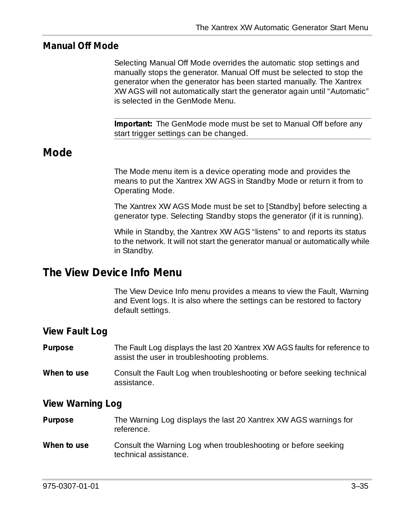#### **Manual Off Mode**

Selecting Manual Off Mode overrides the automatic stop settings and manually stops the generator. Manual Off must be selected to stop the generator when the generator has been started manually. The Xantrex XW AGS will not automatically start the generator again until "Automatic" is selected in the GenMode Menu.

**Important:** The GenMode mode must be set to Manual Off before any start trigger settings can be changed.

#### **Mode**

The Mode menu item is a device operating mode and provides the means to put the Xantrex XW AGS in Standby Mode or return it from to Operating Mode.

The Xantrex XW AGS Mode must be set to [Standby] before selecting a generator type. Selecting Standby stops the generator (if it is running).

While in Standby, the Xantrex XW AGS "listens" to and reports its status to the network. It will not start the generator manual or automatically while in Standby.

#### **The View Device Info Menu**

The View Device Info menu provides a means to view the Fault, Warning and Event logs. It is also where the settings can be restored to factory default settings.

#### **View Fault Log**

| Purpose | The Fault Log displays the last 20 Xantrex XW AGS faults for reference to |
|---------|---------------------------------------------------------------------------|
|         | assist the user in troubleshooting problems.                              |
|         |                                                                           |

**When to use** Consult the Fault Log when troubleshooting or before seeking technical assistance.

#### **View Warning Log**

| <b>Purpose</b> | The Warning Log displays the last 20 Xantrex XW AGS warnings for<br>reference. |
|----------------|--------------------------------------------------------------------------------|
| $Mmax + cmax$  | Cancult the Warning Lea when traublecheeting or before cooking                 |

**When to use** Consult the Warning Log when troubleshooting or before seeking technical assistance.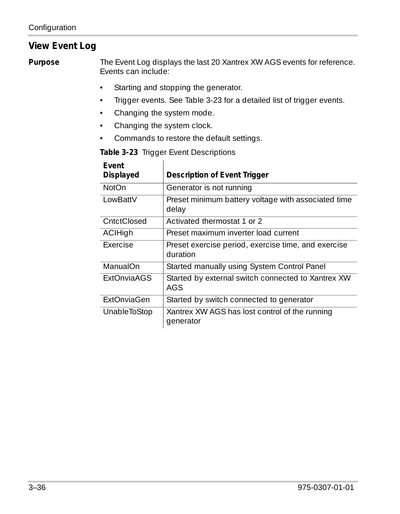#### **View Event Log**

**Purpose** The Event Log displays the last 20 Xantrex XW AGS events for reference. Events can include:

- Starting and stopping the generator.
- Trigger events. See [Table 3-23](#page-83-0) for a detailed list of trigger events.
- Changing the system mode.
- Changing the system clock.
- Commands to restore the default settings.

<span id="page-83-0"></span>**Table 3-23** Trigger Event Descriptions

| Fvent<br>Displayed | Description of Event Trigger                                    |
|--------------------|-----------------------------------------------------------------|
| NotOn              | Generator is not running                                        |
| LowBattV           | Preset minimum battery voltage with associated time<br>delay    |
| CntctClosed        | Activated thermostat 1 or 2                                     |
| ACIHigh            | Preset maximum inverter load current                            |
| Exercise           | Preset exercise period, exercise time, and exercise<br>duration |
| ManualOn           | Started manually using System Control Panel                     |
| <b>ExtOnviaAGS</b> | Started by external switch connected to Xantrex XW<br>AGS       |
| ExtOnviaGen        | Started by switch connected to generator                        |
| UnableToStop       | Xantrex XW AGS has lost control of the running<br>generator     |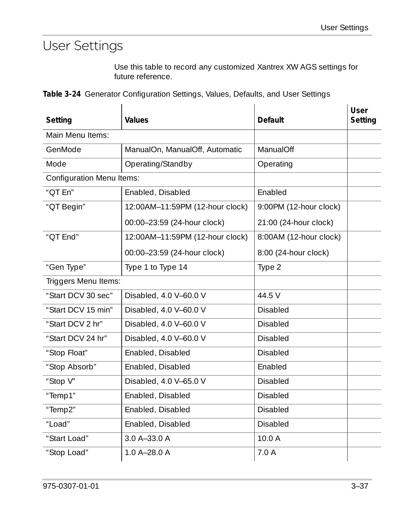# User Settings

Use this table to record any customized Xantrex XW AGS settings for future reference.

|  |  | Table 3-24 Generator Configuration Settings, Values, Defaults, and User Settings |  |  |  |  |  |  |
|--|--|----------------------------------------------------------------------------------|--|--|--|--|--|--|
|--|--|----------------------------------------------------------------------------------|--|--|--|--|--|--|

| Setting                          | Values                          | Default                | <b>User</b><br>Setting |
|----------------------------------|---------------------------------|------------------------|------------------------|
| Main Menu Items:                 |                                 |                        |                        |
| GenMode                          | ManualOn, ManualOff, Automatic  | ManualOff              |                        |
| Mode                             | Operating/Standby               | Operating              |                        |
| <b>Configuration Menu Items:</b> |                                 |                        |                        |
| "OT En"                          | Enabled, Disabled               | Enabled                |                        |
| "OT Begin"                       | 12:00AM-11:59PM (12-hour clock) | 9:00PM (12-hour clock) |                        |
|                                  | 00:00-23:59 (24-hour clock)     | 21:00 (24-hour clock)  |                        |
| "OT End"                         | 12:00AM-11:59PM (12-hour clock) | 8:00AM (12-hour clock) |                        |
|                                  | 00:00-23:59 (24-hour clock)     | 8:00 (24-hour clock)   |                        |
| "Gen Type"                       | Type 1 to Type 14               | Type 2                 |                        |
| Triggers Menu Items:             |                                 |                        |                        |
| "Start DCV 30 sec"               | Disabled, 4.0 V-60.0 V          | 44.5 V                 |                        |
| "Start DCV 15 min"               | Disabled, 4.0 V-60.0 V          | Disabled               |                        |
| "Start DCV 2 hr"                 | Disabled, 4.0 V-60.0 V          | <b>Disabled</b>        |                        |
| "Start DCV 24 hr"                | Disabled, 4.0 V-60.0 V          | <b>Disabled</b>        |                        |
| "Stop Float"                     | Enabled, Disabled               | <b>Disabled</b>        |                        |
| "Stop Absorb"                    | Enabled, Disabled               | Enabled                |                        |
| "Stop V"                         | Disabled, 4.0 V-65.0 V          | Disabled               |                        |
| "Temp1"                          | Enabled, Disabled               | <b>Disabled</b>        |                        |
| "Temp2"                          | Enabled, Disabled               | <b>Disabled</b>        |                        |
| "Load"                           | Enabled, Disabled               | <b>Disabled</b>        |                        |
| "Start Load"                     | 3.0 A-33.0 A                    | 10.0 A                 |                        |
| "Stop Load"                      | 1.0 A-28.0 A                    | 7.0 A                  |                        |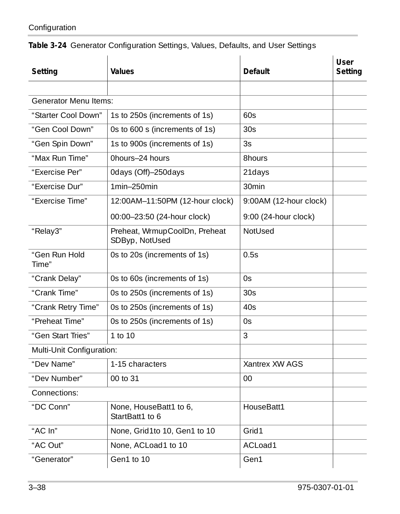| Setting                      | Values                                          | Default                | User<br>Setting |
|------------------------------|-------------------------------------------------|------------------------|-----------------|
|                              |                                                 |                        |                 |
| <b>Generator Menu Items:</b> |                                                 |                        |                 |
| "Starter Cool Down"          | 1s to 250s (increments of 1s)                   | 60s                    |                 |
| "Gen Cool Down"              | Os to 600 s (increments of 1s)                  | 30 <sub>S</sub>        |                 |
| "Gen Spin Down"              | 1s to 900s (increments of 1s)                   | 3s                     |                 |
| "Max Run Time"               | Ohours-24 hours                                 | 8hours                 |                 |
| "Exercise Per"               | Odays (Off)-250days                             | 21days                 |                 |
| "Exercise Dur"               | 1min-250min                                     | 30min                  |                 |
| "Exercise Time"              | 12:00AM-11:50PM (12-hour clock)                 | 9:00AM (12-hour clock) |                 |
|                              | 00:00-23:50 (24-hour clock)                     | 9:00 (24-hour clock)   |                 |
| "Relay3"                     | Preheat, WrmupCoolDn, Preheat<br>SDByp, NotUsed | <b>NotUsed</b>         |                 |
| "Gen Run Hold<br>Time"       | Os to 20s (increments of 1s)                    | 0.5s                   |                 |
| "Crank Delay"                | Os to 60s (increments of 1s)                    | 0s                     |                 |
| "Crank Time"                 | Os to 250s (increments of 1s)                   | 30 <sub>S</sub>        |                 |
| "Crank Retry Time"           | Os to 250s (increments of 1s)                   | 40s                    |                 |
| "Preheat Time"               | Os to 250s (increments of 1s)                   | 0s                     |                 |
| "Gen Start Tries"            | 1 to 10                                         | 3                      |                 |
| Multi-Unit Configuration:    |                                                 |                        |                 |
| "Dev Name"                   | 1-15 characters                                 | Xantrex XW AGS         |                 |
| "Dev Number"                 | 00 to 31                                        | 00                     |                 |
| Connections:                 |                                                 |                        |                 |
| "DC Conn"                    | None, HouseBatt1 to 6,<br>StartBatt1 to 6       | HouseBatt1             |                 |
| " $AC \ln$ "                 | None, Grid1to 10, Gen1 to 10                    | Grid1                  |                 |
| "AC Out"                     | None, ACLoad1 to 10                             | ACLoad1                |                 |
| "Generator"                  | Gen1 to 10                                      | Gen1                   |                 |

**Table 3-24** Generator Configuration Settings, Values, Defaults, and User Settings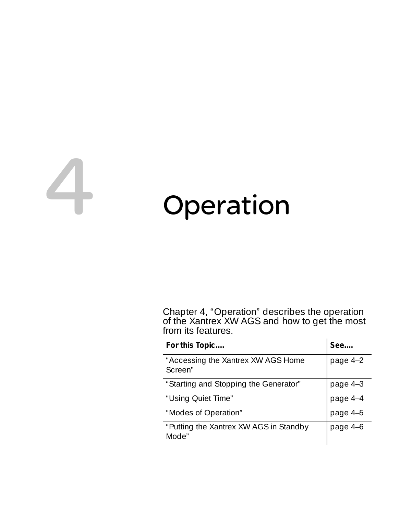# <span id="page-86-0"></span>4 Operation

[Chapter 4, "Operation"](#page-86-0) describes the operation of the Xantrex XW AGS and how to get the most from its features.

| For this Topic                                  | See      |
|-------------------------------------------------|----------|
| "Accessing the Xantrex XW AGS Home<br>Screen"   | page 4-2 |
| "Starting and Stopping the Generator"           | page 4-3 |
| "Using Quiet Time"                              | page 4-4 |
| "Modes of Operation"                            | page 4-5 |
| "Putting the Xantrex XW AGS in Standby<br>Mode" | page 4-6 |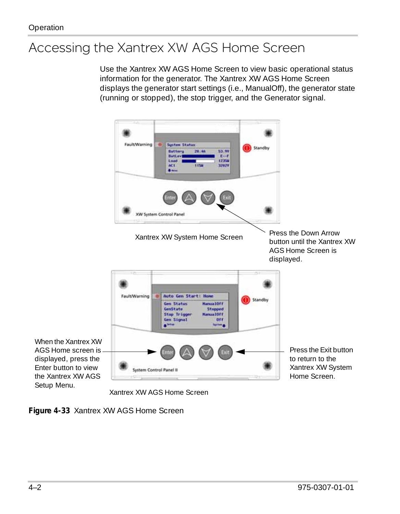# <span id="page-87-0"></span>Accessing the Xantrex XW AGS Home Screen

Use the Xantrex XW AGS Home Screen to view basic operational status information for the generator. The Xantrex XW AGS Home Screen displays the generator start settings (i.e., ManualOff), the generator state (running or stopped), the stop trigger, and the Generator signal.



Xantrex XW AGS Home Screen

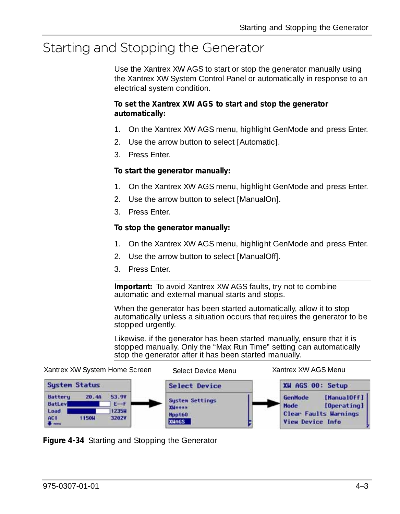# <span id="page-88-0"></span>Starting and Stopping the Generator

Use the Xantrex XW AGS to start or stop the generator manually using the Xantrex XW System Control Panel or automatically in response to an electrical system condition.

#### **To set the Xantrex XW AGS to start and stop the generator automatically:**

- 1. On the Xantrex XW AGS menu, highlight GenMode and press Enter.
- 2. Use the arrow button to select [Automatic].
- 3. Press Enter.

#### **To start the generator manually:**

- 1. On the Xantrex XW AGS menu, highlight GenMode and press Enter.
- 2. Use the arrow button to select [ManualOn].
- 3. Press Enter.

#### **To stop the generator manually:**

- 1. On the Xantrex XW AGS menu, highlight GenMode and press Enter.
- 2. Use the arrow button to select [ManualOff].
- 3. Press Enter.

**Important:** To avoid Xantrex XW AGS faults, try not to combine automatic and external manual starts and stops.

When the generator has been started automatically, allow it to stop automatically unless a situation occurs that requires the generator to be stopped urgently.

Likewise, if the generator has been started manually, ensure that it is stopped manually. Only the ["Max Run Time"](#page-73-1) setting can automatically stop the generator after it has been started manually.



**Figure 4-34** Starting and Stopping the Generator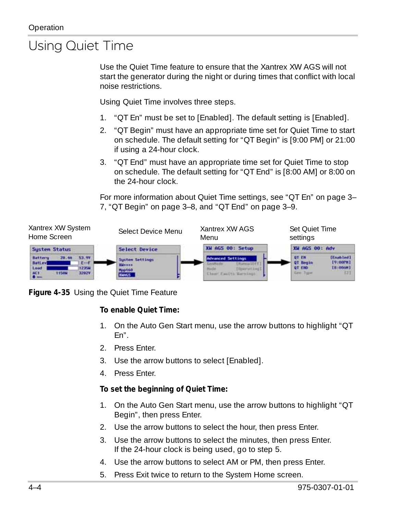# <span id="page-89-1"></span><span id="page-89-0"></span>Using Quiet Time

Use the Quiet Time feature to ensure that the Xantrex XW AGS will not start the generator during the night or during times that conflict with local noise restrictions.

Using Quiet Time involves three steps.

- 1. ["QT En"](#page-54-1) must be set to [Enabled]. The default setting is [Enabled].
- 2. ["QT Begin"](#page-55-1) must have an appropriate time set for Quiet Time to start on schedule. The default setting for ["QT Begin"](#page-55-1) is [9:00 PM] or 21:00 if using a 24-hour clock.
- 3. ["QT End"](#page-56-1) must have an appropriate time set for Quiet Time to stop on schedule. The default setting for ["QT End"](#page-56-1) is [8:00 AM] or 8:00 on the 24-hour clock.

For more information about Quiet Time settings, see ["QT En" on page 3–](#page-54-1) [7,](#page-54-1) ["QT Begin" on page 3–8](#page-55-1), and ["QT End" on page 3–9](#page-56-1).





#### **To enable Quiet Time:**

- 1. On the Auto Gen Start menu, use the arrow buttons to highlight ["QT](#page-54-1)  [En".](#page-54-1)
- 2. Press Enter.
- 3. Use the arrow buttons to select [Enabled].
- 4. Press Enter.

#### **To set the beginning of Quiet Time:**

- 1. On the Auto Gen Start menu, use the arrow buttons to highlight ["QT](#page-55-1)  [Begin",](#page-55-1) then press Enter.
- 2. Use the arrow buttons to select the hour, then press Enter.
- 3. Use the arrow buttons to select the minutes, then press Enter. If the 24-hour clock is being used, go to step 5.
- 4. Use the arrow buttons to select AM or PM, then press Enter.
- 5. Press Exit twice to return to the System Home screen.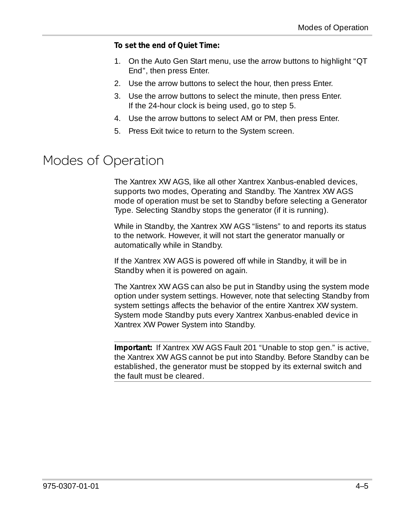#### **To set the end of Quiet Time:**

- 1. On the Auto Gen Start menu, use the arrow buttons to highlight ["QT](#page-56-1)  [End",](#page-56-1) then press Enter.
- 2. Use the arrow buttons to select the hour, then press Enter.
- 3. Use the arrow buttons to select the minute, then press Enter. If the 24-hour clock is being used, go to step 5.
- 4. Use the arrow buttons to select AM or PM, then press Enter.
- 5. Press Exit twice to return to the System screen.

# <span id="page-90-0"></span>Modes of Operation

The Xantrex XW AGS, like all other Xantrex Xanbus-enabled devices, supports two modes, Operating and Standby. The Xantrex XW AGS mode of operation must be set to Standby before selecting a Generator Type. Selecting Standby stops the generator (if it is running).

While in Standby, the Xantrex XW AGS "listens" to and reports its status to the network. However, it will not start the generator manually or automatically while in Standby.

If the Xantrex XW AGS is powered off while in Standby, it will be in Standby when it is powered on again.

The Xantrex XW AGS can also be put in Standby using the system mode option under system settings. However, note that selecting Standby from system settings affects the behavior of the entire Xantrex XW system. System mode Standby puts every Xantrex Xanbus-enabled device in Xantrex XW Power System into Standby.

**Important:** If Xantrex XW AGS Fault 201 "Unable to stop gen." is active, the Xantrex XW AGS cannot be put into Standby. Before Standby can be established, the generator must be stopped by its external switch and the fault must be cleared.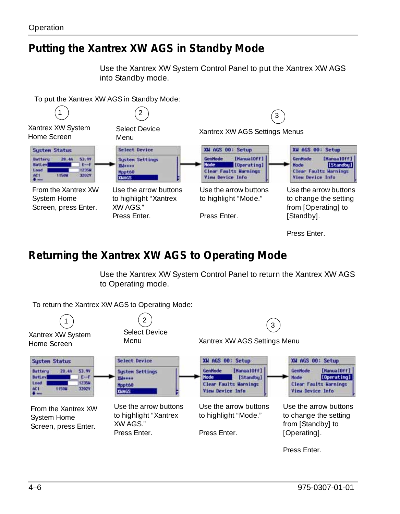## <span id="page-91-0"></span>**Putting the Xantrex XW AGS in Standby Mode**

Use the Xantrex XW System Control Panel to put the Xantrex XW AGS into Standby mode.

To put the Xantrex XW AGS in Standby Mode:



Press Enter.

# **Returning the Xantrex XW AGS to Operating Mode**

Use the Xantrex XW System Control Panel to return the Xantrex XW AGS to Operating mode.



To return the Xantrex XW AGS to Operating Mode: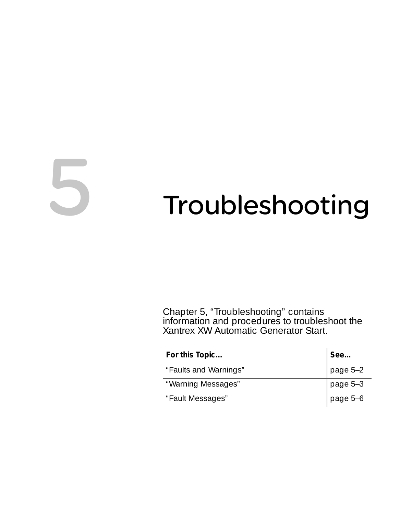# <span id="page-92-0"></span>5 Troubleshooting

[Chapter 5, "Troubleshooting"](#page-92-0) contains information and procedures to troubleshoot the Xantrex XW Automatic Generator Start.

| For this Topic        | See      |
|-----------------------|----------|
| "Faults and Warnings" | page 5-2 |
| "Warning Messages"    | page 5-3 |
| "Fault Messages"      | page 5-6 |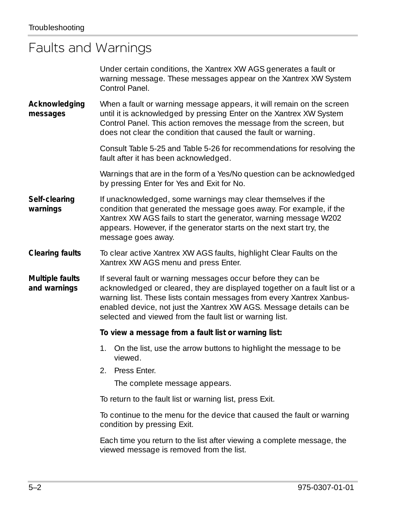# <span id="page-93-0"></span>Faults and Warnings

|                                 | Under certain conditions, the Xantrex XW AGS generates a fault or<br>warning message. These messages appear on the Xantrex XW System<br>Control Panel.                                                                                                                                                                                                 |
|---------------------------------|--------------------------------------------------------------------------------------------------------------------------------------------------------------------------------------------------------------------------------------------------------------------------------------------------------------------------------------------------------|
| Acknowledging<br>messages       | When a fault or warning message appears, it will remain on the screen<br>until it is acknowledged by pressing Enter on the Xantrex XW System<br>Control Panel. This action removes the message from the screen, but<br>does not clear the condition that caused the fault or warning.                                                                  |
|                                 | Consult Table 5-25 and Table 5-26 for recommendations for resolving the<br>fault after it has been acknowledged.                                                                                                                                                                                                                                       |
|                                 | Warnings that are in the form of a Yes/No question can be acknowledged<br>by pressing Enter for Yes and Exit for No.                                                                                                                                                                                                                                   |
| Self-clearing<br>warnings       | If unacknowledged, some warnings may clear themselves if the<br>condition that generated the message goes away. For example, if the<br>Xantrex XW AGS fails to start the generator, warning message W202<br>appears. However, if the generator starts on the next start try, the<br>message goes away.                                                 |
| <b>Clearing faults</b>          | To clear active Xantrex XW AGS faults, highlight Clear Faults on the<br>Xantrex XW AGS menu and press Enter.                                                                                                                                                                                                                                           |
| Multiple faults<br>and warnings | If several fault or warning messages occur before they can be<br>acknowledged or cleared, they are displayed together on a fault list or a<br>warning list. These lists contain messages from every Xantrex Xanbus-<br>enabled device, not just the Xantrex XW AGS. Message details can be<br>selected and viewed from the fault list or warning list. |
|                                 | To view a message from a fault list or warning list:                                                                                                                                                                                                                                                                                                   |
|                                 | 1. On the list, use the arrow buttons to highlight the message to be<br>viewed.                                                                                                                                                                                                                                                                        |
|                                 | 2.<br>Press Enter.                                                                                                                                                                                                                                                                                                                                     |
|                                 | The complete message appears.                                                                                                                                                                                                                                                                                                                          |
|                                 | To return to the fault list or warning list, press Exit.                                                                                                                                                                                                                                                                                               |
|                                 | To continue to the menu for the device that caused the fault or warning<br>condition by pressing Exit.                                                                                                                                                                                                                                                 |
|                                 | Each time you return to the list after viewing a complete message, the<br>viewed message is removed from the list.                                                                                                                                                                                                                                     |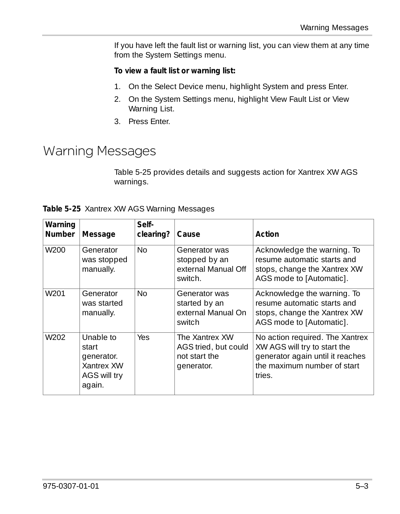If you have left the fault list or warning list, you can view them at any time from the System Settings menu.

#### **To view a fault list or warning list:**

- 1. On the Select Device menu, highlight System and press Enter.
- 2. On the System Settings menu, highlight View Fault List or View Warning List.
- 3. Press Enter.

# <span id="page-94-0"></span>Warning Messages

[Table 5-25](#page-94-1) provides details and suggests action for Xantrex XW AGS warnings.

<span id="page-94-1"></span>

|  |  |  |  | Table 5-25 Xantrex XW AGS Warning Messages |
|--|--|--|--|--------------------------------------------|
|--|--|--|--|--------------------------------------------|

| Warning<br>Number | Message                                                                  | Self-<br>clearing? | Cause                                                                 | Action                                                                                                                                       |
|-------------------|--------------------------------------------------------------------------|--------------------|-----------------------------------------------------------------------|----------------------------------------------------------------------------------------------------------------------------------------------|
| W <sub>200</sub>  | Generator<br>was stopped<br>manually.                                    | N <sub>0</sub>     | Generator was<br>stopped by an<br>external Manual Off<br>switch.      | Acknowledge the warning. To<br>resume automatic starts and<br>stops, change the Xantrex XW<br>AGS mode to [Automatic].                       |
| W <sub>201</sub>  | Generator<br>was started<br>manually.                                    | No.                | Generator was<br>started by an<br>external Manual On<br>switch        | Acknowledge the warning. To<br>resume automatic starts and<br>stops, change the Xantrex XW<br>AGS mode to [Automatic].                       |
| W <sub>202</sub>  | Unable to<br>start<br>generator.<br>Xantrex XW<br>AGS will try<br>again. | Yes.               | The Xantrex XW<br>AGS tried, but could<br>not start the<br>generator. | No action required. The Xantrex<br>XW AGS will try to start the<br>generator again until it reaches<br>the maximum number of start<br>tries. |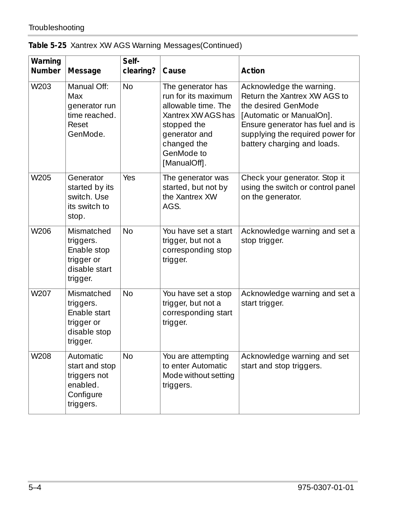|  | Table 5-25 Xantrex XW AGS Warning Messages(Continued) |  |
|--|-------------------------------------------------------|--|
|  |                                                       |  |

| Warning<br>Number | Message                                                                           | Self-<br>clearing? | Cause                                                                                                                                                              | Action                                                                                                                                                                                                             |
|-------------------|-----------------------------------------------------------------------------------|--------------------|--------------------------------------------------------------------------------------------------------------------------------------------------------------------|--------------------------------------------------------------------------------------------------------------------------------------------------------------------------------------------------------------------|
| W203              | Manual Off:<br>Max<br>generator run<br>time reached.<br>Reset<br>GenMode.         | <b>No</b>          | The generator has<br>run for its maximum<br>allowable time. The<br>Xantrex XW AGS has<br>stopped the<br>generator and<br>changed the<br>GenMode to<br>[ManualOff]. | Acknowledge the warning.<br>Return the Xantrex XW AGS to<br>the desired GenMode<br>[Automatic or ManualOn].<br>Ensure generator has fuel and is<br>supplying the required power for<br>battery charging and loads. |
| W205              | Generator<br>started by its<br>switch. Use<br>its switch to<br>stop.              | Yes                | The generator was<br>started, but not by<br>the Xantrex XW<br>AGS.                                                                                                 | Check your generator. Stop it<br>using the switch or control panel<br>on the generator.                                                                                                                            |
| W206              | Mismatched<br>triggers.<br>Enable stop<br>trigger or<br>disable start<br>trigger. | <b>No</b>          | You have set a start<br>trigger, but not a<br>corresponding stop<br>trigger.                                                                                       | Acknowledge warning and set a<br>stop trigger.                                                                                                                                                                     |
| W207              | Mismatched<br>triggers.<br>Enable start<br>trigger or<br>disable stop<br>trigger. | <b>No</b>          | You have set a stop<br>trigger, but not a<br>corresponding start<br>trigger.                                                                                       | Acknowledge warning and set a<br>start trigger.                                                                                                                                                                    |
| W208              | Automatic<br>start and stop<br>triggers not<br>enabled.<br>Configure<br>triggers. | <b>No</b>          | You are attempting<br>to enter Automatic<br>Mode without setting<br>triggers.                                                                                      | Acknowledge warning and set<br>start and stop triggers.                                                                                                                                                            |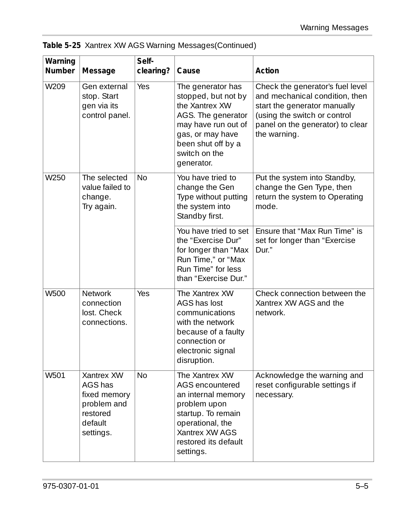| Table 5-25 Xantrex XW AGS Warning Messages(Continued) |  |  |
|-------------------------------------------------------|--|--|
|                                                       |  |  |

| Warning<br>Number | Message                                                                                  | Self-<br>clearing? | Cause                                                                                                                                                                            | Action                                                                                                                                                                                 |
|-------------------|------------------------------------------------------------------------------------------|--------------------|----------------------------------------------------------------------------------------------------------------------------------------------------------------------------------|----------------------------------------------------------------------------------------------------------------------------------------------------------------------------------------|
| W209              | Gen external<br>stop. Start<br>gen via its<br>control panel.                             | Yes                | The generator has<br>stopped, but not by<br>the Xantrex XW<br>AGS. The generator<br>may have run out of<br>gas, or may have<br>been shut off by a<br>switch on the<br>generator. | Check the generator's fuel level<br>and mechanical condition, then<br>start the generator manually<br>(using the switch or control<br>panel on the generator) to clear<br>the warning. |
| W250              | The selected<br>value failed to<br>change.<br>Try again.                                 | <b>No</b>          | You have tried to<br>change the Gen<br>Type without putting<br>the system into<br>Standby first.                                                                                 | Put the system into Standby,<br>change the Gen Type, then<br>return the system to Operating<br>mode.                                                                                   |
|                   |                                                                                          |                    | You have tried to set<br>the "Exercise Dur"<br>for longer than "Max<br>Run Time," or "Max<br>Run Time" for less<br>than "Exercise Dur."                                          | Ensure that "Max Run Time" is<br>set for longer than "Exercise<br>Dur."                                                                                                                |
| W500              | Network<br>connection<br>lost. Check<br>connections.                                     | Yes                | The Xantrex XW<br>AGS has lost<br>communications<br>with the network<br>because of a faulty<br>connection or<br>electronic signal<br>disruption.                                 | Check connection between the<br>Xantrex XW AGS and the<br>network.                                                                                                                     |
| W501              | Xantrex XW<br>AGS has<br>fixed memory<br>problem and<br>restored<br>default<br>settings. | <b>No</b>          | The Xantrex XW<br>AGS encountered<br>an internal memory<br>problem upon<br>startup. To remain<br>operational, the<br>Xantrex XW AGS<br>restored its default<br>settings.         | Acknowledge the warning and<br>reset configurable settings if<br>necessary.                                                                                                            |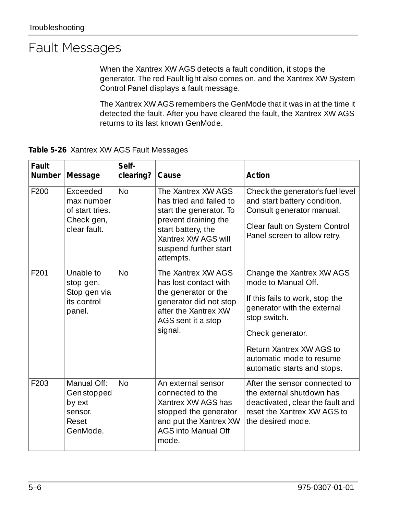# <span id="page-97-0"></span>Fault Messages

When the Xantrex XW AGS detects a fault condition, it stops the generator. The red Fault light also comes on, and the Xantrex XW System Control Panel displays a fault message.

The Xantrex XW AGS remembers the GenMode that it was in at the time it detected the fault. After you have cleared the fault, the Xantrex XW AGS returns to its last known GenMode.

<span id="page-97-1"></span>**Table 5-26** Xantrex XW AGS Fault Messages

| Fault<br>Number | Message                                                                 | Self-<br>clearing? | Cause                                                                                                                                                                               | Action                                                                                                                                                                                                                                        |
|-----------------|-------------------------------------------------------------------------|--------------------|-------------------------------------------------------------------------------------------------------------------------------------------------------------------------------------|-----------------------------------------------------------------------------------------------------------------------------------------------------------------------------------------------------------------------------------------------|
| F200            | Exceeded<br>max number<br>of start tries.<br>Check gen,<br>clear fault. | No                 | The Xantrex XW AGS<br>has tried and failed to<br>start the generator. To<br>prevent draining the<br>start battery, the<br>Xantrex XW AGS will<br>suspend further start<br>attempts. | Check the generator's fuel level<br>and start battery condition.<br>Consult generator manual.<br>Clear fault on System Control<br>Panel screen to allow retry.                                                                                |
| F201            | Unable to<br>stop gen.<br>Stop gen via<br>its control<br>panel.         | <b>No</b>          | The Xantrex XW AGS<br>has lost contact with<br>the generator or the<br>generator did not stop<br>after the Xantrex XW<br>AGS sent it a stop<br>signal.                              | Change the Xantrex XW AGS<br>mode to Manual Off.<br>If this fails to work, stop the<br>generator with the external<br>stop switch.<br>Check generator.<br>Return Xantrex XW AGS to<br>automatic mode to resume<br>automatic starts and stops. |
| F203            | Manual Off:<br>Gen stopped<br>by ext<br>sensor.<br>Reset<br>GenMode.    | N <sub>0</sub>     | An external sensor<br>connected to the<br>Xantrex XW AGS has<br>stopped the generator<br>and put the Xantrex XW<br>AGS into Manual Off<br>mode.                                     | After the sensor connected to<br>the external shutdown has<br>deactivated, clear the fault and<br>reset the Xantrex XW AGS to<br>the desired mode.                                                                                            |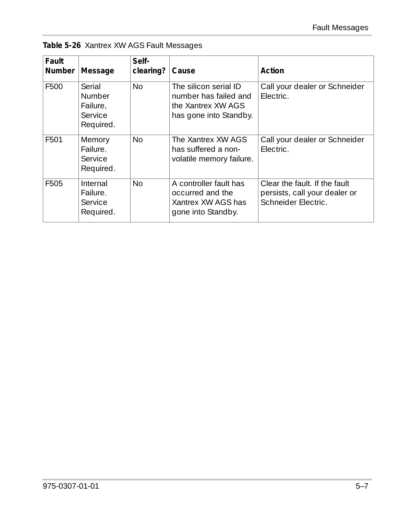|  |  |  |  | Table 5-26 Xantrex XW AGS Fault Messages |
|--|--|--|--|------------------------------------------|
|--|--|--|--|------------------------------------------|

| Fault<br><b>Number</b> | Message                                              | Self-<br>clearing? | Cause                                                                                          | Action                                                                                |
|------------------------|------------------------------------------------------|--------------------|------------------------------------------------------------------------------------------------|---------------------------------------------------------------------------------------|
| F500                   | Serial<br>Number<br>Failure.<br>Service<br>Required. | No                 | The silicon serial ID<br>number has failed and<br>the Xantrex XW AGS<br>has gone into Standby. | Call your dealer or Schneider<br>Flectric.                                            |
| F501                   | Memory<br>Failure.<br>Service<br>Required.           | <b>No</b>          | The Xantrex XW AGS<br>has suffered a non-<br>volatile memory failure.                          | Call your dealer or Schneider<br>Flectric.                                            |
| F505                   | Internal<br>Failure.<br>Service<br>Required.         | No                 | A controller fault has<br>occurred and the<br>Xantrex XW AGS has<br>gone into Standby.         | Clear the fault. If the fault<br>persists, call your dealer or<br>Schneider Electric. |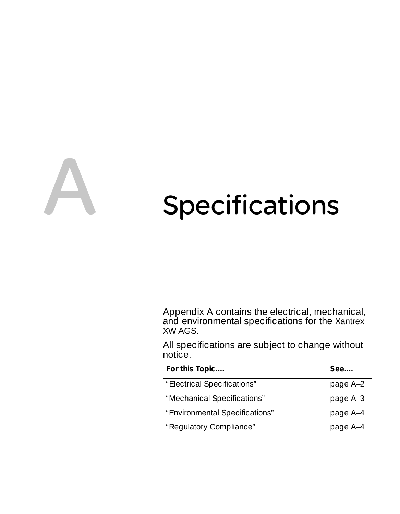<span id="page-100-0"></span>

# Specifications

[Appendix A](#page-100-0) contains the electrical, mechanical, and environmental specifications for the Xantrex XW AGS.

All specifications are subject to change without notice.

| For this Topic                 | See      |
|--------------------------------|----------|
| "Electrical Specifications"    | page A-2 |
| "Mechanical Specifications"    | page A-3 |
| "Environmental Specifications" | page A-4 |
| "Regulatory Compliance"        | page A-4 |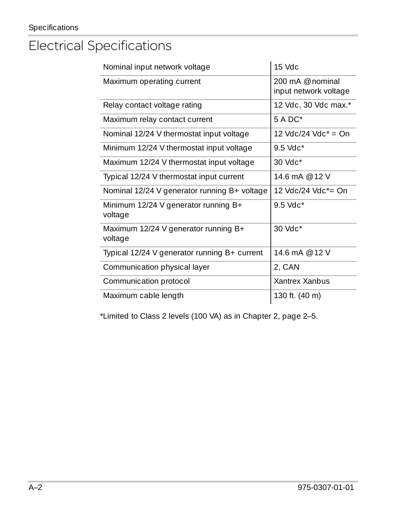# <span id="page-101-0"></span>Electrical Specifications

| Nominal input network voltage                     | 15 Vdc                                      |
|---------------------------------------------------|---------------------------------------------|
| Maximum operating current                         | 200 mA $@$ nominal<br>input network voltage |
| Relay contact voltage rating                      | 12 Vdc, 30 Vdc max.*                        |
| Maximum relay contact current                     | $5 A DC*$                                   |
| Nominal 12/24 V thermostat input voltage          | 12 Vdc/24 Vdc* = On                         |
| Minimum 12/24 V thermostat input voltage          | $9.5$ Vdc <sup>*</sup>                      |
| Maximum 12/24 V thermostat input voltage          | $30$ Vdc <sup>*</sup>                       |
| Typical 12/24 V thermostat input current          | 14.6 mA @ 12 V                              |
| Nominal 12/24 V generator running B+ voltage      | 12 Vdc/24 Vdc*= On                          |
| Minimum 12/24 V generator running $B+$<br>voltage | $9.5$ Vdc <sup>*</sup>                      |
| Maximum 12/24 V generator running B+<br>voltage   | 30 Vdc*                                     |
| Typical 12/24 V generator running B+ current      | 14.6 mA @ 12 V                              |
| Communication physical layer                      | 2, CAN                                      |
| Communication protocol                            | Xantrex Xanbus                              |
| Maximum cable length                              | 130 ft. (40 m)                              |

\*Limited to Class 2 levels (100 VA) as in [Chapter 2](#page-22-0), [page 2–5](#page-22-0).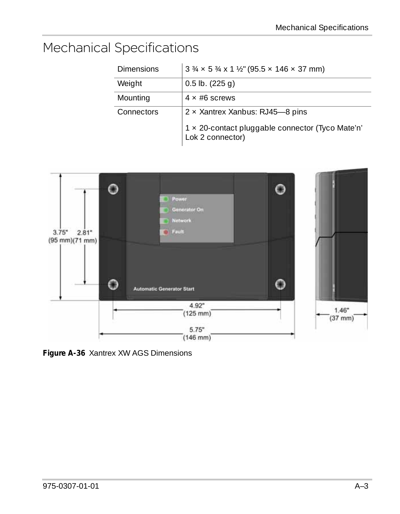# <span id="page-102-0"></span>Mechanical Specifications

| <b>Dimensions</b> | $3\frac{3}{4} \times 5\frac{3}{4} \times 1\frac{1}{2}$ (95.5 $\times$ 146 $\times$ 37 mm) |
|-------------------|-------------------------------------------------------------------------------------------|
| Weight            | $0.5$ lb. $(225q)$                                                                        |
| Mounting          | $4 \times #6$ screws                                                                      |
| Connectors        | $2 \times$ Xantrex Xanbus: RJ45-8 pins                                                    |
|                   | 1 × 20-contact pluggable connector (Tyco Mate'n'<br>Lok 2 connector)                      |



**Figure A-36** Xantrex XW AGS Dimensions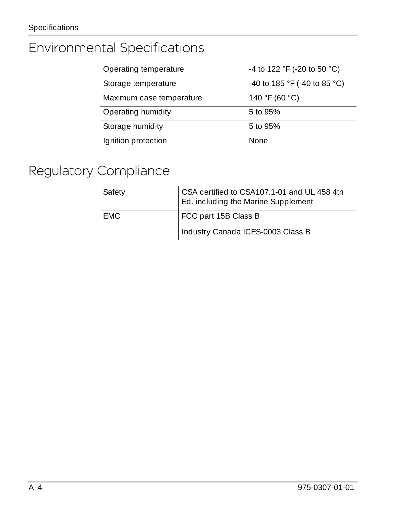# <span id="page-103-0"></span>Environmental Specifications

| Operating temperature    | -4 to 122 °F (-20 to 50 °C)  |
|--------------------------|------------------------------|
| Storage temperature      | -40 to 185 °F (-40 to 85 °C) |
| Maximum case temperature | 140 °F (60 °C)               |
| Operating humidity       | 5 to 95%                     |
| Storage humidity         | 5 to 95%                     |
| Ignition protection      | <b>None</b>                  |

# <span id="page-103-1"></span>Regulatory Compliance

| Safety | CSA certified to CSA107.1-01 and UL 458 4th<br>Ed. including the Marine Supplement |
|--------|------------------------------------------------------------------------------------|
| FMC.   | FCC part 15B Class B                                                               |
|        | Industry Canada ICES-0003 Class B                                                  |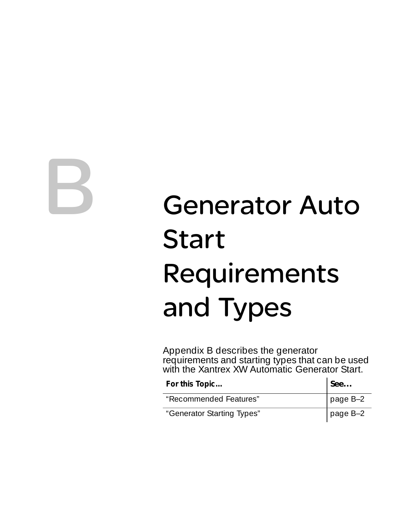<span id="page-104-0"></span>

# **Generator Auto Start** Requirements and Types

[Appendix B](#page-104-0) describes the generator requirements and starting types that can be used with the Xantrex XW Automatic Generator Start.

| For this Topic             | See      |
|----------------------------|----------|
| "Recommended Features"     | page B-2 |
| "Generator Starting Types" | page B-2 |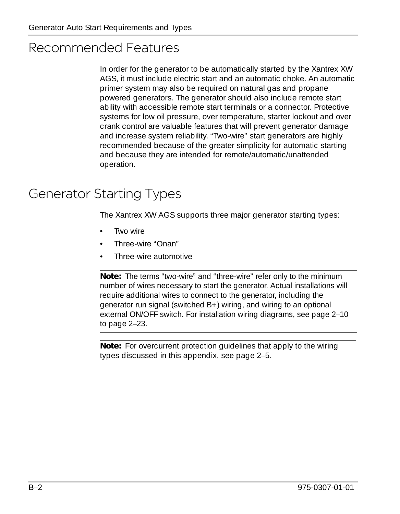# <span id="page-105-0"></span>Recommended Features

In order for the generator to be automatically started by the Xantrex XW AGS, it must include electric start and an automatic choke. An automatic primer system may also be required on natural gas and propane powered generators. The generator should also include remote start ability with accessible remote start terminals or a connector. Protective systems for low oil pressure, over temperature, starter lockout and over crank control are valuable features that will prevent generator damage and increase system reliability. "Two-wire" start generators are highly recommended because of the greater simplicity for automatic starting and because they are intended for remote/automatic/unattended operation.

# <span id="page-105-1"></span>Generator Starting Types

The Xantrex XW AGS supports three major generator starting types:

- Two wire
- Three-wire "Onan"
- Three-wire automotive

**Note:** The terms "two-wire" and "three-wire" refer only to the minimum number of wires necessary to start the generator. Actual installations will require additional wires to connect to the generator, including the generator run signal (switched B+) wiring, and wiring to an optional external ON/OFF switch. For installation wiring diagrams, see [page 2–10](#page-27-0) to [page 2–23](#page-40-0).

**Note:** For overcurrent protection guidelines that apply to the wiring types discussed in this appendix, see [page 2–5.](#page-22-1)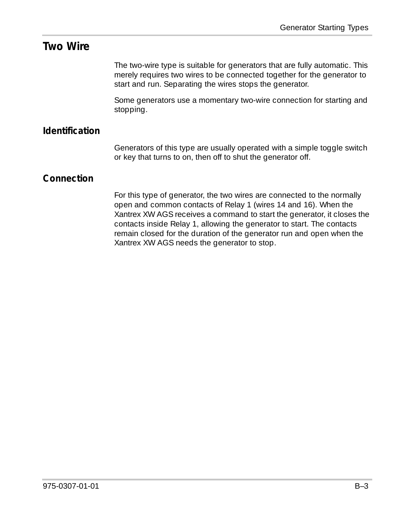#### **Two Wire**

The two-wire type is suitable for generators that are fully automatic. This merely requires two wires to be connected together for the generator to start and run. Separating the wires stops the generator.

Some generators use a momentary two-wire connection for starting and stopping.

#### **Identification**

Generators of this type are usually operated with a simple toggle switch or key that turns to on, then off to shut the generator off.

#### **Connection**

For this type of generator, the two wires are connected to the normally open and common contacts of Relay 1 (wires 14 and 16). When the Xantrex XW AGS receives a command to start the generator, it closes the contacts inside Relay 1, allowing the generator to start. The contacts remain closed for the duration of the generator run and open when the Xantrex XW AGS needs the generator to stop.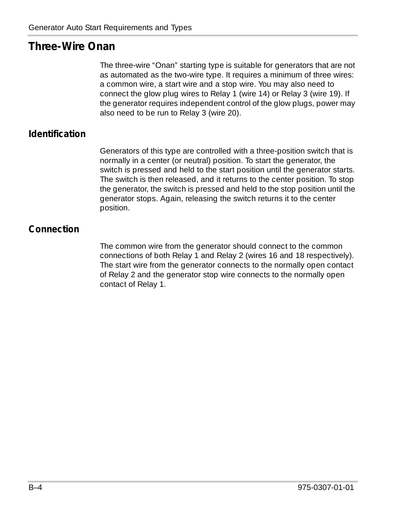### **Three-Wire Onan**

The three-wire "Onan" starting type is suitable for generators that are not as automated as the two-wire type. It requires a minimum of three wires: a common wire, a start wire and a stop wire. You may also need to connect the glow plug wires to Relay 1 (wire 14) or Relay 3 (wire 19). If the generator requires independent control of the glow plugs, power may also need to be run to Relay 3 (wire 20).

#### **Identification**

Generators of this type are controlled with a three-position switch that is normally in a center (or neutral) position. To start the generator, the switch is pressed and held to the start position until the generator starts. The switch is then released, and it returns to the center position. To stop the generator, the switch is pressed and held to the stop position until the generator stops. Again, releasing the switch returns it to the center position.

#### **Connection**

The common wire from the generator should connect to the common connections of both Relay 1 and Relay 2 (wires 16 and 18 respectively). The start wire from the generator connects to the normally open contact of Relay 2 and the generator stop wire connects to the normally open contact of Relay 1.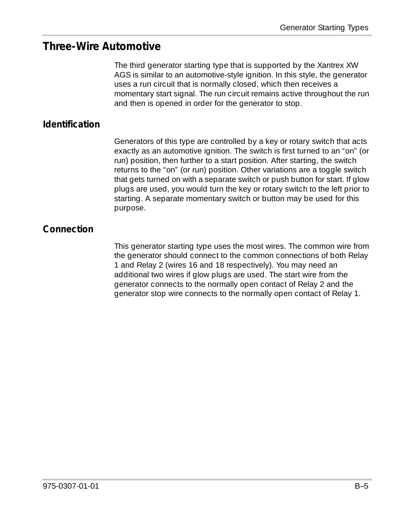#### **Three-Wire Automotive**

The third generator starting type that is supported by the Xantrex XW AGS is similar to an automotive-style ignition. In this style, the generator uses a run circuit that is normally closed, which then receives a momentary start signal. The run circuit remains active throughout the run and then is opened in order for the generator to stop.

#### **Identification**

Generators of this type are controlled by a key or rotary switch that acts exactly as an automotive ignition. The switch is first turned to an "on" (or run) position, then further to a start position. After starting, the switch returns to the "on" (or run) position. Other variations are a toggle switch that gets turned on with a separate switch or push button for start. If glow plugs are used, you would turn the key or rotary switch to the left prior to starting. A separate momentary switch or button may be used for this purpose.

#### **Connection**

This generator starting type uses the most wires. The common wire from the generator should connect to the common connections of both Relay 1 and Relay 2 (wires 16 and 18 respectively). You may need an additional two wires if glow plugs are used. The start wire from the generator connects to the normally open contact of Relay 2 and the generator stop wire connects to the normally open contact of Relay 1.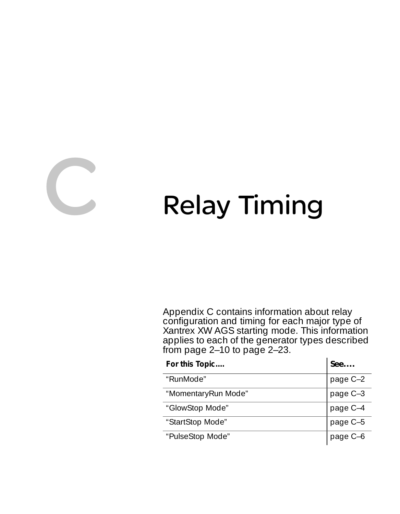<span id="page-110-0"></span>

# **CONTRELLET CONTRELLET CONTRELLET CONTRELLET CONTRELLET CONTRELLET CONTRELLET CONTRELLET CONTRELLET CONTRELLET**

[Appendix C](#page-110-0) contains information about relay configuration and timing for each major type of Xantrex XW AGS starting mode. This information applies to each of the generator types described from page  $2-10$  to page  $2-23$ .

| For this Topic      | See      |
|---------------------|----------|
| "RunMode"           | page C-2 |
| "MomentaryRun Mode" | page C-3 |
| "GlowStop Mode"     | page C-4 |
| "StartStop Mode"    | page C-5 |
| "PulseStop Mode"    | page C-6 |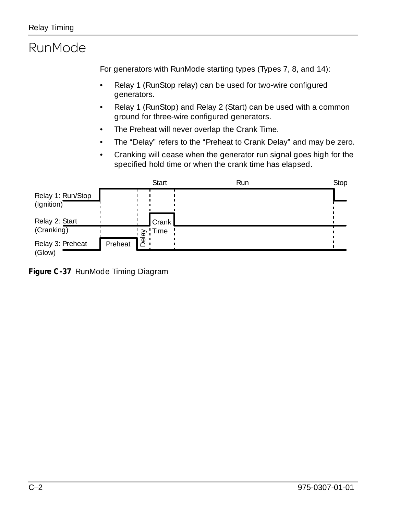# <span id="page-111-0"></span>RunMode

<span id="page-111-1"></span>For generators with RunMode starting types (Types 7, 8, and 14):

- Relay 1 (RunStop relay) can be used for two-wire configured generators.
- Relay 1 (RunStop) and Relay 2 (Start) can be used with a common ground for three-wire configured generators.
- The Preheat will never overlap the Crank Time.
- The "Delay" refers to the "Preheat to Crank Delay" and may be zero.
- Cranking will cease when the generator run signal goes high for the specified hold time or when the crank time has elapsed.



**Figure C-37** RunMode Timing Diagram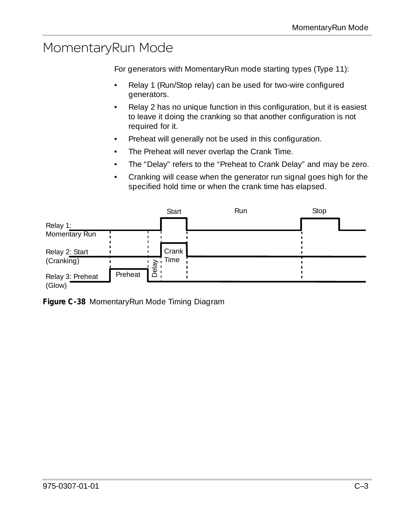# <span id="page-112-0"></span>MomentaryRun Mode

<span id="page-112-1"></span>For generators with MomentaryRun mode starting types (Type 11):

- Relay 1 (Run/Stop relay) can be used for two-wire configured generators.
- Relay 2 has no unique function in this configuration, but it is easiest to leave it doing the cranking so that another configuration is not required for it.
- Preheat will generally not be used in this configuration.
- The Preheat will never overlap the Crank Time.
- The "Delay" refers to the "Preheat to Crank Delay" and may be zero.
- Cranking will cease when the generator run signal goes high for the specified hold time or when the crank time has elapsed.



**Figure C-38** MomentaryRun Mode Timing Diagram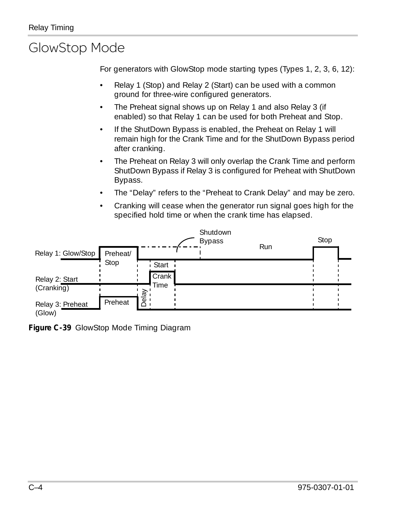# <span id="page-113-0"></span>GlowStop Mode

<span id="page-113-1"></span>For generators with GlowStop mode starting types (Types 1, 2, 3, 6, 12):

- Relay 1 (Stop) and Relay 2 (Start) can be used with a common ground for three-wire configured generators.
- The Preheat signal shows up on Relay 1 and also Relay 3 (if enabled) so that Relay 1 can be used for both Preheat and Stop.
- If the ShutDown Bypass is enabled, the Preheat on Relay 1 will remain high for the Crank Time and for the ShutDown Bypass period after cranking.
- The Preheat on Relay 3 will only overlap the Crank Time and perform ShutDown Bypass if Relay 3 is configured for Preheat with ShutDown Bypass.
- The "Delay" refers to the "Preheat to Crank Delay" and may be zero.
- Cranking will cease when the generator run signal goes high for the specified hold time or when the crank time has elapsed.



**Figure C-39** GlowStop Mode Timing Diagram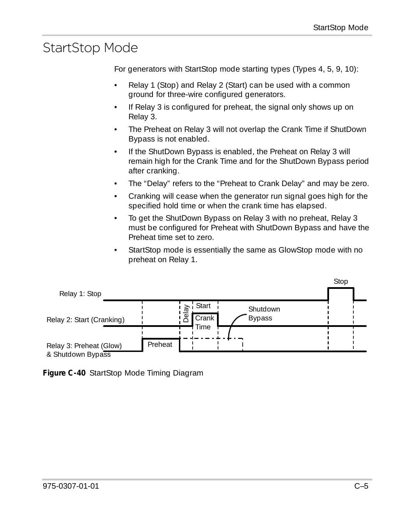# <span id="page-114-0"></span>StartStop Mode

<span id="page-114-1"></span>For generators with StartStop mode starting types (Types 4, 5, 9, 10):

- Relay 1 (Stop) and Relay 2 (Start) can be used with a common ground for three-wire configured generators.
- If Relay 3 is configured for preheat, the signal only shows up on Relay 3.
- The Preheat on Relay 3 will not overlap the Crank Time if ShutDown Bypass is not enabled.
- If the ShutDown Bypass is enabled, the Preheat on Relay 3 will remain high for the Crank Time and for the ShutDown Bypass period after cranking.
- The "Delay" refers to the "Preheat to Crank Delay" and may be zero.
- Cranking will cease when the generator run signal goes high for the specified hold time or when the crank time has elapsed.
- To get the ShutDown Bypass on Relay 3 with no preheat, Relay 3 must be configured for Preheat with ShutDown Bypass and have the Preheat time set to zero.
- StartStop mode is essentially the same as GlowStop mode with no preheat on Relay 1.



**Figure C-40** StartStop Mode Timing Diagram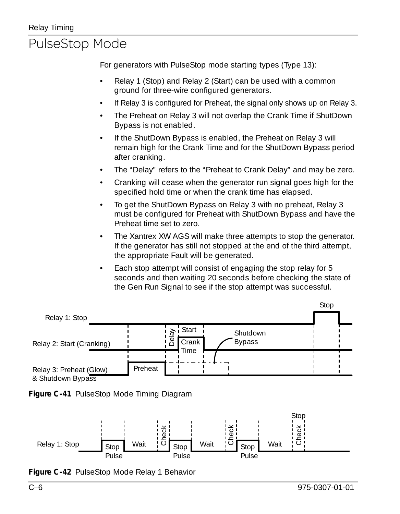# <span id="page-115-0"></span>PulseStop Mode

<span id="page-115-1"></span>For generators with PulseStop mode starting types (Type 13):

- Relay 1 (Stop) and Relay 2 (Start) can be used with a common ground for three-wire configured generators.
- If Relay 3 is configured for Preheat, the signal only shows up on Relay 3.
- The Preheat on Relay 3 will not overlap the Crank Time if ShutDown Bypass is not enabled.
- If the ShutDown Bypass is enabled, the Preheat on Relay 3 will remain high for the Crank Time and for the ShutDown Bypass period after cranking.
- The "Delay" refers to the "Preheat to Crank Delay" and may be zero.
- Cranking will cease when the generator run signal goes high for the specified hold time or when the crank time has elapsed.
- To get the ShutDown Bypass on Relay 3 with no preheat, Relay 3 must be configured for Preheat with ShutDown Bypass and have the Preheat time set to zero.
- The Xantrex XW AGS will make three attempts to stop the generator. If the generator has still not stopped at the end of the third attempt, the appropriate Fault will be generated.
- Each stop attempt will consist of engaging the stop relay for 5 seconds and then waiting 20 seconds before checking the state of the Gen Run Signal to see if the stop attempt was successful.







**Figure C-42** PulseStop Mode Relay 1 Behavior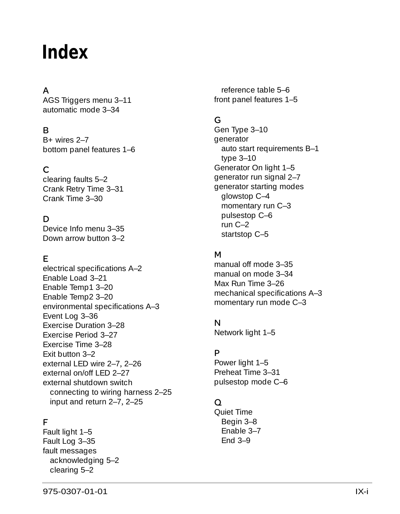# **Index**

#### A

AGS Triggers menu [3–11](#page-58-0) automatic mode [3–34](#page-81-0)

#### B

B+ wires [2–7](#page-24-0) bottom panel features [1–6](#page-17-0)

#### C

clearing faults [5–2](#page-93-0) Crank Retry Time [3–31](#page-78-0) Crank Time [3–30](#page-77-0)

#### D

Device Info menu [3–35](#page-82-0) Down arrow button [3–2](#page-49-0)

#### E

electrical specifications [A–2](#page-101-0) Enable Load [3–21](#page-68-0) Enable Temp1 [3–20](#page-67-0) Enable Temp2 [3–20](#page-67-1) environmental specifications [A–3](#page-102-0) Event Log [3–36](#page-83-0) Exercise Duration [3–28](#page-75-0) Exercise Period [3–27](#page-74-0) Exercise Time [3–28](#page-75-1) Exit button [3–2](#page-49-1) external LED wire [2–7](#page-24-1), [2–26](#page-43-0) external on/off LED [2–27](#page-44-0) external shutdown switch connecting to wiring harness [2–25](#page-42-0) input and return [2–7](#page-24-2), [2–25](#page-42-1)

#### F

Fault light [1–5](#page-16-0) Fault Log [3–35](#page-82-1) fault messages acknowledging [5–2](#page-93-1) clearing [5–2](#page-93-0)

reference table [5–6](#page-97-0) front panel features [1–5](#page-16-1)

#### G

Gen Type [3–10](#page-57-0) generator auto start requirements [B–1](#page-104-0) type [3–10](#page-57-0) Generator On light [1–5](#page-16-2) generator run signal [2–7](#page-24-0) generator starting modes glowstop [C–4](#page-113-1) momentary run [C–3](#page-112-1) pulsestop [C–6](#page-115-1) run [C–2](#page-111-1) startstop [C–5](#page-114-1)

#### M

manual off mode [3–35](#page-82-2) manual on mode [3–34](#page-81-1) Max Run Time [3–26](#page-73-0) mechanical specifications [A–3](#page-102-1) momentary run mode [C–3](#page-112-1)

#### N

Network light [1–5](#page-16-3)

#### P

Power light [1–5](#page-16-1) Preheat Time [3–31](#page-78-1) pulsestop mode [C–6](#page-115-1)

#### Q

Quiet Time Begin [3–8](#page-55-0) Enable [3–7](#page-54-0) End [3–9](#page-56-0)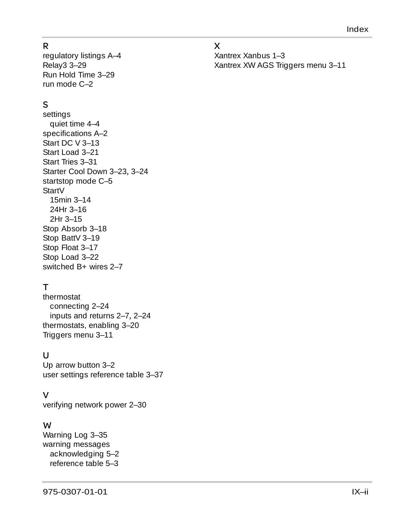#### R

regulatory listings [A–4](#page-103-0) Relay3 [3–29](#page-76-0) Run Hold Time [3–29](#page-76-1) run mode [C–2](#page-111-1)

#### S

settings quiet time [4–4](#page-89-0) specifications [A–2](#page-101-0) Start DC V [3–13](#page-60-0) Start Load [3–21](#page-68-1) Start Tries [3–31](#page-78-2) Starter Cool Down [3–23](#page-70-0), [3–24](#page-71-0) startstop mode [C–5](#page-114-1) StartV 15min [3–14](#page-61-0) 24Hr [3–16](#page-63-0) 2Hr [3–15](#page-62-0) Stop Absorb [3–18](#page-65-0) Stop BattV [3–19](#page-66-0) Stop Float [3–17](#page-64-0) Stop Load [3–22](#page-69-0) switched B+ wires [2–7](#page-24-0)

#### T

thermostat connecting [2–24](#page-41-0) inputs and returns [2–7](#page-24-3), [2–24](#page-41-1) thermostats, enabling [3–20](#page-67-0) Triggers menu [3–11](#page-58-0)

#### $\cup$

Up arrow button [3–2](#page-49-2) user settings reference table [3–37](#page-84-0)

#### V

verifying network power [2–30](#page-47-0)

#### W

Warning Log [3–35](#page-82-3) warning messages acknowledging [5–2](#page-93-1) reference table [5–3](#page-94-0)

#### X

Xantrex Xanbus [1–3](#page-14-0) Xantrex XW AGS Triggers menu [3–11](#page-58-0)